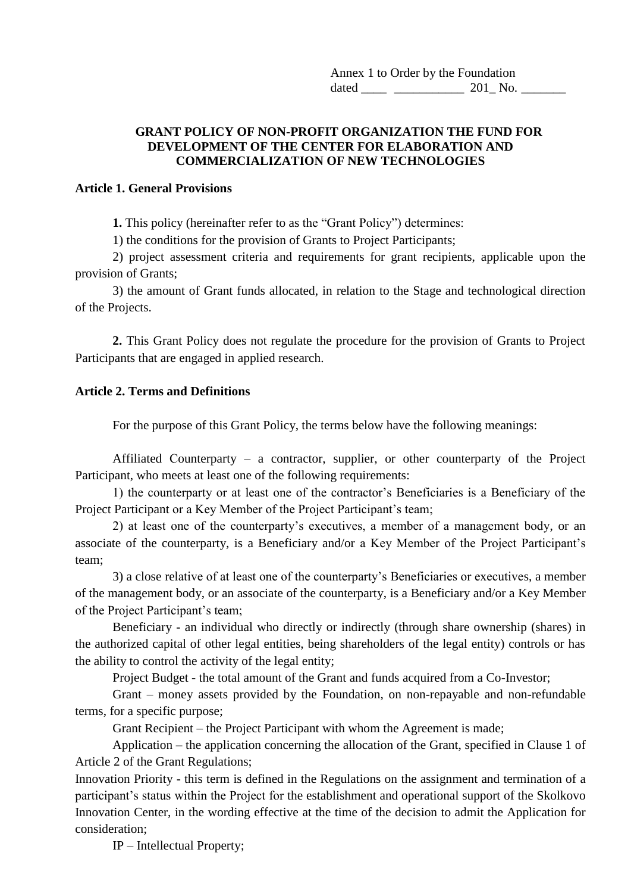Annex 1 to Order by the Foundation dated 201 No.

#### **GRANT POLICY OF NON-PROFIT ORGANIZATION THE FUND FOR DEVELOPMENT OF THE CENTER FOR ELABORATION AND COMMERCIALIZATION OF NEW TECHNOLOGIES**

#### **Article 1. General Provisions**

**1.** This policy (hereinafter refer to as the "Grant Policy") determines:

1) the conditions for the provision of Grants to Project Participants;

2) project assessment criteria and requirements for grant recipients, applicable upon the provision of Grants;

3) the amount of Grant funds allocated, in relation to the Stage and technological direction of the Projects.

**2.** This Grant Policy does not regulate the procedure for the provision of Grants to Project Participants that are engaged in applied research.

### **Article 2. Terms and Definitions**

For the purpose of this Grant Policy, the terms below have the following meanings:

Affiliated Сounterparty – a contractor, supplier, or other counterparty of the Project Participant, who meets at least one of the following requirements:

1) the counterparty or at least one of the contractor's Beneficiaries is a Beneficiary of the Project Participant or a Key Member of the Project Participant's team;

2) at least one of the counterparty's executives, a member of a management body, or an associate of the counterparty, is a Beneficiary and/or a Key Member of the Project Participant's team;

3) a close relative of at least one of the counterparty's Beneficiaries or executives, a member of the management body, or an associate of the counterparty, is a Beneficiary and/or a Key Member of the Project Participant's team;

Beneficiary - an individual who directly or indirectly (through share ownership (shares) in the authorized capital of other legal entities, being shareholders of the legal entity) controls or has the ability to control the activity of the legal entity;

Project Budget - the total amount of the Grant and funds acquired from a Co-Investor;

Grant – money assets provided by the Foundation, on non-repayable and non-refundable terms, for a specific purpose;

Grant Recipient – the Project Participant with whom the Agreement is made;

Application – the application concerning the allocation of the Grant, specified in Clause 1 of Article 2 of the Grant Regulations;

Innovation Priority - this term is defined in the Regulations on the assignment and termination of a participant's status within the Project for the establishment and operational support of the Skolkovo Innovation Center, in the wording effective at the time of the decision to admit the Application for consideration;

IP – Intellectual Property;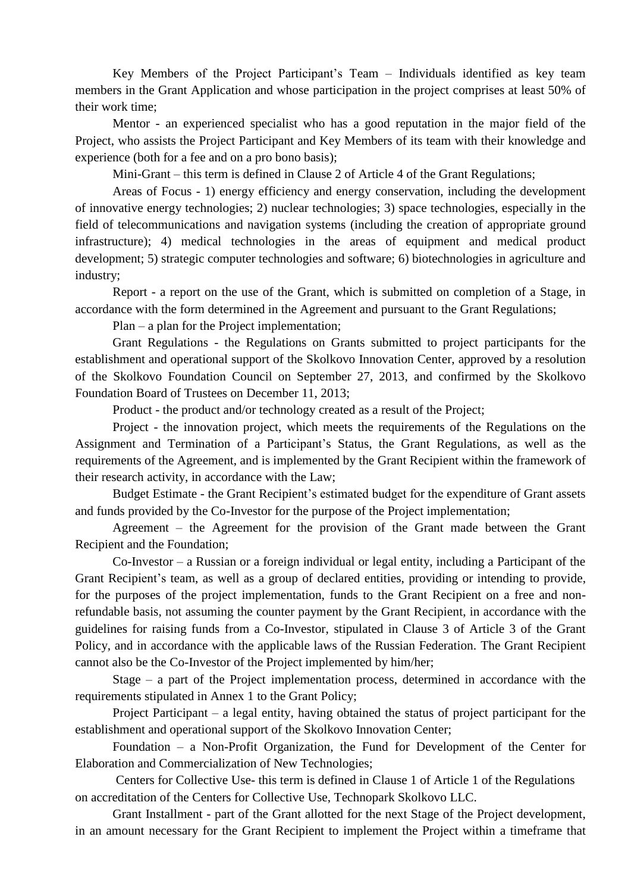Key Members of the Project Participant's Team – Individuals identified as key team members in the Grant Application and whose participation in the project comprises at least 50% of their work time;

Mentor - an experienced specialist who has a good reputation in the major field of the Project, who assists the Project Participant and Key Members of its team with their knowledge and experience (both for a fee and on a pro bono basis);

Mini-Grant – this term is defined in Clause 2 of Article 4 of the Grant Regulations;

Areas of Focus - 1) energy efficiency and energy conservation, including the development of innovative energy technologies; 2) nuclear technologies; 3) space technologies, especially in the field of telecommunications and navigation systems (including the creation of appropriate ground infrastructure); 4) medical technologies in the areas of equipment and medical product development; 5) strategic computer technologies and software; 6) biotechnologies in agriculture and industry;

Report - a report on the use of the Grant, which is submitted on completion of a Stage, in accordance with the form determined in the Agreement and pursuant to the Grant Regulations;

Plan – a plan for the Project implementation;

Grant Regulations - the Regulations on Grants submitted to project participants for the establishment and operational support of the Skolkovo Innovation Center, approved by a resolution of the Skolkovo Foundation Council on September 27, 2013, and confirmed by the Skolkovo Foundation Board of Trustees on December 11, 2013;

Product - the product and/or technology created as a result of the Project;

Project - the innovation project, which meets the requirements of the Regulations on the Assignment and Termination of a Participant's Status, the Grant Regulations, as well as the requirements of the Agreement, and is implemented by the Grant Recipient within the framework of their research activity, in accordance with the Law;

Budget Estimate - the Grant Recipient's estimated budget for the expenditure of Grant assets and funds provided by the Co-Investor for the purpose of the Project implementation;

Agreement – the Agreement for the provision of the Grant made between the Grant Recipient and the Foundation;

Co-Investor – a Russian or a foreign individual or legal entity, including a Participant of the Grant Recipient's team, as well as a group of declared entities, providing or intending to provide, for the purposes of the project implementation, funds to the Grant Recipient on a free and nonrefundable basis, not assuming the counter payment by the Grant Recipient, in accordance with the guidelines for raising funds from a Co-Investor, stipulated in Clause 3 of Article 3 of the Grant Policy, and in accordance with the applicable laws of the Russian Federation. The Grant Recipient cannot also be the Co-Investor of the Project implemented by him/her;

Stage – a part of the Project implementation process, determined in accordance with the requirements stipulated in Annex 1 to the Grant Policy;

Project Participant – a legal entity, having obtained the status of project participant for the establishment and operational support of the Skolkovo Innovation Center;

Foundation – a Non-Profit Organization, the Fund for Development of the Center for Elaboration and Commercialization of New Technologies;

Centers for Collective Use- this term is defined in Clause 1 of Article 1 of the Regulations on accreditation of the Centers for Collective Use, Technopark Skolkovo LLC.

Grant Installment - part of the Grant allotted for the next Stage of the Project development, in an amount necessary for the Grant Recipient to implement the Project within a timeframe that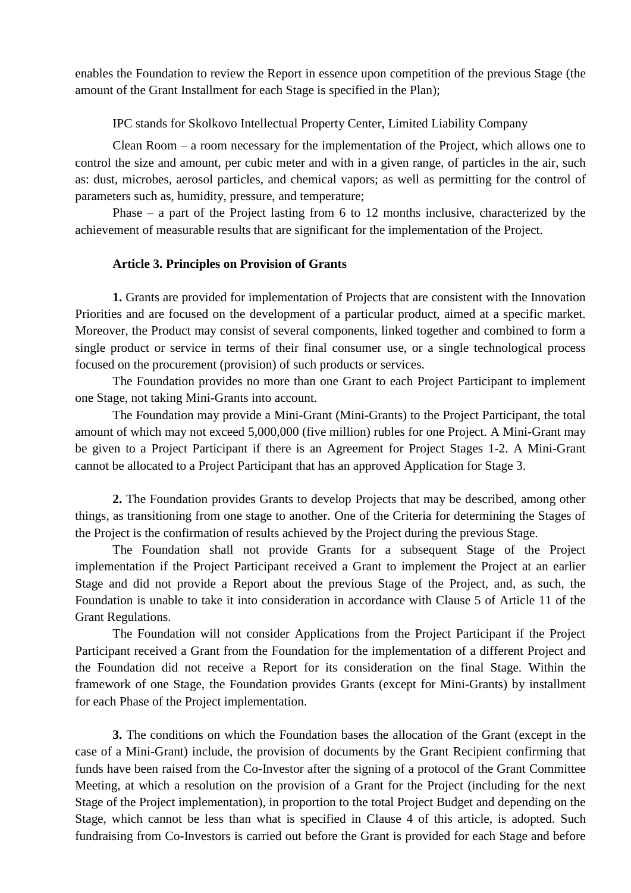enables the Foundation to review the Report in essence upon competition of the previous Stage (the amount of the Grant Installment for each Stage is specified in the Plan);

IPC stands for Skolkovo Intellectual Property Center, Limited Liability Company

Clean Room – a room necessary for the implementation of the Project, which allows one to control the size and amount, per cubic meter and with in a given range, of particles in the air, such as: dust, microbes, aerosol particles, and chemical vapors; as well as permitting for the control of parameters such as, humidity, pressure, and temperature;

Phase – a part of the Project lasting from 6 to 12 months inclusive, characterized by the achievement of measurable results that are significant for the implementation of the Project.

#### **Article 3. Principles on Provision of Grants**

**1.** Grants are provided for implementation of Projects that are consistent with the Innovation Priorities and are focused on the development of a particular product, aimed at a specific market. Moreover, the Product may consist of several components, linked together and combined to form a single product or service in terms of their final consumer use, or a single technological process focused on the procurement (provision) of such products or services.

The Foundation provides no more than one Grant to each Project Participant to implement one Stage, not taking Mini-Grants into account.

The Foundation may provide a Mini-Grant (Mini-Grants) to the Project Participant, the total amount of which may not exceed 5,000,000 (five million) rubles for one Project. A Mini-Grant may be given to a Project Participant if there is an Agreement for Project Stages 1-2. A Mini-Grant cannot be allocated to a Project Participant that has an approved Application for Stage 3.

**2.** The Foundation provides Grants to develop Projects that may be described, among other things, as transitioning from one stage to another. One of the Criteria for determining the Stages of the Project is the confirmation of results achieved by the Project during the previous Stage.

The Foundation shall not provide Grants for a subsequent Stage of the Project implementation if the Project Participant received a Grant to implement the Project at an earlier Stage and did not provide a Report about the previous Stage of the Project, and, as such, the Foundation is unable to take it into consideration in accordance with Clause 5 of Article 11 of the Grant Regulations.

The Foundation will not consider Applications from the Project Participant if the Project Participant received a Grant from the Foundation for the implementation of a different Project and the Foundation did not receive a Report for its consideration on the final Stage. Within the framework of one Stage, the Foundation provides Grants (except for Mini-Grants) by installment for each Phase of the Project implementation.

**3.** The conditions on which the Foundation bases the allocation of the Grant (except in the case of a Mini-Grant) include, the provision of documents by the Grant Recipient confirming that funds have been raised from the Co-Investor after the signing of a protocol of the Grant Committee Meeting, at which a resolution on the provision of a Grant for the Project (including for the next Stage of the Project implementation), in proportion to the total Project Budget and depending on the Stage, which cannot be less than what is specified in Clause 4 of this article, is adopted. Such fundraising from Co-Investors is carried out before the Grant is provided for each Stage and before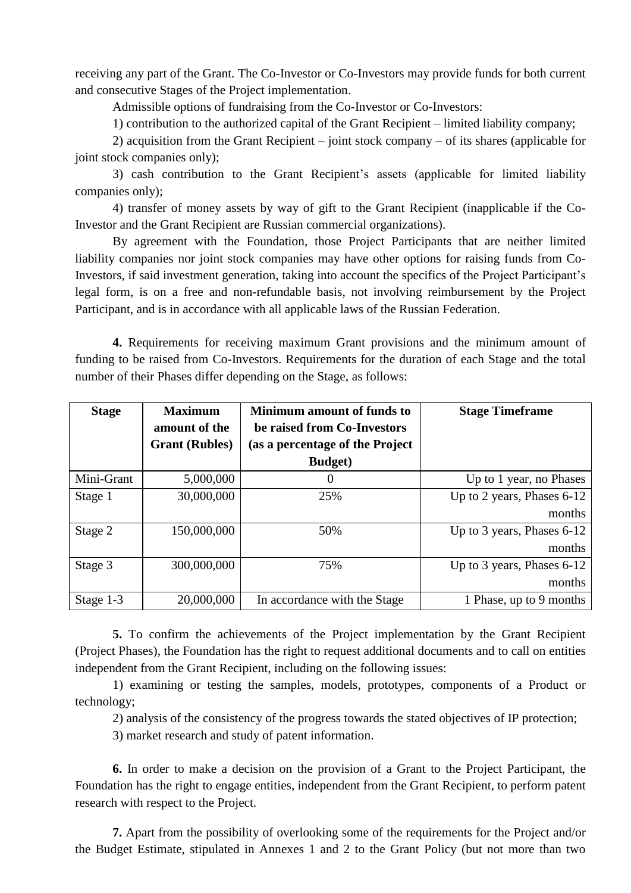receiving any part of the Grant. The Co-Investor or Co-Investors may provide funds for both current and consecutive Stages of the Project implementation.

Admissible options of fundraising from the Co-Investor or Co-Investors:

1) contribution to the authorized capital of the Grant Recipient – limited liability company;

2) acquisition from the Grant Recipient – joint stock company – of its shares (applicable for joint stock companies only);

3) cash contribution to the Grant Recipient's assets (applicable for limited liability companies only);

4) transfer of money assets by way of gift to the Grant Recipient (inapplicable if the Co-Investor and the Grant Recipient are Russian commercial organizations).

By agreement with the Foundation, those Project Participants that are neither limited liability companies nor joint stock companies may have other options for raising funds from Co-Investors, if said investment generation, taking into account the specifics of the Project Participant's legal form, is on a free and non-refundable basis, not involving reimbursement by the Project Participant, and is in accordance with all applicable laws of the Russian Federation.

**4.** Requirements for receiving maximum Grant provisions and the minimum amount of funding to be raised from Co-Investors. Requirements for the duration of each Stage and the total number of their Phases differ depending on the Stage, as follows:

| <b>Stage</b> | <b>Maximum</b><br>amount of the<br><b>Grant</b> (Rubles) | <b>Minimum amount of funds to</b><br>be raised from Co-Investors<br>(as a percentage of the Project<br><b>Budget</b> ) | <b>Stage Timeframe</b>     |
|--------------|----------------------------------------------------------|------------------------------------------------------------------------------------------------------------------------|----------------------------|
| Mini-Grant   | 5,000,000                                                | $\theta$                                                                                                               | Up to 1 year, no Phases    |
| Stage 1      | 30,000,000                                               | 25%                                                                                                                    | Up to 2 years, Phases 6-12 |
|              |                                                          |                                                                                                                        | months                     |
| Stage 2      | 150,000,000                                              | 50%                                                                                                                    | Up to 3 years, Phases 6-12 |
|              |                                                          |                                                                                                                        | months                     |
| Stage 3      | 300,000,000                                              | 75%                                                                                                                    | Up to 3 years, Phases 6-12 |
|              |                                                          |                                                                                                                        | months                     |
| Stage 1-3    | 20,000,000                                               | In accordance with the Stage                                                                                           | 1 Phase, up to 9 months    |

**5.** To confirm the achievements of the Project implementation by the Grant Recipient (Project Phases), the Foundation has the right to request additional documents and to call on entities independent from the Grant Recipient, including on the following issues:

1) examining or testing the samples, models, prototypes, components of a Product or technology;

2) analysis of the consistency of the progress towards the stated objectives of IP protection;

3) market research and study of patent information.

**6.** In order to make a decision on the provision of a Grant to the Project Participant, the Foundation has the right to engage entities, independent from the Grant Recipient, to perform patent research with respect to the Project.

**7.** Apart from the possibility of overlooking some of the requirements for the Project and/or the Budget Estimate, stipulated in Annexes 1 and 2 to the Grant Policy (but not more than two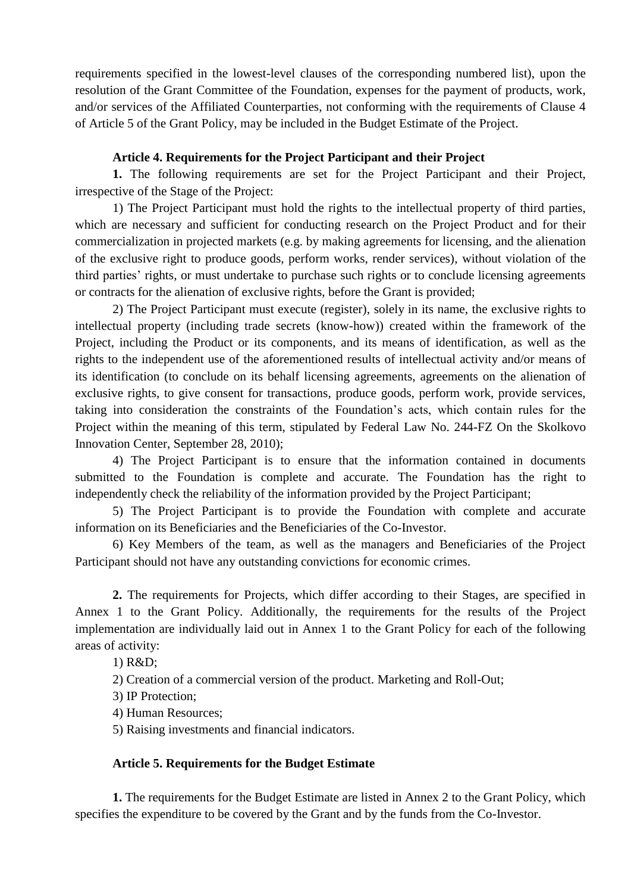requirements specified in the lowest-level clauses of the corresponding numbered list), upon the resolution of the Grant Committee of the Foundation, expenses for the payment of products, work, and/or services of the Affiliated Сounterparties, not conforming with the requirements of Clause 4 of Article 5 of the Grant Policy, may be included in the Budget Estimate of the Project.

### **Article 4. Requirements for the Project Participant and their Project**

**1.** The following requirements are set for the Project Participant and their Project, irrespective of the Stage of the Project:

1) The Project Participant must hold the rights to the intellectual property of third parties, which are necessary and sufficient for conducting research on the Project Product and for their commercialization in projected markets (e.g. by making agreements for licensing, and the alienation of the exclusive right to produce goods, perform works, render services), without violation of the third parties' rights, or must undertake to purchase such rights or to conclude licensing agreements or contracts for the alienation of exclusive rights, before the Grant is provided;

2) The Project Participant must execute (register), solely in its name, the exclusive rights to intellectual property (including trade secrets (know-how)) created within the framework of the Project, including the Product or its components, and its means of identification, as well as the rights to the independent use of the aforementioned results of intellectual activity and/or means of its identification (to conclude on its behalf licensing agreements, agreements on the alienation of exclusive rights, to give consent for transactions, produce goods, perform work, provide services, taking into consideration the constraints of the Foundation's acts, which contain rules for the Project within the meaning of this term, stipulated by Federal Law No. 244-FZ On the Skolkovo Innovation Center, September 28, 2010);

4) The Project Participant is to ensure that the information contained in documents submitted to the Foundation is complete and accurate. The Foundation has the right to independently check the reliability of the information provided by the Project Participant;

5) The Project Participant is to provide the Foundation with complete and accurate information on its Beneficiaries and the Beneficiaries of the Co-Investor.

6) Key Members of the team, as well as the managers and Beneficiaries of the Project Participant should not have any outstanding convictions for economic crimes.

**2.** The requirements for Projects, which differ according to their Stages, are specified in Annex 1 to the Grant Policy. Additionally, the requirements for the results of the Project implementation are individually laid out in Annex 1 to the Grant Policy for each of the following areas of activity:

1) R&D;

2) Creation of a commercial version of the product. Marketing and Roll-Out;

3) IP Protection;

4) Human Resources;

5) Raising investments and financial indicators.

#### **Article 5. Requirements for the Budget Estimate**

**1.** The requirements for the Budget Estimate are listed in Annex 2 to the Grant Policy, which specifies the expenditure to be covered by the Grant and by the funds from the Co-Investor.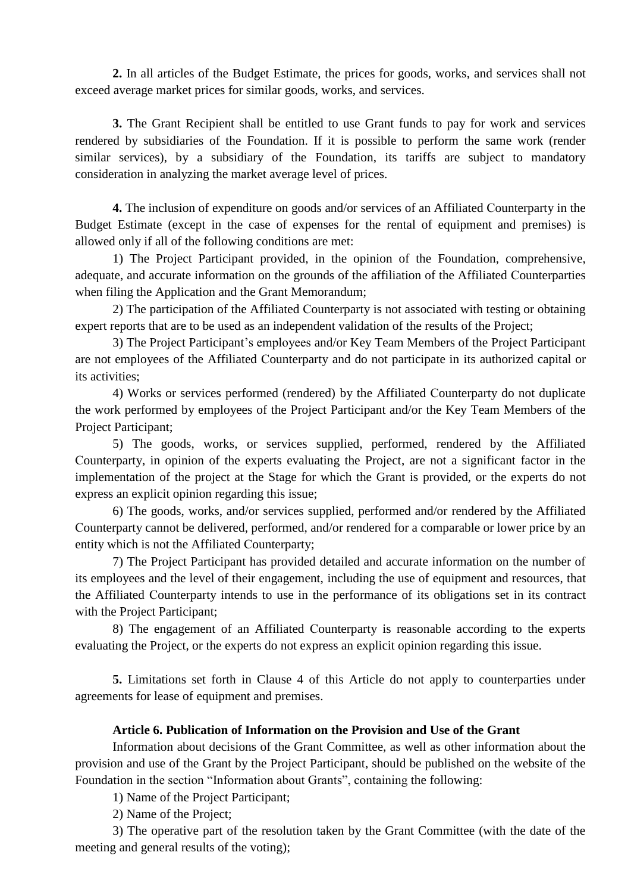**2.** In all articles of the Budget Estimate, the prices for goods, works, and services shall not exceed average market prices for similar goods, works, and services.

**3.** The Grant Recipient shall be entitled to use Grant funds to pay for work and services rendered by subsidiaries of the Foundation. If it is possible to perform the same work (render similar services), by a subsidiary of the Foundation, its tariffs are subject to mandatory consideration in analyzing the market average level of prices.

**4.** The inclusion of expenditure on goods and/or services of an Affiliated Сounterparty in the Budget Estimate (except in the case of expenses for the rental of equipment and premises) is allowed only if all of the following conditions are met:

1) The Project Participant provided, in the opinion of the Foundation, comprehensive, adequate, and accurate information on the grounds of the affiliation of the Affiliated Сounterparties when filing the Application and the Grant Memorandum;

2) The participation of the Affiliated Сounterparty is not associated with testing or obtaining expert reports that are to be used as an independent validation of the results of the Project;

3) The Project Participant's employees and/or Key Team Members of the Project Participant are not employees of the Affiliated Сounterparty and do not participate in its authorized capital or its activities;

4) Works or services performed (rendered) by the Affiliated Сounterparty do not duplicate the work performed by employees of the Project Participant and/or the Key Team Members of the Project Participant;

5) The goods, works, or services supplied, performed, rendered by the Affiliated Сounterparty, in opinion of the experts evaluating the Project, are not a significant factor in the implementation of the project at the Stage for which the Grant is provided, or the experts do not express an explicit opinion regarding this issue;

6) The goods, works, and/or services supplied, performed and/or rendered by the Affiliated Сounterparty cannot be delivered, performed, and/or rendered for a comparable or lower price by an entity which is not the Affiliated Сounterparty;

7) The Project Participant has provided detailed and accurate information on the number of its employees and the level of their engagement, including the use of equipment and resources, that the Affiliated Сounterparty intends to use in the performance of its obligations set in its contract with the Project Participant;

8) The engagement of an Affiliated Сounterparty is reasonable according to the experts evaluating the Project, or the experts do not express an explicit opinion regarding this issue.

**5.** Limitations set forth in Clause 4 of this Article do not apply to counterparties under agreements for lease of equipment and premises.

## **Article 6. Publication of Information on the Provision and Use of the Grant**

Information about decisions of the Grant Committee, as well as other information about the provision and use of the Grant by the Project Participant, should be published on the website of the Foundation in the section "Information about Grants", containing the following:

1) Name of the Project Participant;

2) Name of the Project;

3) The operative part of the resolution taken by the Grant Committee (with the date of the meeting and general results of the voting);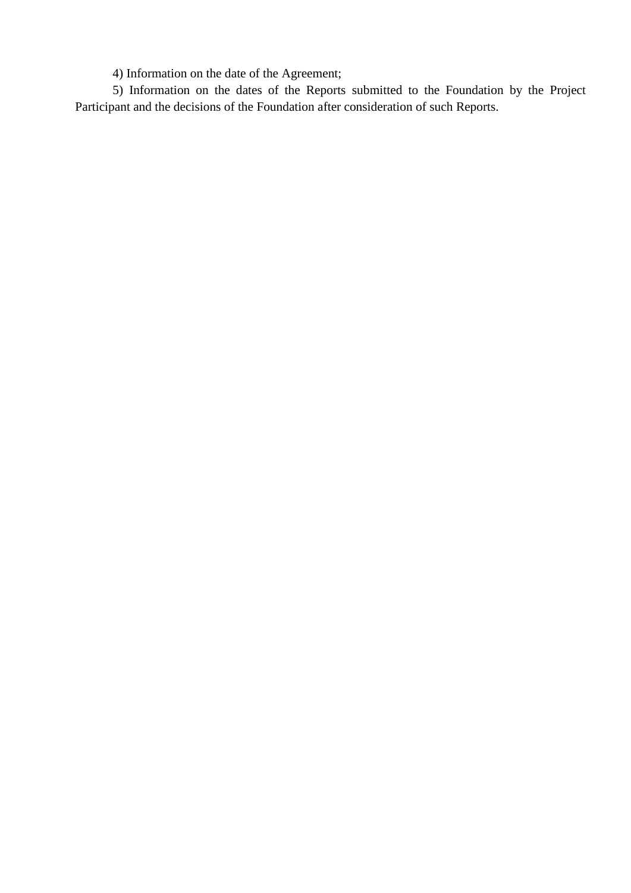4) Information on the date of the Agreement;

5) Information on the dates of the Reports submitted to the Foundation by the Project Participant and the decisions of the Foundation after consideration of such Reports.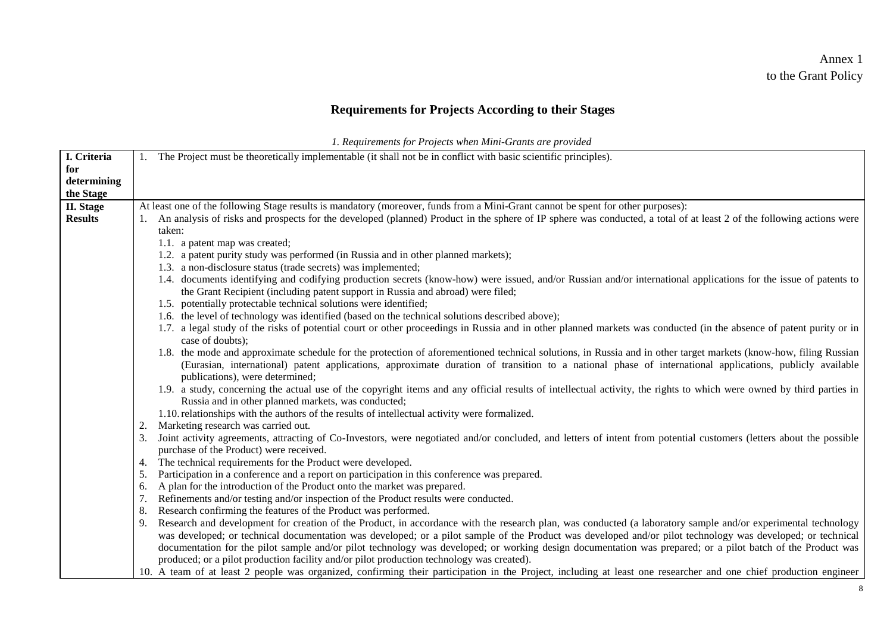# Annex 1 to the Grant Policy

# **Requirements for Projects According to their Stages**

*1. Requirements for Projects when Mini-Grants are provided*

| I. Criteria      | 1. The Project must be theoretically implementable (it shall not be in conflict with basic scientific principles).                                                                                                   |  |  |  |
|------------------|----------------------------------------------------------------------------------------------------------------------------------------------------------------------------------------------------------------------|--|--|--|
| for              |                                                                                                                                                                                                                      |  |  |  |
| determining      |                                                                                                                                                                                                                      |  |  |  |
| the Stage        |                                                                                                                                                                                                                      |  |  |  |
| <b>II.</b> Stage | At least one of the following Stage results is mandatory (moreover, funds from a Mini-Grant cannot be spent for other purposes):                                                                                     |  |  |  |
| <b>Results</b>   | An analysis of risks and prospects for the developed (planned) Product in the sphere of IP sphere was conducted, a total of at least 2 of the following actions were                                                 |  |  |  |
|                  | taken:                                                                                                                                                                                                               |  |  |  |
|                  | 1.1. a patent map was created;                                                                                                                                                                                       |  |  |  |
|                  | 1.2. a patent purity study was performed (in Russia and in other planned markets);                                                                                                                                   |  |  |  |
|                  | 1.3. a non-disclosure status (trade secrets) was implemented;                                                                                                                                                        |  |  |  |
|                  | 1.4. documents identifying and codifying production secrets (know-how) were issued, and/or Russian and/or international applications for the issue of patents to                                                     |  |  |  |
|                  | the Grant Recipient (including patent support in Russia and abroad) were filed;                                                                                                                                      |  |  |  |
|                  | 1.5. potentially protectable technical solutions were identified;                                                                                                                                                    |  |  |  |
|                  | 1.6. the level of technology was identified (based on the technical solutions described above);                                                                                                                      |  |  |  |
|                  | 1.7. a legal study of the risks of potential court or other proceedings in Russia and in other planned markets was conducted (in the absence of patent purity or in                                                  |  |  |  |
|                  | case of doubts);                                                                                                                                                                                                     |  |  |  |
|                  | 1.8. the mode and approximate schedule for the protection of aforementioned technical solutions, in Russia and in other target markets (know-how, filing Russian                                                     |  |  |  |
|                  | (Eurasian, international) patent applications, approximate duration of transition to a national phase of international applications, publicly available                                                              |  |  |  |
|                  | publications), were determined;                                                                                                                                                                                      |  |  |  |
|                  | 1.9. a study, concerning the actual use of the copyright items and any official results of intellectual activity, the rights to which were owned by third parties in                                                 |  |  |  |
|                  | Russia and in other planned markets, was conducted;                                                                                                                                                                  |  |  |  |
|                  | 1.10. relationships with the authors of the results of intellectual activity were formalized.                                                                                                                        |  |  |  |
|                  | Marketing research was carried out.<br>2.                                                                                                                                                                            |  |  |  |
|                  | Joint activity agreements, attracting of Co-Investors, were negotiated and/or concluded, and letters of intent from potential customers (letters about the possible<br>3.<br>purchase of the Product) were received. |  |  |  |
|                  | The technical requirements for the Product were developed.<br>4.                                                                                                                                                     |  |  |  |
|                  | Participation in a conference and a report on participation in this conference was prepared.<br>5.                                                                                                                   |  |  |  |
|                  | A plan for the introduction of the Product onto the market was prepared.<br>6.                                                                                                                                       |  |  |  |
|                  | Refinements and/or testing and/or inspection of the Product results were conducted.<br>7.                                                                                                                            |  |  |  |
|                  | Research confirming the features of the Product was performed.<br>8.                                                                                                                                                 |  |  |  |
|                  | Research and development for creation of the Product, in accordance with the research plan, was conducted (a laboratory sample and/or experimental technology<br>9.                                                  |  |  |  |
|                  | was developed; or technical documentation was developed; or a pilot sample of the Product was developed and/or pilot technology was developed; or technical                                                          |  |  |  |
|                  | documentation for the pilot sample and/or pilot technology was developed; or working design documentation was prepared; or a pilot batch of the Product was                                                          |  |  |  |
|                  | produced; or a pilot production facility and/or pilot production technology was created).                                                                                                                            |  |  |  |
|                  | 10. A team of at least 2 people was organized, confirming their participation in the Project, including at least one researcher and one chief production engineer                                                    |  |  |  |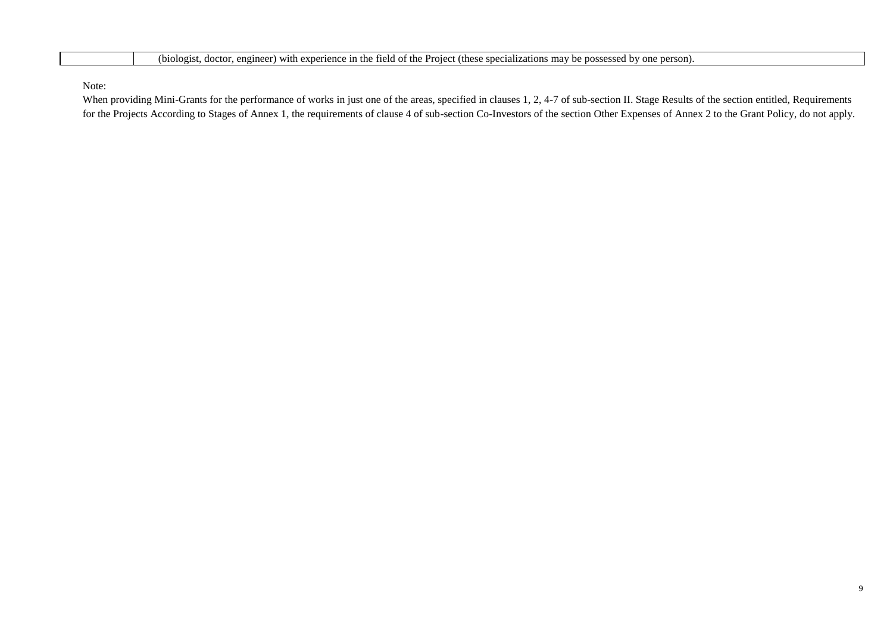(biologist, doctor, engineer) with experience in the field of the Project (these specializations may be possessed by one person).

Note:

When providing Mini-Grants for the performance of works in just one of the areas, specified in clauses 1, 2, 4-7 of sub-section II. Stage Results of the section entitled, Requirements for the Projects According to Stages of Annex 1, the requirements of clause 4 of sub-section Co-Investors of the section Other Expenses of Annex 2 to the Grant Policy, do not apply.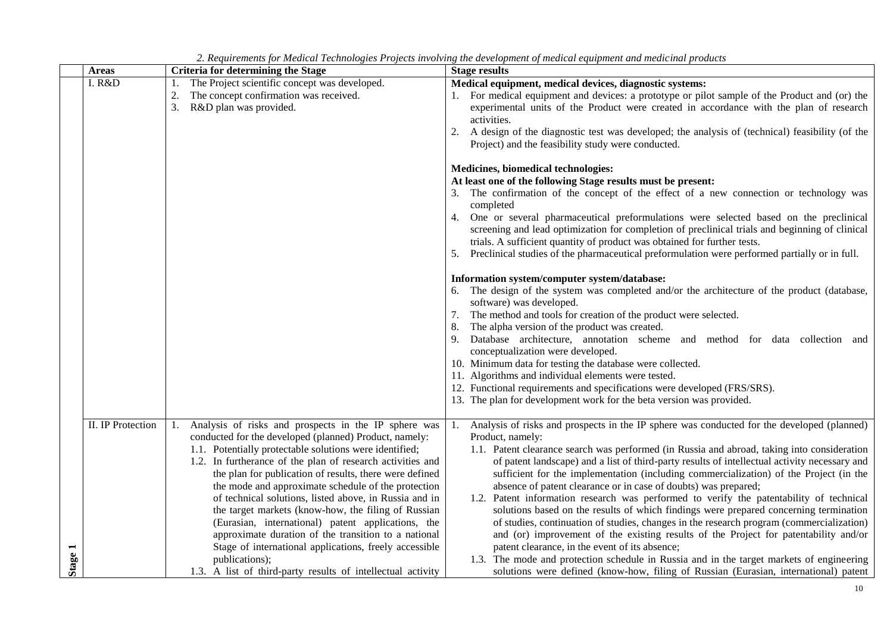|         | <b>Areas</b>      | <b>Criteria for determining the Stage</b>                   | <b>Stage results</b>                                                                                 |
|---------|-------------------|-------------------------------------------------------------|------------------------------------------------------------------------------------------------------|
|         | I. R&D            | The Project scientific concept was developed.<br>1.         | Medical equipment, medical devices, diagnostic systems:                                              |
|         |                   | The concept confirmation was received.<br>2.                | 1. For medical equipment and devices: a prototype or pilot sample of the Product and (or) the        |
|         |                   | R&D plan was provided.<br>3.                                | experimental units of the Product were created in accordance with the plan of research               |
|         |                   |                                                             | activities.                                                                                          |
|         |                   |                                                             | 2.<br>A design of the diagnostic test was developed; the analysis of (technical) feasibility (of the |
|         |                   |                                                             | Project) and the feasibility study were conducted.                                                   |
|         |                   |                                                             |                                                                                                      |
|         |                   |                                                             | Medicines, biomedical technologies:                                                                  |
|         |                   |                                                             | At least one of the following Stage results must be present:                                         |
|         |                   |                                                             | 3. The confirmation of the concept of the effect of a new connection or technology was               |
|         |                   |                                                             | completed                                                                                            |
|         |                   |                                                             | One or several pharmaceutical preformulations were selected based on the preclinical<br>4.           |
|         |                   |                                                             | screening and lead optimization for completion of preclinical trials and beginning of clinical       |
|         |                   |                                                             | trials. A sufficient quantity of product was obtained for further tests.                             |
|         |                   |                                                             | Preclinical studies of the pharmaceutical preformulation were performed partially or in full.<br>5.  |
|         |                   |                                                             |                                                                                                      |
|         |                   |                                                             | Information system/computer system/database:                                                         |
|         |                   |                                                             | 6. The design of the system was completed and/or the architecture of the product (database,          |
|         |                   |                                                             | software) was developed.                                                                             |
|         |                   |                                                             | 7. The method and tools for creation of the product were selected.                                   |
|         |                   |                                                             | The alpha version of the product was created.                                                        |
|         |                   |                                                             | Database architecture, annotation scheme and method for data collection and<br>9.                    |
|         |                   |                                                             | conceptualization were developed.                                                                    |
|         |                   |                                                             | 10. Minimum data for testing the database were collected.                                            |
|         |                   |                                                             | 11. Algorithms and individual elements were tested.                                                  |
|         |                   |                                                             | 12. Functional requirements and specifications were developed (FRS/SRS).                             |
|         |                   |                                                             | 13. The plan for development work for the beta version was provided.                                 |
|         |                   |                                                             |                                                                                                      |
|         | II. IP Protection | Analysis of risks and prospects in the IP sphere was<br>1.  | Analysis of risks and prospects in the IP sphere was conducted for the developed (planned)<br>1.     |
|         |                   | conducted for the developed (planned) Product, namely:      | Product, namely:                                                                                     |
|         |                   | 1.1. Potentially protectable solutions were identified;     | 1.1. Patent clearance search was performed (in Russia and abroad, taking into consideration          |
|         |                   | 1.2. In furtherance of the plan of research activities and  | of patent landscape) and a list of third-party results of intellectual activity necessary and        |
|         |                   | the plan for publication of results, there were defined     | sufficient for the implementation (including commercialization) of the Project (in the               |
|         |                   | the mode and approximate schedule of the protection         | absence of patent clearance or in case of doubts) was prepared;                                      |
|         |                   | of technical solutions, listed above, in Russia and in      | 1.2. Patent information research was performed to verify the patentability of technical              |
|         |                   | the target markets (know-how, the filing of Russian         | solutions based on the results of which findings were prepared concerning termination                |
|         |                   | (Eurasian, international) patent applications, the          | of studies, continuation of studies, changes in the research program (commercialization)             |
|         |                   | approximate duration of the transition to a national        | and (or) improvement of the existing results of the Project for patentability and/or                 |
|         |                   | Stage of international applications, freely accessible      | patent clearance, in the event of its absence;                                                       |
| Stage 1 |                   | publications);                                              | 1.3. The mode and protection schedule in Russia and in the target markets of engineering             |
|         |                   | 1.3. A list of third-party results of intellectual activity | solutions were defined (know-how, filing of Russian (Eurasian, international) patent                 |

*2. Requirements for Medical Technologies Projects involving the development of medical equipment and medicinal products*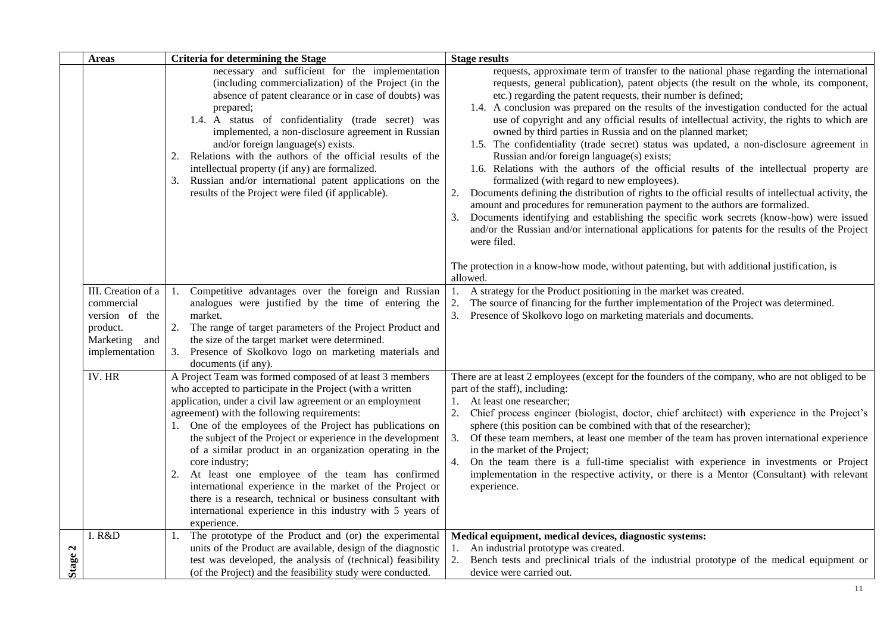|              | <b>Areas</b>                                                                | <b>Criteria for determining the Stage</b>                                                                                                                                                                                                                                                                                                                                                                                                                                                                                                                                          | <b>Stage results</b>                                                                                                                                                                                                                                                                                                                                                                                                                                                                                                                                                                                                                                                                                                                                                                                                                                                                                                                                                                                                                                                                                                                                                                                                                                                                                             |
|--------------|-----------------------------------------------------------------------------|------------------------------------------------------------------------------------------------------------------------------------------------------------------------------------------------------------------------------------------------------------------------------------------------------------------------------------------------------------------------------------------------------------------------------------------------------------------------------------------------------------------------------------------------------------------------------------|------------------------------------------------------------------------------------------------------------------------------------------------------------------------------------------------------------------------------------------------------------------------------------------------------------------------------------------------------------------------------------------------------------------------------------------------------------------------------------------------------------------------------------------------------------------------------------------------------------------------------------------------------------------------------------------------------------------------------------------------------------------------------------------------------------------------------------------------------------------------------------------------------------------------------------------------------------------------------------------------------------------------------------------------------------------------------------------------------------------------------------------------------------------------------------------------------------------------------------------------------------------------------------------------------------------|
|              |                                                                             | necessary and sufficient for the implementation<br>(including commercialization) of the Project (in the<br>absence of patent clearance or in case of doubts) was<br>prepared;<br>1.4. A status of confidentiality (trade secret) was<br>implemented, a non-disclosure agreement in Russian<br>and/or foreign language(s) exists.<br>Relations with the authors of the official results of the<br>2.<br>intellectual property (if any) are formalized.<br>Russian and/or international patent applications on the<br>3.<br>results of the Project were filed (if applicable).       | requests, approximate term of transfer to the national phase regarding the international<br>requests, general publication), patent objects (the result on the whole, its component,<br>etc.) regarding the patent requests, their number is defined;<br>1.4. A conclusion was prepared on the results of the investigation conducted for the actual<br>use of copyright and any official results of intellectual activity, the rights to which are<br>owned by third parties in Russia and on the planned market;<br>1.5. The confidentiality (trade secret) status was updated, a non-disclosure agreement in<br>Russian and/or foreign language(s) exists;<br>1.6. Relations with the authors of the official results of the intellectual property are<br>formalized (with regard to new employees).<br>Documents defining the distribution of rights to the official results of intellectual activity, the<br>amount and procedures for remuneration payment to the authors are formalized.<br>Documents identifying and establishing the specific work secrets (know-how) were issued<br>3.<br>and/or the Russian and/or international applications for patents for the results of the Project<br>were filed.<br>The protection in a know-how mode, without patenting, but with additional justification, is |
|              | III. Creation of a                                                          | 1. Competitive advantages over the foreign and Russian                                                                                                                                                                                                                                                                                                                                                                                                                                                                                                                             | allowed<br>A strategy for the Product positioning in the market was created.<br>1.                                                                                                                                                                                                                                                                                                                                                                                                                                                                                                                                                                                                                                                                                                                                                                                                                                                                                                                                                                                                                                                                                                                                                                                                                               |
|              | commercial<br>version of the<br>product.<br>Marketing and<br>implementation | analogues were justified by the time of entering the<br>market.<br>2. The range of target parameters of the Project Product and<br>the size of the target market were determined.<br>3. Presence of Skolkovo logo on marketing materials and<br>documents (if any).                                                                                                                                                                                                                                                                                                                | 2.<br>The source of financing for the further implementation of the Project was determined.<br>3.<br>Presence of Skolkovo logo on marketing materials and documents.                                                                                                                                                                                                                                                                                                                                                                                                                                                                                                                                                                                                                                                                                                                                                                                                                                                                                                                                                                                                                                                                                                                                             |
|              | IV. HR                                                                      | A Project Team was formed composed of at least 3 members<br>who accepted to participate in the Project (with a written                                                                                                                                                                                                                                                                                                                                                                                                                                                             | There are at least 2 employees (except for the founders of the company, who are not obliged to be<br>part of the staff), including:                                                                                                                                                                                                                                                                                                                                                                                                                                                                                                                                                                                                                                                                                                                                                                                                                                                                                                                                                                                                                                                                                                                                                                              |
|              |                                                                             | application, under a civil law agreement or an employment<br>agreement) with the following requirements:<br>1. One of the employees of the Project has publications on<br>the subject of the Project or experience in the development<br>of a similar product in an organization operating in the<br>core industry;<br>At least one employee of the team has confirmed<br>2.<br>international experience in the market of the Project or<br>there is a research, technical or business consultant with<br>international experience in this industry with 5 years of<br>experience. | At least one researcher;<br>1.<br>2.<br>Chief process engineer (biologist, doctor, chief architect) with experience in the Project's<br>sphere (this position can be combined with that of the researcher);<br>3.<br>Of these team members, at least one member of the team has proven international experience<br>in the market of the Project;<br>On the team there is a full-time specialist with experience in investments or Project<br>4.<br>implementation in the respective activity, or there is a Mentor (Consultant) with relevant<br>experience.                                                                                                                                                                                                                                                                                                                                                                                                                                                                                                                                                                                                                                                                                                                                                     |
| $\mathbf{z}$ | I. R&D                                                                      | The prototype of the Product and (or) the experimental<br>1.<br>units of the Product are available, design of the diagnostic                                                                                                                                                                                                                                                                                                                                                                                                                                                       | Medical equipment, medical devices, diagnostic systems:<br>An industrial prototype was created.                                                                                                                                                                                                                                                                                                                                                                                                                                                                                                                                                                                                                                                                                                                                                                                                                                                                                                                                                                                                                                                                                                                                                                                                                  |
| Stage:       |                                                                             | test was developed, the analysis of (technical) feasibility<br>(of the Project) and the feasibility study were conducted.                                                                                                                                                                                                                                                                                                                                                                                                                                                          | 2.<br>Bench tests and preclinical trials of the industrial prototype of the medical equipment or<br>device were carried out.                                                                                                                                                                                                                                                                                                                                                                                                                                                                                                                                                                                                                                                                                                                                                                                                                                                                                                                                                                                                                                                                                                                                                                                     |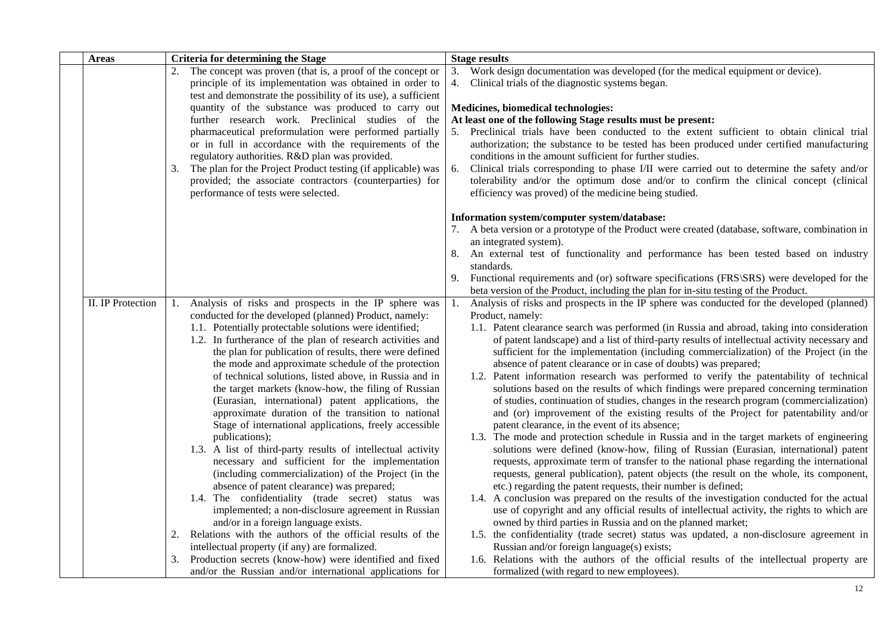| <b>Areas</b>      | <b>Criteria for determining the Stage</b>                                                                                                                                                                                                                                                                                                                                                                                                                                                                                                                                                                                                                                                                                                                                                                                                                                                                                                                                                                                                                                                                                                                                             | <b>Stage results</b>                                                                                                                                                                                                                                                                                                                                                                                                                                                                                                                                                                                                                                                                                                                                                                                                                                                                                                                                                                                                                                                                                                                                                                                                                                                                                                                                                                                                                                                                                                                                                                                                                                                                                                                                            |
|-------------------|---------------------------------------------------------------------------------------------------------------------------------------------------------------------------------------------------------------------------------------------------------------------------------------------------------------------------------------------------------------------------------------------------------------------------------------------------------------------------------------------------------------------------------------------------------------------------------------------------------------------------------------------------------------------------------------------------------------------------------------------------------------------------------------------------------------------------------------------------------------------------------------------------------------------------------------------------------------------------------------------------------------------------------------------------------------------------------------------------------------------------------------------------------------------------------------|-----------------------------------------------------------------------------------------------------------------------------------------------------------------------------------------------------------------------------------------------------------------------------------------------------------------------------------------------------------------------------------------------------------------------------------------------------------------------------------------------------------------------------------------------------------------------------------------------------------------------------------------------------------------------------------------------------------------------------------------------------------------------------------------------------------------------------------------------------------------------------------------------------------------------------------------------------------------------------------------------------------------------------------------------------------------------------------------------------------------------------------------------------------------------------------------------------------------------------------------------------------------------------------------------------------------------------------------------------------------------------------------------------------------------------------------------------------------------------------------------------------------------------------------------------------------------------------------------------------------------------------------------------------------------------------------------------------------------------------------------------------------|
|                   | 2. The concept was proven (that is, a proof of the concept or                                                                                                                                                                                                                                                                                                                                                                                                                                                                                                                                                                                                                                                                                                                                                                                                                                                                                                                                                                                                                                                                                                                         | Work design documentation was developed (for the medical equipment or device).<br>3.                                                                                                                                                                                                                                                                                                                                                                                                                                                                                                                                                                                                                                                                                                                                                                                                                                                                                                                                                                                                                                                                                                                                                                                                                                                                                                                                                                                                                                                                                                                                                                                                                                                                            |
|                   | principle of its implementation was obtained in order to                                                                                                                                                                                                                                                                                                                                                                                                                                                                                                                                                                                                                                                                                                                                                                                                                                                                                                                                                                                                                                                                                                                              | Clinical trials of the diagnostic systems began.<br>4.                                                                                                                                                                                                                                                                                                                                                                                                                                                                                                                                                                                                                                                                                                                                                                                                                                                                                                                                                                                                                                                                                                                                                                                                                                                                                                                                                                                                                                                                                                                                                                                                                                                                                                          |
|                   | test and demonstrate the possibility of its use), a sufficient                                                                                                                                                                                                                                                                                                                                                                                                                                                                                                                                                                                                                                                                                                                                                                                                                                                                                                                                                                                                                                                                                                                        |                                                                                                                                                                                                                                                                                                                                                                                                                                                                                                                                                                                                                                                                                                                                                                                                                                                                                                                                                                                                                                                                                                                                                                                                                                                                                                                                                                                                                                                                                                                                                                                                                                                                                                                                                                 |
|                   | quantity of the substance was produced to carry out                                                                                                                                                                                                                                                                                                                                                                                                                                                                                                                                                                                                                                                                                                                                                                                                                                                                                                                                                                                                                                                                                                                                   | Medicines, biomedical technologies:                                                                                                                                                                                                                                                                                                                                                                                                                                                                                                                                                                                                                                                                                                                                                                                                                                                                                                                                                                                                                                                                                                                                                                                                                                                                                                                                                                                                                                                                                                                                                                                                                                                                                                                             |
|                   | further research work. Preclinical studies of the                                                                                                                                                                                                                                                                                                                                                                                                                                                                                                                                                                                                                                                                                                                                                                                                                                                                                                                                                                                                                                                                                                                                     | At least one of the following Stage results must be present:                                                                                                                                                                                                                                                                                                                                                                                                                                                                                                                                                                                                                                                                                                                                                                                                                                                                                                                                                                                                                                                                                                                                                                                                                                                                                                                                                                                                                                                                                                                                                                                                                                                                                                    |
|                   | pharmaceutical preformulation were performed partially<br>or in full in accordance with the requirements of the<br>regulatory authorities. R&D plan was provided.<br>The plan for the Project Product testing (if applicable) was<br>3.<br>provided; the associate contractors (counterparties) for                                                                                                                                                                                                                                                                                                                                                                                                                                                                                                                                                                                                                                                                                                                                                                                                                                                                                   | 5. Preclinical trials have been conducted to the extent sufficient to obtain clinical trial<br>authorization; the substance to be tested has been produced under certified manufacturing<br>conditions in the amount sufficient for further studies.<br>Clinical trials corresponding to phase I/II were carried out to determine the safety and/or<br>6.<br>tolerability and/or the optimum dose and/or to confirm the clinical concept (clinical                                                                                                                                                                                                                                                                                                                                                                                                                                                                                                                                                                                                                                                                                                                                                                                                                                                                                                                                                                                                                                                                                                                                                                                                                                                                                                              |
|                   | performance of tests were selected.                                                                                                                                                                                                                                                                                                                                                                                                                                                                                                                                                                                                                                                                                                                                                                                                                                                                                                                                                                                                                                                                                                                                                   | efficiency was proved) of the medicine being studied.<br>Information system/computer system/database:                                                                                                                                                                                                                                                                                                                                                                                                                                                                                                                                                                                                                                                                                                                                                                                                                                                                                                                                                                                                                                                                                                                                                                                                                                                                                                                                                                                                                                                                                                                                                                                                                                                           |
|                   |                                                                                                                                                                                                                                                                                                                                                                                                                                                                                                                                                                                                                                                                                                                                                                                                                                                                                                                                                                                                                                                                                                                                                                                       | 7. A beta version or a prototype of the Product were created (database, software, combination in<br>an integrated system).                                                                                                                                                                                                                                                                                                                                                                                                                                                                                                                                                                                                                                                                                                                                                                                                                                                                                                                                                                                                                                                                                                                                                                                                                                                                                                                                                                                                                                                                                                                                                                                                                                      |
|                   |                                                                                                                                                                                                                                                                                                                                                                                                                                                                                                                                                                                                                                                                                                                                                                                                                                                                                                                                                                                                                                                                                                                                                                                       | An external test of functionality and performance has been tested based on industry<br>standards.                                                                                                                                                                                                                                                                                                                                                                                                                                                                                                                                                                                                                                                                                                                                                                                                                                                                                                                                                                                                                                                                                                                                                                                                                                                                                                                                                                                                                                                                                                                                                                                                                                                               |
|                   |                                                                                                                                                                                                                                                                                                                                                                                                                                                                                                                                                                                                                                                                                                                                                                                                                                                                                                                                                                                                                                                                                                                                                                                       | Functional requirements and (or) software specifications (FRS\SRS) were developed for the<br>9.                                                                                                                                                                                                                                                                                                                                                                                                                                                                                                                                                                                                                                                                                                                                                                                                                                                                                                                                                                                                                                                                                                                                                                                                                                                                                                                                                                                                                                                                                                                                                                                                                                                                 |
|                   |                                                                                                                                                                                                                                                                                                                                                                                                                                                                                                                                                                                                                                                                                                                                                                                                                                                                                                                                                                                                                                                                                                                                                                                       | beta version of the Product, including the plan for in-situ testing of the Product.                                                                                                                                                                                                                                                                                                                                                                                                                                                                                                                                                                                                                                                                                                                                                                                                                                                                                                                                                                                                                                                                                                                                                                                                                                                                                                                                                                                                                                                                                                                                                                                                                                                                             |
| II. IP Protection | Analysis of risks and prospects in the IP sphere was<br>$\mathbf{I}$ .<br>conducted for the developed (planned) Product, namely:<br>1.1. Potentially protectable solutions were identified;<br>1.2. In furtherance of the plan of research activities and<br>the plan for publication of results, there were defined<br>the mode and approximate schedule of the protection<br>of technical solutions, listed above, in Russia and in<br>the target markets (know-how, the filing of Russian<br>(Eurasian, international) patent applications, the<br>approximate duration of the transition to national<br>Stage of international applications, freely accessible<br>publications);<br>1.3. A list of third-party results of intellectual activity<br>necessary and sufficient for the implementation<br>(including commercialization) of the Project (in the<br>absence of patent clearance) was prepared;<br>1.4. The confidentiality (trade secret) status was<br>implemented; a non-disclosure agreement in Russian<br>and/or in a foreign language exists.<br>Relations with the authors of the official results of the<br>2.<br>intellectual property (if any) are formalized. | Analysis of risks and prospects in the IP sphere was conducted for the developed (planned)<br>1.<br>Product, namely:<br>1.1. Patent clearance search was performed (in Russia and abroad, taking into consideration<br>of patent landscape) and a list of third-party results of intellectual activity necessary and<br>sufficient for the implementation (including commercialization) of the Project (in the<br>absence of patent clearance or in case of doubts) was prepared;<br>1.2. Patent information research was performed to verify the patentability of technical<br>solutions based on the results of which findings were prepared concerning termination<br>of studies, continuation of studies, changes in the research program (commercialization)<br>and (or) improvement of the existing results of the Project for patentability and/or<br>patent clearance, in the event of its absence;<br>1.3. The mode and protection schedule in Russia and in the target markets of engineering<br>solutions were defined (know-how, filing of Russian (Eurasian, international) patent<br>requests, approximate term of transfer to the national phase regarding the international<br>requests, general publication), patent objects (the result on the whole, its component,<br>etc.) regarding the patent requests, their number is defined;<br>1.4. A conclusion was prepared on the results of the investigation conducted for the actual<br>use of copyright and any official results of intellectual activity, the rights to which are<br>owned by third parties in Russia and on the planned market;<br>1.5. the confidentiality (trade secret) status was updated, a non-disclosure agreement in<br>Russian and/or foreign language(s) exists; |
|                   | Production secrets (know-how) were identified and fixed<br>and/or the Russian and/or international applications for                                                                                                                                                                                                                                                                                                                                                                                                                                                                                                                                                                                                                                                                                                                                                                                                                                                                                                                                                                                                                                                                   | 1.6. Relations with the authors of the official results of the intellectual property are<br>formalized (with regard to new employees).                                                                                                                                                                                                                                                                                                                                                                                                                                                                                                                                                                                                                                                                                                                                                                                                                                                                                                                                                                                                                                                                                                                                                                                                                                                                                                                                                                                                                                                                                                                                                                                                                          |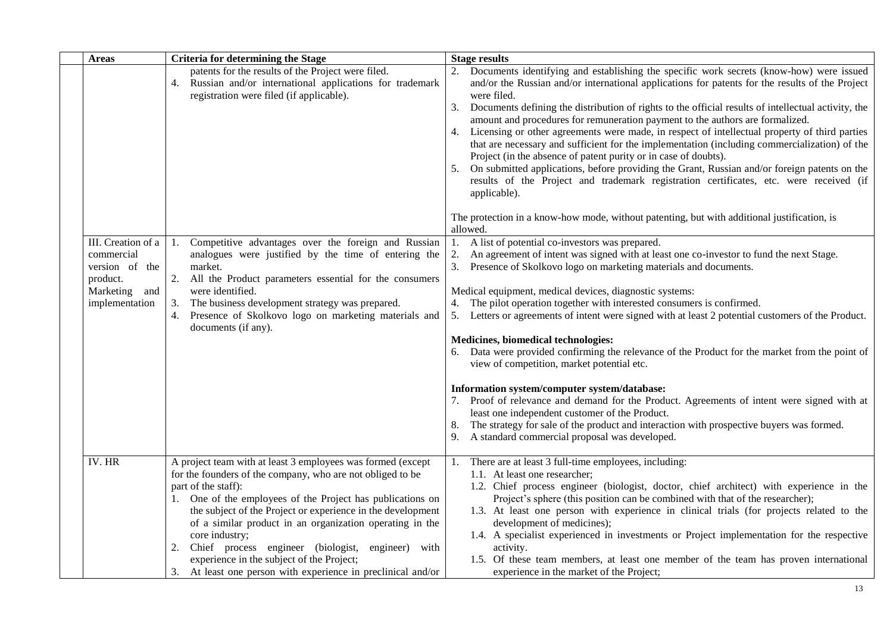| <b>Areas</b>                                                                                      | <b>Criteria for determining the Stage</b>                                                                                                                                                                                                                                                                                                                                                                                                                                                                                        | <b>Stage results</b>                                                                                                                                                                                                                                                                                                                                                                                                                                                                                                                                                                                                                                                                                                                                                                                                                                                                                                                                                                                                          |
|---------------------------------------------------------------------------------------------------|----------------------------------------------------------------------------------------------------------------------------------------------------------------------------------------------------------------------------------------------------------------------------------------------------------------------------------------------------------------------------------------------------------------------------------------------------------------------------------------------------------------------------------|-------------------------------------------------------------------------------------------------------------------------------------------------------------------------------------------------------------------------------------------------------------------------------------------------------------------------------------------------------------------------------------------------------------------------------------------------------------------------------------------------------------------------------------------------------------------------------------------------------------------------------------------------------------------------------------------------------------------------------------------------------------------------------------------------------------------------------------------------------------------------------------------------------------------------------------------------------------------------------------------------------------------------------|
|                                                                                                   | patents for the results of the Project were filed.<br>4. Russian and/or international applications for trademark<br>registration were filed (if applicable).                                                                                                                                                                                                                                                                                                                                                                     | Documents identifying and establishing the specific work secrets (know-how) were issued<br>and/or the Russian and/or international applications for patents for the results of the Project<br>were filed.<br>Documents defining the distribution of rights to the official results of intellectual activity, the<br>3.<br>amount and procedures for remuneration payment to the authors are formalized.<br>Licensing or other agreements were made, in respect of intellectual property of third parties<br>4.<br>that are necessary and sufficient for the implementation (including commercialization) of the<br>Project (in the absence of patent purity or in case of doubts).<br>On submitted applications, before providing the Grant, Russian and/or foreign patents on the<br>5.<br>results of the Project and trademark registration certificates, etc. were received (if<br>applicable).<br>The protection in a know-how mode, without patenting, but with additional justification, is                             |
| III. Creation of a<br>commercial<br>version of the<br>product.<br>Marketing and<br>implementation | 1. Competitive advantages over the foreign and Russian<br>analogues were justified by the time of entering the<br>market.<br>2. All the Product parameters essential for the consumers<br>were identified.<br>The business development strategy was prepared.<br>3.<br>Presence of Skolkovo logo on marketing materials and<br>4.<br>documents (if any).                                                                                                                                                                         | allowed.<br>A list of potential co-investors was prepared.<br>1.<br>2.<br>An agreement of intent was signed with at least one co-investor to fund the next Stage.<br>3. Presence of Skolkovo logo on marketing materials and documents.<br>Medical equipment, medical devices, diagnostic systems:<br>4. The pilot operation together with interested consumers is confirmed.<br>5. Letters or agreements of intent were signed with at least 2 potential customers of the Product.<br>Medicines, biomedical technologies:<br>6. Data were provided confirming the relevance of the Product for the market from the point of<br>view of competition, market potential etc.<br>Information system/computer system/database:<br>Proof of relevance and demand for the Product. Agreements of intent were signed with at<br>least one independent customer of the Product.<br>The strategy for sale of the product and interaction with prospective buyers was formed.<br>8.<br>9. A standard commercial proposal was developed. |
| IV. HR                                                                                            | A project team with at least 3 employees was formed (except<br>for the founders of the company, who are not obliged to be<br>part of the staff):<br>1. One of the employees of the Project has publications on<br>the subject of the Project or experience in the development<br>of a similar product in an organization operating in the<br>core industry;<br>Chief process engineer (biologist, engineer) with<br>experience in the subject of the Project;<br>At least one person with experience in preclinical and/or<br>3. | There are at least 3 full-time employees, including:<br>1.1. At least one researcher;<br>1.2. Chief process engineer (biologist, doctor, chief architect) with experience in the<br>Project's sphere (this position can be combined with that of the researcher);<br>1.3. At least one person with experience in clinical trials (for projects related to the<br>development of medicines);<br>1.4. A specialist experienced in investments or Project implementation for the respective<br>activity.<br>1.5. Of these team members, at least one member of the team has proven international<br>experience in the market of the Project;                                                                                                                                                                                                                                                                                                                                                                                     |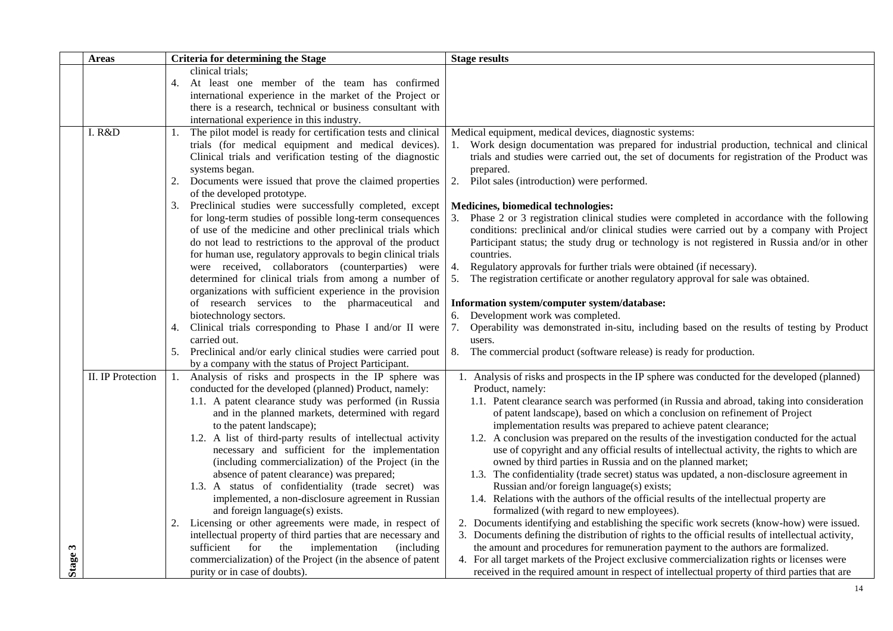|                                                                                                                                                                                                                                                                                                                                                                                                                                                                                                                                                                                                                                                                                                                                                                                                                           | <b>Stage results</b>                                                                                                                                                                                                                                                                                                                                                                                                                                                                                                                                                                                                                                                                                                                                                                                                                                                                                                                                                                                                                                                                                                                                                                                                                                                                                                                                                                                            |
|---------------------------------------------------------------------------------------------------------------------------------------------------------------------------------------------------------------------------------------------------------------------------------------------------------------------------------------------------------------------------------------------------------------------------------------------------------------------------------------------------------------------------------------------------------------------------------------------------------------------------------------------------------------------------------------------------------------------------------------------------------------------------------------------------------------------------|-----------------------------------------------------------------------------------------------------------------------------------------------------------------------------------------------------------------------------------------------------------------------------------------------------------------------------------------------------------------------------------------------------------------------------------------------------------------------------------------------------------------------------------------------------------------------------------------------------------------------------------------------------------------------------------------------------------------------------------------------------------------------------------------------------------------------------------------------------------------------------------------------------------------------------------------------------------------------------------------------------------------------------------------------------------------------------------------------------------------------------------------------------------------------------------------------------------------------------------------------------------------------------------------------------------------------------------------------------------------------------------------------------------------|
| clinical trials;<br>4. At least one member of the team has confirmed                                                                                                                                                                                                                                                                                                                                                                                                                                                                                                                                                                                                                                                                                                                                                      |                                                                                                                                                                                                                                                                                                                                                                                                                                                                                                                                                                                                                                                                                                                                                                                                                                                                                                                                                                                                                                                                                                                                                                                                                                                                                                                                                                                                                 |
| there is a research, technical or business consultant with                                                                                                                                                                                                                                                                                                                                                                                                                                                                                                                                                                                                                                                                                                                                                                |                                                                                                                                                                                                                                                                                                                                                                                                                                                                                                                                                                                                                                                                                                                                                                                                                                                                                                                                                                                                                                                                                                                                                                                                                                                                                                                                                                                                                 |
| The pilot model is ready for certification tests and clinical<br>trials (for medical equipment and medical devices).<br>Clinical trials and verification testing of the diagnostic                                                                                                                                                                                                                                                                                                                                                                                                                                                                                                                                                                                                                                        | Medical equipment, medical devices, diagnostic systems:<br>Work design documentation was prepared for industrial production, technical and clinical<br>trials and studies were carried out, the set of documents for registration of the Product was<br>prepared.                                                                                                                                                                                                                                                                                                                                                                                                                                                                                                                                                                                                                                                                                                                                                                                                                                                                                                                                                                                                                                                                                                                                               |
| Documents were issued that prove the claimed properties                                                                                                                                                                                                                                                                                                                                                                                                                                                                                                                                                                                                                                                                                                                                                                   | 2.<br>Pilot sales (introduction) were performed.                                                                                                                                                                                                                                                                                                                                                                                                                                                                                                                                                                                                                                                                                                                                                                                                                                                                                                                                                                                                                                                                                                                                                                                                                                                                                                                                                                |
| Preclinical studies were successfully completed, except<br>for long-term studies of possible long-term consequences<br>of use of the medicine and other preclinical trials which                                                                                                                                                                                                                                                                                                                                                                                                                                                                                                                                                                                                                                          | Medicines, biomedical technologies:<br>3.<br>Phase 2 or 3 registration clinical studies were completed in accordance with the following<br>conditions: preclinical and/or clinical studies were carried out by a company with Project                                                                                                                                                                                                                                                                                                                                                                                                                                                                                                                                                                                                                                                                                                                                                                                                                                                                                                                                                                                                                                                                                                                                                                           |
| for human use, regulatory approvals to begin clinical trials<br>were received, collaborators (counterparties) were<br>determined for clinical trials from among a number of                                                                                                                                                                                                                                                                                                                                                                                                                                                                                                                                                                                                                                               | Participant status; the study drug or technology is not registered in Russia and/or in other<br>countries.<br>Regulatory approvals for further trials were obtained (if necessary).<br>4.<br>5.<br>The registration certificate or another regulatory approval for sale was obtained.                                                                                                                                                                                                                                                                                                                                                                                                                                                                                                                                                                                                                                                                                                                                                                                                                                                                                                                                                                                                                                                                                                                           |
| organizations with sufficient experience in the provision<br>of research services to the pharmaceutical and<br>biotechnology sectors.                                                                                                                                                                                                                                                                                                                                                                                                                                                                                                                                                                                                                                                                                     | Information system/computer system/database:<br>6. Development work was completed.                                                                                                                                                                                                                                                                                                                                                                                                                                                                                                                                                                                                                                                                                                                                                                                                                                                                                                                                                                                                                                                                                                                                                                                                                                                                                                                              |
| Clinical trials corresponding to Phase I and/or II were<br>4.<br>carried out.                                                                                                                                                                                                                                                                                                                                                                                                                                                                                                                                                                                                                                                                                                                                             | 7.<br>Operability was demonstrated in-situ, including based on the results of testing by Product<br>users.                                                                                                                                                                                                                                                                                                                                                                                                                                                                                                                                                                                                                                                                                                                                                                                                                                                                                                                                                                                                                                                                                                                                                                                                                                                                                                      |
| Preclinical and/or early clinical studies were carried pout<br>5.<br>by a company with the status of Project Participant.                                                                                                                                                                                                                                                                                                                                                                                                                                                                                                                                                                                                                                                                                                 | 8.<br>The commercial product (software release) is ready for production.                                                                                                                                                                                                                                                                                                                                                                                                                                                                                                                                                                                                                                                                                                                                                                                                                                                                                                                                                                                                                                                                                                                                                                                                                                                                                                                                        |
| conducted for the developed (planned) Product, namely:<br>1.1. A patent clearance study was performed (in Russia<br>and in the planned markets, determined with regard<br>to the patent landscape);<br>1.2. A list of third-party results of intellectual activity<br>necessary and sufficient for the implementation<br>(including commercialization) of the Project (in the<br>absence of patent clearance) was prepared;<br>1.3. A status of confidentiality (trade secret) was<br>implemented, a non-disclosure agreement in Russian<br>and foreign language(s) exists.<br>Licensing or other agreements were made, in respect of<br>intellectual property of third parties that are necessary and<br>sufficient for the implementation<br>(including)<br>commercialization) of the Project (in the absence of patent | 1. Analysis of risks and prospects in the IP sphere was conducted for the developed (planned)<br>Product, namely:<br>1.1. Patent clearance search was performed (in Russia and abroad, taking into consideration<br>of patent landscape), based on which a conclusion on refinement of Project<br>implementation results was prepared to achieve patent clearance;<br>1.2. A conclusion was prepared on the results of the investigation conducted for the actual<br>use of copyright and any official results of intellectual activity, the rights to which are<br>owned by third parties in Russia and on the planned market;<br>1.3. The confidentiality (trade secret) status was updated, a non-disclosure agreement in<br>Russian and/or foreign language(s) exists;<br>1.4. Relations with the authors of the official results of the intellectual property are<br>formalized (with regard to new employees).<br>2. Documents identifying and establishing the specific work secrets (know-how) were issued.<br>3. Documents defining the distribution of rights to the official results of intellectual activity,<br>the amount and procedures for remuneration payment to the authors are formalized.<br>4. For all target markets of the Project exclusive commercialization rights or licenses were<br>received in the required amount in respect of intellectual property of third parties that are |
|                                                                                                                                                                                                                                                                                                                                                                                                                                                                                                                                                                                                                                                                                                                                                                                                                           | <b>Criteria for determining the Stage</b><br>international experience in the market of the Project or<br>international experience in this industry.<br>systems began.<br>of the developed prototype.<br>do not lead to restrictions to the approval of the product<br>1. Analysis of risks and prospects in the IP sphere was<br>purity or in case of doubts).                                                                                                                                                                                                                                                                                                                                                                                                                                                                                                                                                                                                                                                                                                                                                                                                                                                                                                                                                                                                                                                  |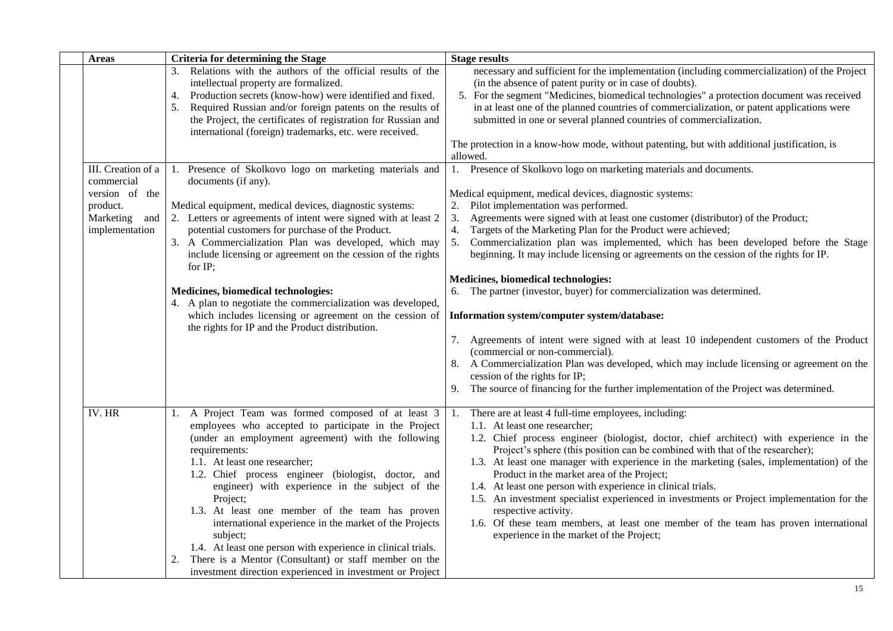| <b>Areas</b>                                                                                      | <b>Criteria for determining the Stage</b>                                                                                                                                                                                                                                                                                                                                                                                                                                                                                                                                                                                                                   | <b>Stage results</b>                                                                                                                                                                                                                                                                                                                                                                                                                                                                                                                                                                                                                                                                                                                                                                                                                                                                                                                                                                                                                                                   |
|---------------------------------------------------------------------------------------------------|-------------------------------------------------------------------------------------------------------------------------------------------------------------------------------------------------------------------------------------------------------------------------------------------------------------------------------------------------------------------------------------------------------------------------------------------------------------------------------------------------------------------------------------------------------------------------------------------------------------------------------------------------------------|------------------------------------------------------------------------------------------------------------------------------------------------------------------------------------------------------------------------------------------------------------------------------------------------------------------------------------------------------------------------------------------------------------------------------------------------------------------------------------------------------------------------------------------------------------------------------------------------------------------------------------------------------------------------------------------------------------------------------------------------------------------------------------------------------------------------------------------------------------------------------------------------------------------------------------------------------------------------------------------------------------------------------------------------------------------------|
|                                                                                                   | Relations with the authors of the official results of the<br>intellectual property are formalized.<br>Production secrets (know-how) were identified and fixed.<br>4.<br>Required Russian and/or foreign patents on the results of<br>5.<br>the Project, the certificates of registration for Russian and<br>international (foreign) trademarks, etc. were received.                                                                                                                                                                                                                                                                                         | necessary and sufficient for the implementation (including commercialization) of the Project<br>(in the absence of patent purity or in case of doubts).<br>5. For the segment "Medicines, biomedical technologies" a protection document was received<br>in at least one of the planned countries of commercialization, or patent applications were<br>submitted in one or several planned countries of commercialization.<br>The protection in a know-how mode, without patenting, but with additional justification, is                                                                                                                                                                                                                                                                                                                                                                                                                                                                                                                                              |
| III. Creation of a<br>commercial<br>version of the<br>product.<br>Marketing and<br>implementation | Presence of Skolkovo logo on marketing materials and<br>1.<br>documents (if any).<br>Medical equipment, medical devices, diagnostic systems:<br>2. Letters or agreements of intent were signed with at least 2<br>potential customers for purchase of the Product.<br>3. A Commercialization Plan was developed, which may<br>include licensing or agreement on the cession of the rights<br>for IP:<br>Medicines, biomedical technologies:<br>4. A plan to negotiate the commercialization was developed,<br>which includes licensing or agreement on the cession of<br>the rights for IP and the Product distribution.                                    | allowed.<br>1. Presence of Skolkovo logo on marketing materials and documents.<br>Medical equipment, medical devices, diagnostic systems:<br>Pilot implementation was performed.<br>2.<br>Agreements were signed with at least one customer (distributor) of the Product;<br>3.<br>Targets of the Marketing Plan for the Product were achieved;<br>4.<br>5.<br>Commercialization plan was implemented, which has been developed before the Stage<br>beginning. It may include licensing or agreements on the cession of the rights for IP.<br>Medicines, biomedical technologies:<br>6. The partner (investor, buyer) for commercialization was determined.<br>Information system/computer system/database:<br>7. Agreements of intent were signed with at least 10 independent customers of the Product<br>(commercial or non-commercial).<br>8. A Commercialization Plan was developed, which may include licensing or agreement on the<br>cession of the rights for IP;<br>9. The source of financing for the further implementation of the Project was determined. |
| IV. HR                                                                                            | A Project Team was formed composed of at least 3<br>1.<br>employees who accepted to participate in the Project<br>(under an employment agreement) with the following<br>requirements:<br>1.1. At least one researcher;<br>1.2. Chief process engineer (biologist, doctor, and<br>engineer) with experience in the subject of the<br>Project;<br>1.3. At least one member of the team has proven<br>international experience in the market of the Projects<br>subject;<br>1.4. At least one person with experience in clinical trials.<br>There is a Mentor (Consultant) or staff member on the<br>investment direction experienced in investment or Project | There are at least 4 full-time employees, including:<br>1.<br>1.1. At least one researcher;<br>1.2. Chief process engineer (biologist, doctor, chief architect) with experience in the<br>Project's sphere (this position can be combined with that of the researcher);<br>1.3. At least one manager with experience in the marketing (sales, implementation) of the<br>Product in the market area of the Project;<br>1.4. At least one person with experience in clinical trials.<br>1.5. An investment specialist experienced in investments or Project implementation for the<br>respective activity.<br>1.6. Of these team members, at least one member of the team has proven international<br>experience in the market of the Project;                                                                                                                                                                                                                                                                                                                           |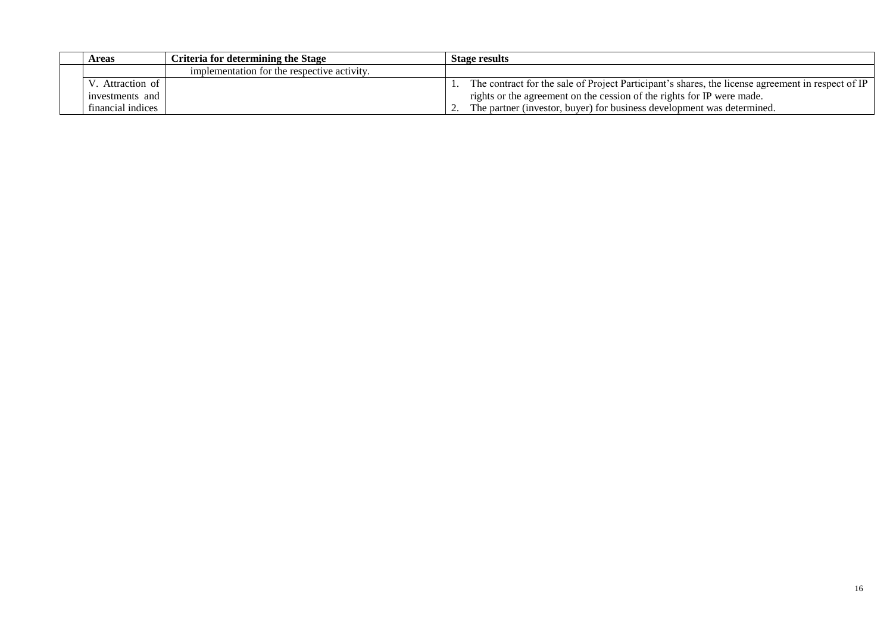| <b>Areas</b>      | Criteria for determining the Stage          | Stage results                                                                                     |
|-------------------|---------------------------------------------|---------------------------------------------------------------------------------------------------|
|                   | implementation for the respective activity. |                                                                                                   |
| Attraction of     |                                             | The contract for the sale of Project Participant's shares, the license agreement in respect of IP |
| investments and   |                                             | rights or the agreement on the cession of the rights for IP were made.                            |
| financial indices |                                             | The partner (investor, buyer) for business development was determined.                            |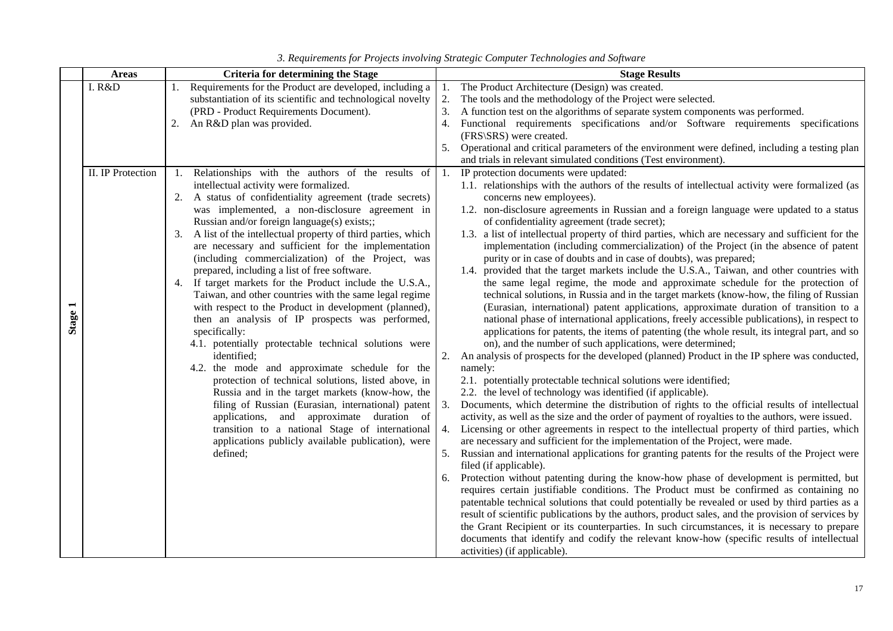|         | <b>Areas</b>      |    | <b>Criteria for determining the Stage</b>                                                                                                                                  |          | <b>Stage Results</b>                                                                                                                                                                                                                                                                    |
|---------|-------------------|----|----------------------------------------------------------------------------------------------------------------------------------------------------------------------------|----------|-----------------------------------------------------------------------------------------------------------------------------------------------------------------------------------------------------------------------------------------------------------------------------------------|
|         | I. R&D            |    | Requirements for the Product are developed, including a<br>substantiation of its scientific and technological novelty                                                      | 2.       | The Product Architecture (Design) was created.<br>The tools and the methodology of the Project were selected.                                                                                                                                                                           |
|         |                   | 2. | (PRD - Product Requirements Document).<br>An R&D plan was provided.                                                                                                        | 3.<br>4. | A function test on the algorithms of separate system components was performed.<br>Functional requirements specifications and/or Software requirements specifications                                                                                                                    |
|         |                   |    |                                                                                                                                                                            |          | (FRS\SRS) were created.                                                                                                                                                                                                                                                                 |
|         |                   |    |                                                                                                                                                                            |          | 5. Operational and critical parameters of the environment were defined, including a testing plan                                                                                                                                                                                        |
|         |                   |    |                                                                                                                                                                            |          | and trials in relevant simulated conditions (Test environment).                                                                                                                                                                                                                         |
|         | II. IP Protection |    | 1. Relationships with the authors of the results of $\vert$ 1. IP protection documents were updated:                                                                       |          |                                                                                                                                                                                                                                                                                         |
|         |                   |    | intellectual activity were formalized.<br>2. A status of confidentiality agreement (trade secrets)                                                                         |          | 1.1. relationships with the authors of the results of intellectual activity were formalized (as<br>concerns new employees).                                                                                                                                                             |
|         |                   |    | was implemented, a non-disclosure agreement in                                                                                                                             |          | 1.2. non-disclosure agreements in Russian and a foreign language were updated to a status                                                                                                                                                                                               |
|         |                   |    | Russian and/or foreign language(s) exists;;                                                                                                                                |          | of confidentiality agreement (trade secret);                                                                                                                                                                                                                                            |
|         |                   |    | 3. A list of the intellectual property of third parties, which<br>are necessary and sufficient for the implementation<br>(including commercialization) of the Project, was |          | 1.3. a list of intellectual property of third parties, which are necessary and sufficient for the<br>implementation (including commercialization) of the Project (in the absence of patent<br>purity or in case of doubts and in case of doubts), was prepared;                         |
|         |                   |    | prepared, including a list of free software.                                                                                                                               |          | 1.4. provided that the target markets include the U.S.A., Taiwan, and other countries with                                                                                                                                                                                              |
|         |                   | 4. | If target markets for the Product include the U.S.A.,<br>Taiwan, and other countries with the same legal regime                                                            |          | the same legal regime, the mode and approximate schedule for the protection of<br>technical solutions, in Russia and in the target markets (know-how, the filing of Russian                                                                                                             |
| Stage 1 |                   |    | with respect to the Product in development (planned),<br>then an analysis of IP prospects was performed,<br>specifically:                                                  |          | (Eurasian, international) patent applications, approximate duration of transition to a<br>national phase of international applications, freely accessible publications), in respect to<br>applications for patents, the items of patenting (the whole result, its integral part, and so |
|         |                   |    | 4.1. potentially protectable technical solutions were                                                                                                                      |          | on), and the number of such applications, were determined;                                                                                                                                                                                                                              |
|         |                   |    | identified;                                                                                                                                                                |          | An analysis of prospects for the developed (planned) Product in the IP sphere was conducted,                                                                                                                                                                                            |
|         |                   |    | 4.2. the mode and approximate schedule for the                                                                                                                             |          | namely:                                                                                                                                                                                                                                                                                 |
|         |                   |    | protection of technical solutions, listed above, in                                                                                                                        |          | 2.1. potentially protectable technical solutions were identified;                                                                                                                                                                                                                       |
|         |                   |    | Russia and in the target markets (know-how, the                                                                                                                            |          | 2.2. the level of technology was identified (if applicable).                                                                                                                                                                                                                            |
|         |                   |    | filing of Russian (Eurasian, international) patent<br>applications, and approximate duration of                                                                            | 3.       | Documents, which determine the distribution of rights to the official results of intellectual<br>activity, as well as the size and the order of payment of royalties to the authors, were issued.                                                                                       |
|         |                   |    | transition to a national Stage of international                                                                                                                            | 4.       | Licensing or other agreements in respect to the intellectual property of third parties, which                                                                                                                                                                                           |
|         |                   |    | applications publicly available publication), were                                                                                                                         |          | are necessary and sufficient for the implementation of the Project, were made.                                                                                                                                                                                                          |
|         |                   |    | defined;                                                                                                                                                                   |          | 5. Russian and international applications for granting patents for the results of the Project were                                                                                                                                                                                      |
|         |                   |    |                                                                                                                                                                            |          | filed (if applicable).                                                                                                                                                                                                                                                                  |
|         |                   |    |                                                                                                                                                                            | 6.       | Protection without patenting during the know-how phase of development is permitted, but<br>requires certain justifiable conditions. The Product must be confirmed as containing no                                                                                                      |
|         |                   |    |                                                                                                                                                                            |          | patentable technical solutions that could potentially be revealed or used by third parties as a                                                                                                                                                                                         |
|         |                   |    |                                                                                                                                                                            |          | result of scientific publications by the authors, product sales, and the provision of services by                                                                                                                                                                                       |
|         |                   |    |                                                                                                                                                                            |          | the Grant Recipient or its counterparties. In such circumstances, it is necessary to prepare                                                                                                                                                                                            |
|         |                   |    |                                                                                                                                                                            |          | documents that identify and codify the relevant know-how (specific results of intellectual                                                                                                                                                                                              |
|         |                   |    |                                                                                                                                                                            |          | activities) (if applicable).                                                                                                                                                                                                                                                            |

| 3. Requirements for Projects involving Strategic Computer Technologies and Software |  |  |  |  |
|-------------------------------------------------------------------------------------|--|--|--|--|
|                                                                                     |  |  |  |  |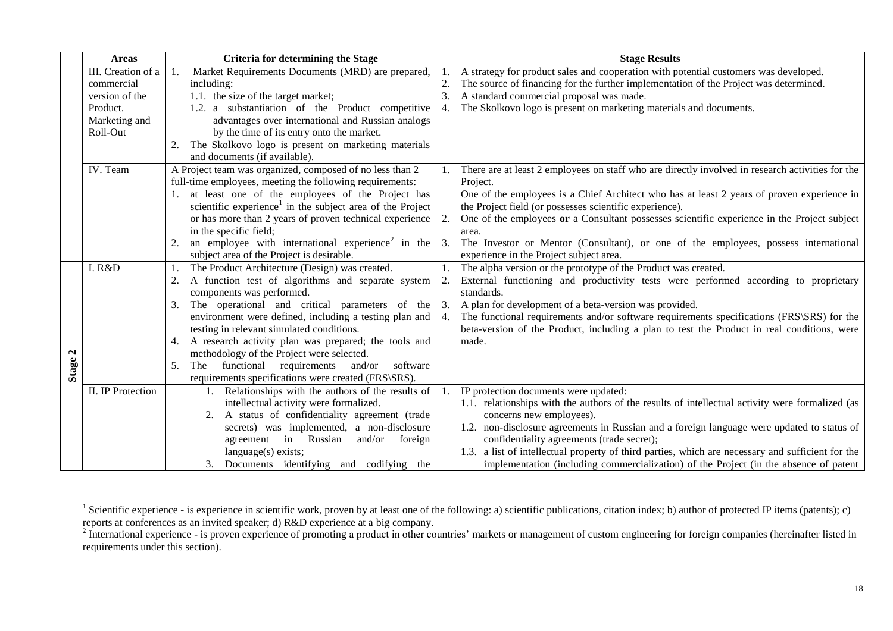|              | <b>Areas</b>             | <b>Criteria for determining the Stage</b>                             | <b>Stage Results</b> |                                                                                                   |  |
|--------------|--------------------------|-----------------------------------------------------------------------|----------------------|---------------------------------------------------------------------------------------------------|--|
|              | III. Creation of a       | Market Requirements Documents (MRD) are prepared,                     |                      | A strategy for product sales and cooperation with potential customers was developed.              |  |
|              | commercial               | including:                                                            |                      | The source of financing for the further implementation of the Project was determined.             |  |
|              | version of the           | 1.1. the size of the target market;                                   |                      | A standard commercial proposal was made.                                                          |  |
|              | Product.                 | 1.2. a substantiation of the Product competitive                      | 4.                   | The Skolkovo logo is present on marketing materials and documents.                                |  |
|              | Marketing and            | advantages over international and Russian analogs                     |                      |                                                                                                   |  |
|              | Roll-Out                 | by the time of its entry onto the market.                             |                      |                                                                                                   |  |
|              |                          | The Skolkovo logo is present on marketing materials                   |                      |                                                                                                   |  |
|              |                          | and documents (if available).                                         |                      |                                                                                                   |  |
|              | IV. Team                 | A Project team was organized, composed of no less than 2              |                      | There are at least 2 employees on staff who are directly involved in research activities for the  |  |
|              |                          | full-time employees, meeting the following requirements:              |                      | Project.                                                                                          |  |
|              |                          | 1. at least one of the employees of the Project has                   |                      | One of the employees is a Chief Architect who has at least 2 years of proven experience in        |  |
|              |                          | scientific experience <sup>1</sup> in the subject area of the Project |                      | the Project field (or possesses scientific experience).                                           |  |
|              |                          | or has more than 2 years of proven technical experience               | 2.                   | One of the employees or a Consultant possesses scientific experience in the Project subject       |  |
|              |                          | in the specific field;                                                |                      | area.                                                                                             |  |
|              |                          | an employee with international experience <sup>2</sup> in the         | 3.                   | The Investor or Mentor (Consultant), or one of the employees, possess international               |  |
|              |                          | subject area of the Project is desirable.                             |                      | experience in the Project subject area.                                                           |  |
|              | I. R&D                   | The Product Architecture (Design) was created.                        |                      | The alpha version or the prototype of the Product was created.                                    |  |
|              |                          | A function test of algorithms and separate system                     | 2.                   | External functioning and productivity tests were performed according to proprietary               |  |
|              |                          | components was performed.                                             |                      | standards.                                                                                        |  |
|              |                          | The operational and critical parameters of the<br>3.                  | 3.                   | A plan for development of a beta-version was provided.                                            |  |
|              |                          | environment were defined, including a testing plan and                | 4.                   | The functional requirements and/or software requirements specifications (FRS\SRS) for the         |  |
|              |                          | testing in relevant simulated conditions.                             |                      | beta-version of the Product, including a plan to test the Product in real conditions, were        |  |
|              |                          | 4. A research activity plan was prepared; the tools and               |                      | made.                                                                                             |  |
| $\mathbf{a}$ |                          | methodology of the Project were selected.                             |                      |                                                                                                   |  |
| <b>Stage</b> |                          | functional<br>requirements<br>and/or<br>software<br>5.<br>The         |                      |                                                                                                   |  |
|              |                          | requirements specifications were created (FRS\SRS).                   |                      |                                                                                                   |  |
|              | <b>II.</b> IP Protection | Relationships with the authors of the results of                      |                      | IP protection documents were updated:                                                             |  |
|              |                          | intellectual activity were formalized.                                |                      | 1.1. relationships with the authors of the results of intellectual activity were formalized (as   |  |
|              |                          | A status of confidentiality agreement (trade<br>2.                    |                      | concerns new employees).                                                                          |  |
|              |                          | secrets) was implemented, a non-disclosure                            |                      | 1.2. non-disclosure agreements in Russian and a foreign language were updated to status of        |  |
|              |                          | in Russian<br>and/or<br>foreign<br>agreement                          |                      | confidentiality agreements (trade secret);                                                        |  |
|              |                          | language(s) exists;                                                   |                      | 1.3. a list of intellectual property of third parties, which are necessary and sufficient for the |  |
|              |                          | Documents identifying and codifying the<br>3.                         |                      | implementation (including commercialization) of the Project (in the absence of patent             |  |

 $\overline{a}$ 

<sup>&</sup>lt;sup>1</sup> Scientific experience - is experience in scientific work, proven by at least one of the following: a) scientific publications, citation index; b) author of protected IP items (patents); c)

reports at conferences as an invited speaker; d) R&D experience at a big company.<br><sup>2</sup> International experience - is proven experience of promoting a product in other countries' markets or management of custom engineering f requirements under this section).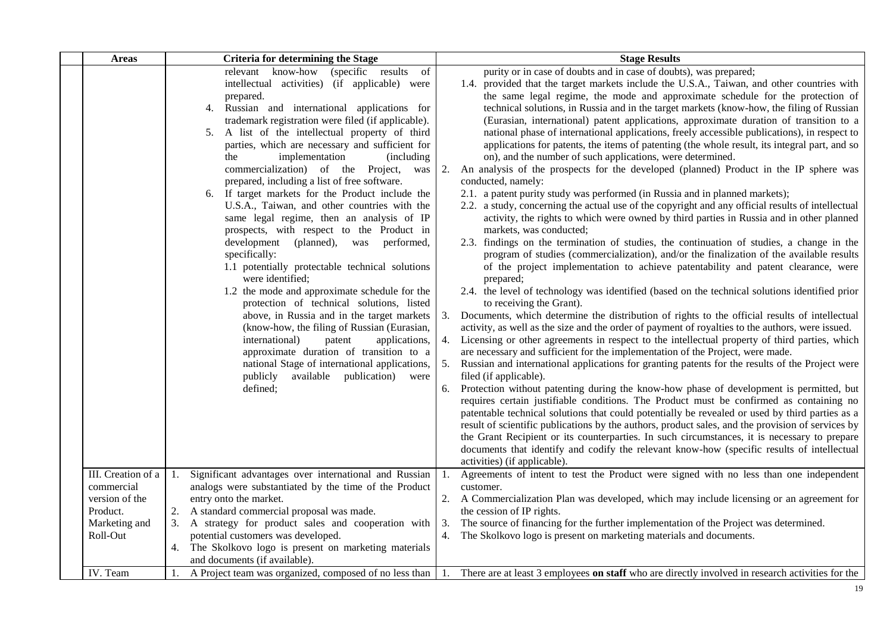| <b>Areas</b>                                                   | <b>Criteria for determining the Stage</b><br><b>Stage Results</b>                                                                                                                                                                                                                                                                                                                                                                                                                                                                                                                                                                                                                                                                                                                                                                                                                                                                                                                                                                                                                                                                                                                                                                                                                                                                                                                                                                                                                                                                                                                                                                                                                                                                                                                                                                                                                                                                                                                                                                                                                                                                                                                                                                                                                                                                                                                                                                                                                                                                                                                                                                                                                                                                                                                                                                                                                                                                                                                                                                                                                                                                                                                                                                                                                                                                                                                                                                                                                                                                                                                                                                                                                                                                                                                                                                                                                                                                        |
|----------------------------------------------------------------|------------------------------------------------------------------------------------------------------------------------------------------------------------------------------------------------------------------------------------------------------------------------------------------------------------------------------------------------------------------------------------------------------------------------------------------------------------------------------------------------------------------------------------------------------------------------------------------------------------------------------------------------------------------------------------------------------------------------------------------------------------------------------------------------------------------------------------------------------------------------------------------------------------------------------------------------------------------------------------------------------------------------------------------------------------------------------------------------------------------------------------------------------------------------------------------------------------------------------------------------------------------------------------------------------------------------------------------------------------------------------------------------------------------------------------------------------------------------------------------------------------------------------------------------------------------------------------------------------------------------------------------------------------------------------------------------------------------------------------------------------------------------------------------------------------------------------------------------------------------------------------------------------------------------------------------------------------------------------------------------------------------------------------------------------------------------------------------------------------------------------------------------------------------------------------------------------------------------------------------------------------------------------------------------------------------------------------------------------------------------------------------------------------------------------------------------------------------------------------------------------------------------------------------------------------------------------------------------------------------------------------------------------------------------------------------------------------------------------------------------------------------------------------------------------------------------------------------------------------------------------------------------------------------------------------------------------------------------------------------------------------------------------------------------------------------------------------------------------------------------------------------------------------------------------------------------------------------------------------------------------------------------------------------------------------------------------------------------------------------------------------------------------------------------------------------------------------------------------------------------------------------------------------------------------------------------------------------------------------------------------------------------------------------------------------------------------------------------------------------------------------------------------------------------------------------------------------------------------------------------------------------------------------------------------------------|
|                                                                | (specific results)<br>purity or in case of doubts and in case of doubts), was prepared;<br>relevant know-how<br>of<br>1.4. provided that the target markets include the U.S.A., Taiwan, and other countries with<br>intellectual activities) (if applicable) were<br>the same legal regime, the mode and approximate schedule for the protection of<br>prepared.<br>Russian and international applications for<br>technical solutions, in Russia and in the target markets (know-how, the filing of Russian<br>4.<br>trademark registration were filed (if applicable).<br>(Eurasian, international) patent applications, approximate duration of transition to a<br>5. A list of the intellectual property of third<br>national phase of international applications, freely accessible publications), in respect to<br>parties, which are necessary and sufficient for<br>applications for patents, the items of patenting (the whole result, its integral part, and so<br>on), and the number of such applications, were determined.<br>implementation<br>(including)<br>the<br>commercialization) of the Project,<br>An analysis of the prospects for the developed (planned) Product in the IP sphere was<br>2.<br>was<br>prepared, including a list of free software.<br>conducted, namely:<br>6. If target markets for the Product include the<br>2.1. a patent purity study was performed (in Russia and in planned markets);<br>U.S.A., Taiwan, and other countries with the<br>2.2. a study, concerning the actual use of the copyright and any official results of intellectual<br>activity, the rights to which were owned by third parties in Russia and in other planned<br>same legal regime, then an analysis of IP<br>prospects, with respect to the Product in<br>markets, was conducted;<br>(planned), was performed,<br>2.3. findings on the termination of studies, the continuation of studies, a change in the<br>development<br>program of studies (commercialization), and/or the finalization of the available results<br>specifically:<br>1.1 potentially protectable technical solutions<br>of the project implementation to achieve patentability and patent clearance, were<br>were identified;<br>prepared;<br>1.2 the mode and approximate schedule for the<br>2.4. the level of technology was identified (based on the technical solutions identified prior<br>protection of technical solutions, listed<br>to receiving the Grant).<br>above, in Russia and in the target markets<br>Documents, which determine the distribution of rights to the official results of intellectual<br>3.<br>activity, as well as the size and the order of payment of royalties to the authors, were issued.<br>(know-how, the filing of Russian (Eurasian,<br>4. Licensing or other agreements in respect to the intellectual property of third parties, which<br>international)<br>patent<br>applications,<br>approximate duration of transition to a<br>are necessary and sufficient for the implementation of the Project, were made.<br>5. Russian and international applications for granting patents for the results of the Project were<br>national Stage of international applications,<br>filed (if applicable).<br>available<br>publication)<br>publicly<br>were<br>6. Protection without patenting during the know-how phase of development is permitted, but<br>defined;<br>requires certain justifiable conditions. The Product must be confirmed as containing no<br>patentable technical solutions that could potentially be revealed or used by third parties as a<br>result of scientific publications by the authors, product sales, and the provision of services by<br>the Grant Recipient or its counterparties. In such circumstances, it is necessary to prepare<br>documents that identify and codify the relevant know-how (specific results of intellectual<br>activities) (if applicable). |
| III. Creation of a<br>commercial<br>version of the<br>Product. | Agreements of intent to test the Product were signed with no less than one independent<br>Significant advantages over international and Russian<br>1.<br>1.<br>analogs were substantiated by the time of the Product<br>customer.<br>entry onto the market.<br>2. A Commercialization Plan was developed, which may include licensing or an agreement for<br>A standard commercial proposal was made.<br>the cession of IP rights.                                                                                                                                                                                                                                                                                                                                                                                                                                                                                                                                                                                                                                                                                                                                                                                                                                                                                                                                                                                                                                                                                                                                                                                                                                                                                                                                                                                                                                                                                                                                                                                                                                                                                                                                                                                                                                                                                                                                                                                                                                                                                                                                                                                                                                                                                                                                                                                                                                                                                                                                                                                                                                                                                                                                                                                                                                                                                                                                                                                                                                                                                                                                                                                                                                                                                                                                                                                                                                                                                                       |
| Marketing and<br>Roll-Out                                      | 3. A strategy for product sales and cooperation with<br>The source of financing for the further implementation of the Project was determined.<br>3.<br>potential customers was developed.<br>4. The Skolkovo logo is present on marketing materials and documents.<br>4. The Skolkovo logo is present on marketing materials<br>and documents (if available).                                                                                                                                                                                                                                                                                                                                                                                                                                                                                                                                                                                                                                                                                                                                                                                                                                                                                                                                                                                                                                                                                                                                                                                                                                                                                                                                                                                                                                                                                                                                                                                                                                                                                                                                                                                                                                                                                                                                                                                                                                                                                                                                                                                                                                                                                                                                                                                                                                                                                                                                                                                                                                                                                                                                                                                                                                                                                                                                                                                                                                                                                                                                                                                                                                                                                                                                                                                                                                                                                                                                                                            |
| IV. Team                                                       | 1. A Project team was organized, composed of no less than<br>There are at least 3 employees on staff who are directly involved in research activities for the<br>-1.                                                                                                                                                                                                                                                                                                                                                                                                                                                                                                                                                                                                                                                                                                                                                                                                                                                                                                                                                                                                                                                                                                                                                                                                                                                                                                                                                                                                                                                                                                                                                                                                                                                                                                                                                                                                                                                                                                                                                                                                                                                                                                                                                                                                                                                                                                                                                                                                                                                                                                                                                                                                                                                                                                                                                                                                                                                                                                                                                                                                                                                                                                                                                                                                                                                                                                                                                                                                                                                                                                                                                                                                                                                                                                                                                                     |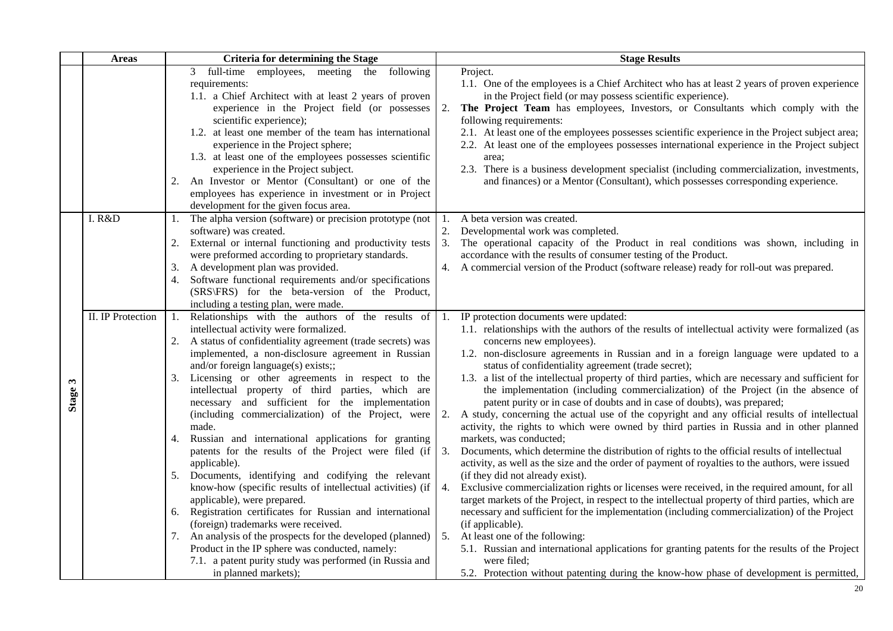|         | <b>Areas</b>      | <b>Criteria for determining the Stage</b>                                                                                                                                                                                                                                                                                                                                                                                                                                                                                                                                                                                                                                                                                                                                                                                                                                                                                                                                                                                                                                                             | <b>Stage Results</b>                                                                                                                                                                                                                                                                                                                                                                                                                                                                                                                                                                                                                                                                                                                                                                                                                                                                                                                                                                                                                                                                                                                                                                                                                                                                                                                                                                                                                                                                                                                                                                                                                                       |
|---------|-------------------|-------------------------------------------------------------------------------------------------------------------------------------------------------------------------------------------------------------------------------------------------------------------------------------------------------------------------------------------------------------------------------------------------------------------------------------------------------------------------------------------------------------------------------------------------------------------------------------------------------------------------------------------------------------------------------------------------------------------------------------------------------------------------------------------------------------------------------------------------------------------------------------------------------------------------------------------------------------------------------------------------------------------------------------------------------------------------------------------------------|------------------------------------------------------------------------------------------------------------------------------------------------------------------------------------------------------------------------------------------------------------------------------------------------------------------------------------------------------------------------------------------------------------------------------------------------------------------------------------------------------------------------------------------------------------------------------------------------------------------------------------------------------------------------------------------------------------------------------------------------------------------------------------------------------------------------------------------------------------------------------------------------------------------------------------------------------------------------------------------------------------------------------------------------------------------------------------------------------------------------------------------------------------------------------------------------------------------------------------------------------------------------------------------------------------------------------------------------------------------------------------------------------------------------------------------------------------------------------------------------------------------------------------------------------------------------------------------------------------------------------------------------------------|
|         |                   | employees, meeting the<br>following<br>full-time<br>3<br>requirements:<br>1.1. a Chief Architect with at least 2 years of proven<br>experience in the Project field (or possesses<br>scientific experience);<br>1.2. at least one member of the team has international<br>experience in the Project sphere;<br>1.3. at least one of the employees possesses scientific<br>experience in the Project subject.<br>An Investor or Mentor (Consultant) or one of the<br>2.<br>employees has experience in investment or in Project<br>development for the given focus area.                                                                                                                                                                                                                                                                                                                                                                                                                                                                                                                               | Project.<br>1.1. One of the employees is a Chief Architect who has at least 2 years of proven experience<br>in the Project field (or may possess scientific experience).<br>The Project Team has employees, Investors, or Consultants which comply with the<br>2.<br>following requirements:<br>2.1. At least one of the employees possesses scientific experience in the Project subject area;<br>2.2. At least one of the employees possesses international experience in the Project subject<br>area;<br>2.3. There is a business development specialist (including commercialization, investments,<br>and finances) or a Mentor (Consultant), which possesses corresponding experience.                                                                                                                                                                                                                                                                                                                                                                                                                                                                                                                                                                                                                                                                                                                                                                                                                                                                                                                                                                |
|         | I. R&D            | The alpha version (software) or precision prototype (not<br>1.<br>software) was created.<br>2.<br>External or internal functioning and productivity tests<br>were preformed according to proprietary standards.<br>A development plan was provided.<br>3.<br>Software functional requirements and/or specifications<br>4.<br>(SRS\FRS) for the beta-version of the Product,<br>including a testing plan, were made.                                                                                                                                                                                                                                                                                                                                                                                                                                                                                                                                                                                                                                                                                   | 1. A beta version was created.<br>2. Developmental work was completed.<br>3. The operational capacity of the Product in real conditions was shown, including in<br>accordance with the results of consumer testing of the Product.<br>4. A commercial version of the Product (software release) ready for roll-out was prepared.                                                                                                                                                                                                                                                                                                                                                                                                                                                                                                                                                                                                                                                                                                                                                                                                                                                                                                                                                                                                                                                                                                                                                                                                                                                                                                                           |
| Stage 3 | II. IP Protection | Relationships with the authors of the results of<br>1.<br>intellectual activity were formalized.<br>A status of confidentiality agreement (trade secrets) was<br>2.<br>implemented, a non-disclosure agreement in Russian<br>and/or foreign language(s) exists;;<br>3. Licensing or other agreements in respect to the<br>intellectual property of third parties, which are<br>necessary and sufficient for the implementation<br>(including commercialization) of the Project, were<br>made.<br>Russian and international applications for granting<br>4.<br>patents for the results of the Project were filed (if<br>applicable).<br>5. Documents, identifying and codifying the relevant<br>know-how (specific results of intellectual activities) (if<br>applicable), were prepared.<br>Registration certificates for Russian and international<br>6.<br>(foreign) trademarks were received.<br>7. An analysis of the prospects for the developed (planned)<br>Product in the IP sphere was conducted, namely:<br>7.1. a patent purity study was performed (in Russia and<br>in planned markets); | IP protection documents were updated:<br>1.<br>1.1. relationships with the authors of the results of intellectual activity were formalized (as<br>concerns new employees).<br>1.2. non-disclosure agreements in Russian and in a foreign language were updated to a<br>status of confidentiality agreement (trade secret);<br>1.3. a list of the intellectual property of third parties, which are necessary and sufficient for<br>the implementation (including commercialization) of the Project (in the absence of<br>patent purity or in case of doubts and in case of doubts), was prepared;<br>A study, concerning the actual use of the copyright and any official results of intellectual<br>2.<br>activity, the rights to which were owned by third parties in Russia and in other planned<br>markets, was conducted;<br>3. Documents, which determine the distribution of rights to the official results of intellectual<br>activity, as well as the size and the order of payment of royalties to the authors, were issued<br>(if they did not already exist).<br>4. Exclusive commercialization rights or licenses were received, in the required amount, for all<br>target markets of the Project, in respect to the intellectual property of third parties, which are<br>necessary and sufficient for the implementation (including commercialization) of the Project<br>(if applicable).<br>5. At least one of the following:<br>5.1. Russian and international applications for granting patents for the results of the Project<br>were filed:<br>5.2. Protection without patenting during the know-how phase of development is permitted, |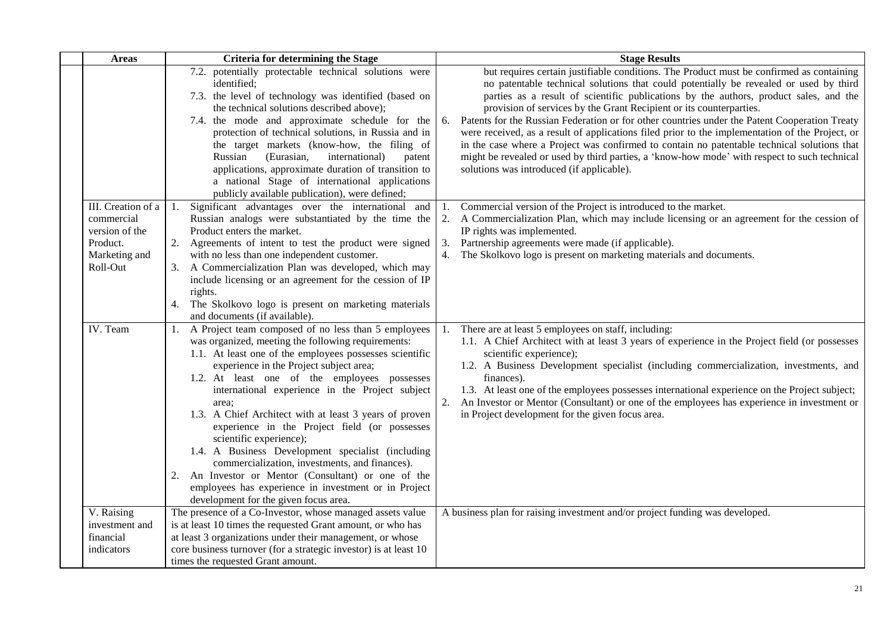| <b>Areas</b>                                                                                | <b>Criteria for determining the Stage</b>                                                                                                                                                                                                                                                                                                                                                                                                                                                                                                                                                                                                                                                                                           | <b>Stage Results</b>                                                                                                                                                                                                                                                                                                                                                                                                                                                                                                                                                                                                                                                                                                                                                                                    |
|---------------------------------------------------------------------------------------------|-------------------------------------------------------------------------------------------------------------------------------------------------------------------------------------------------------------------------------------------------------------------------------------------------------------------------------------------------------------------------------------------------------------------------------------------------------------------------------------------------------------------------------------------------------------------------------------------------------------------------------------------------------------------------------------------------------------------------------------|---------------------------------------------------------------------------------------------------------------------------------------------------------------------------------------------------------------------------------------------------------------------------------------------------------------------------------------------------------------------------------------------------------------------------------------------------------------------------------------------------------------------------------------------------------------------------------------------------------------------------------------------------------------------------------------------------------------------------------------------------------------------------------------------------------|
|                                                                                             | 7.2. potentially protectable technical solutions were<br>identified;<br>7.3. the level of technology was identified (based on<br>the technical solutions described above);<br>7.4. the mode and approximate schedule for the<br>protection of technical solutions, in Russia and in<br>the target markets (know-how, the filing of<br>Russian<br>(Eurasian,<br>international)<br>patent<br>applications, approximate duration of transition to<br>a national Stage of international applications<br>publicly available publication), were defined;                                                                                                                                                                                  | but requires certain justifiable conditions. The Product must be confirmed as containing<br>no patentable technical solutions that could potentially be revealed or used by third<br>parties as a result of scientific publications by the authors, product sales, and the<br>provision of services by the Grant Recipient or its counterparties.<br>Patents for the Russian Federation or for other countries under the Patent Cooperation Treaty<br>6.<br>were received, as a result of applications filed prior to the implementation of the Project, or<br>in the case where a Project was confirmed to contain no patentable technical solutions that<br>might be revealed or used by third parties, a 'know-how mode' with respect to such technical<br>solutions was introduced (if applicable). |
| III. Creation of a<br>commercial<br>version of the<br>Product.<br>Marketing and<br>Roll-Out | Significant advantages over the international and<br>Russian analogs were substantiated by the time the<br>Product enters the market.<br>2. Agreements of intent to test the product were signed<br>with no less than one independent customer.<br>3. A Commercialization Plan was developed, which may<br>include licensing or an agreement for the cession of IP<br>rights.<br>The Skolkovo logo is present on marketing materials<br>4.<br>and documents (if available).                                                                                                                                                                                                                                                         | Commercial version of the Project is introduced to the market.<br>2. A Commercialization Plan, which may include licensing or an agreement for the cession of<br>IP rights was implemented.<br>Partnership agreements were made (if applicable).<br>3.<br>4. The Skolkovo logo is present on marketing materials and documents.                                                                                                                                                                                                                                                                                                                                                                                                                                                                         |
| IV. Team                                                                                    | 1. A Project team composed of no less than 5 employees<br>was organized, meeting the following requirements:<br>1.1. At least one of the employees possesses scientific<br>experience in the Project subject area;<br>1.2. At least one of the employees possesses<br>international experience in the Project subject<br>area:<br>1.3. A Chief Architect with at least 3 years of proven<br>experience in the Project field (or possesses<br>scientific experience);<br>1.4. A Business Development specialist (including<br>commercialization, investments, and finances).<br>2. An Investor or Mentor (Consultant) or one of the<br>employees has experience in investment or in Project<br>development for the given focus area. | There are at least 5 employees on staff, including:<br>1.1. A Chief Architect with at least 3 years of experience in the Project field (or possesses<br>scientific experience);<br>1.2. A Business Development specialist (including commercialization, investments, and<br>finances).<br>1.3. At least one of the employees possesses international experience on the Project subject;<br>2. An Investor or Mentor (Consultant) or one of the employees has experience in investment or<br>in Project development for the given focus area.                                                                                                                                                                                                                                                            |
| V. Raising<br>investment and                                                                | The presence of a Co-Investor, whose managed assets value<br>is at least 10 times the requested Grant amount, or who has                                                                                                                                                                                                                                                                                                                                                                                                                                                                                                                                                                                                            | A business plan for raising investment and/or project funding was developed.                                                                                                                                                                                                                                                                                                                                                                                                                                                                                                                                                                                                                                                                                                                            |
| financial<br>indicators                                                                     | at least 3 organizations under their management, or whose<br>core business turnover (for a strategic investor) is at least 10<br>times the requested Grant amount.                                                                                                                                                                                                                                                                                                                                                                                                                                                                                                                                                                  |                                                                                                                                                                                                                                                                                                                                                                                                                                                                                                                                                                                                                                                                                                                                                                                                         |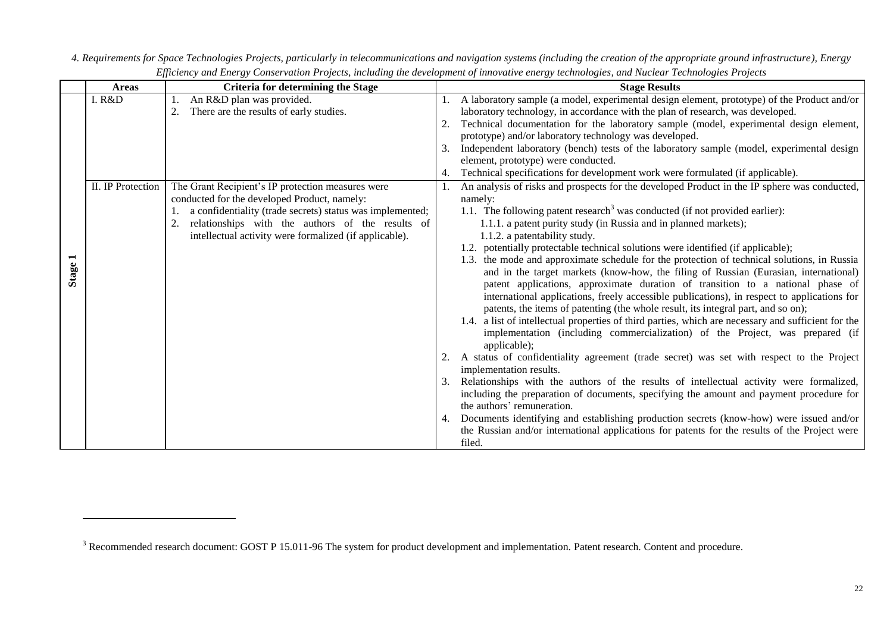|                         | <b>Areas</b>      | <b>Criteria for determining the Stage</b>                                                                                                                                                                                                                                    |    | <b>Stage Results</b>                                                                                                                                                                                                                                                                                                                                                                                                                                                                                                                                                                                                                                                                                                                                                                                                                                                                                                                                                                                                                                                                                                                                                                                                                                                                                                                                                                                                                                                                                                                                                                                                |
|-------------------------|-------------------|------------------------------------------------------------------------------------------------------------------------------------------------------------------------------------------------------------------------------------------------------------------------------|----|---------------------------------------------------------------------------------------------------------------------------------------------------------------------------------------------------------------------------------------------------------------------------------------------------------------------------------------------------------------------------------------------------------------------------------------------------------------------------------------------------------------------------------------------------------------------------------------------------------------------------------------------------------------------------------------------------------------------------------------------------------------------------------------------------------------------------------------------------------------------------------------------------------------------------------------------------------------------------------------------------------------------------------------------------------------------------------------------------------------------------------------------------------------------------------------------------------------------------------------------------------------------------------------------------------------------------------------------------------------------------------------------------------------------------------------------------------------------------------------------------------------------------------------------------------------------------------------------------------------------|
|                         | I. R&D            | An R&D plan was provided.<br>There are the results of early studies.                                                                                                                                                                                                         |    | A laboratory sample (a model, experimental design element, prototype) of the Product and/or<br>laboratory technology, in accordance with the plan of research, was developed.<br>Technical documentation for the laboratory sample (model, experimental design element,<br>prototype) and/or laboratory technology was developed.<br>Independent laboratory (bench) tests of the laboratory sample (model, experimental design<br>element, prototype) were conducted.<br>Technical specifications for development work were formulated (if applicable).                                                                                                                                                                                                                                                                                                                                                                                                                                                                                                                                                                                                                                                                                                                                                                                                                                                                                                                                                                                                                                                             |
| $\blacksquare$<br>Stage | II. IP Protection | The Grant Recipient's IP protection measures were<br>conducted for the developed Product, namely:<br>a confidentiality (trade secrets) status was implemented;<br>relationships with the authors of the results of<br>intellectual activity were formalized (if applicable). | 4. | An analysis of risks and prospects for the developed Product in the IP sphere was conducted,<br>namely:<br>1.1. The following patent research <sup>3</sup> was conducted (if not provided earlier):<br>1.1.1. a patent purity study (in Russia and in planned markets);<br>1.1.2. a patentability study.<br>1.2. potentially protectable technical solutions were identified (if applicable);<br>1.3. the mode and approximate schedule for the protection of technical solutions, in Russia<br>and in the target markets (know-how, the filing of Russian (Eurasian, international)<br>patent applications, approximate duration of transition to a national phase of<br>international applications, freely accessible publications), in respect to applications for<br>patents, the items of patenting (the whole result, its integral part, and so on);<br>1.4. a list of intellectual properties of third parties, which are necessary and sufficient for the<br>implementation (including commercialization) of the Project, was prepared (if<br>applicable);<br>A status of confidentiality agreement (trade secret) was set with respect to the Project<br>implementation results.<br>Relationships with the authors of the results of intellectual activity were formalized,<br>including the preparation of documents, specifying the amount and payment procedure for<br>the authors' remuneration.<br>Documents identifying and establishing production secrets (know-how) were issued and/or<br>the Russian and/or international applications for patents for the results of the Project were<br>filed. |

*4. Requirements for Space Technologies Projects, particularly in telecommunications and navigation systems (including the creation of the appropriate ground infrastructure), Energy Efficiency and Energy Conservation Projects, including the development of innovative energy technologies, and Nuclear Technologies Projects*

 $\overline{\phantom{a}}$ 

<sup>&</sup>lt;sup>3</sup> Recommended research document: GOST P 15.011-96 The system for product development and implementation. Patent research. Content and procedure.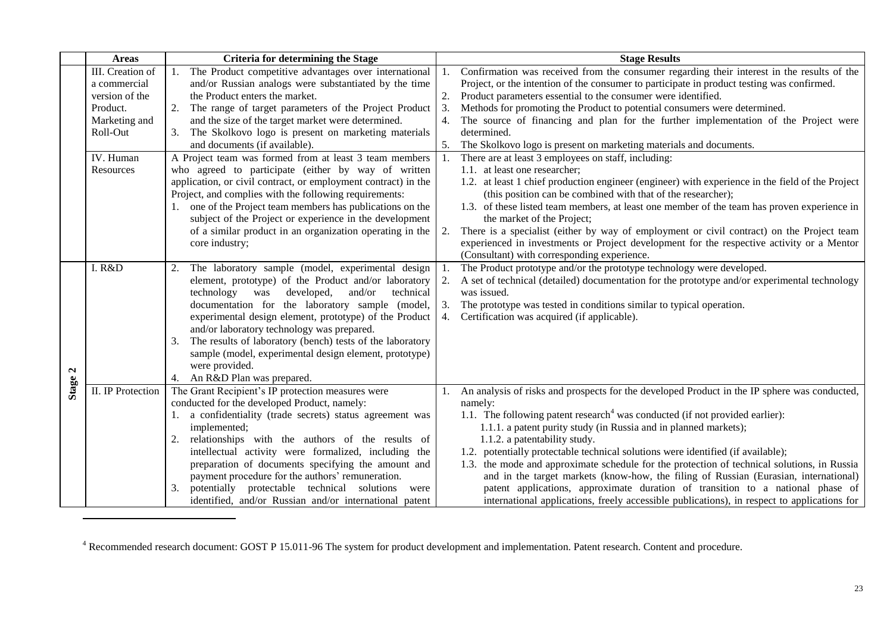|              | <b>Areas</b>      | <b>Criteria for determining the Stage</b>                                         |    | <b>Stage Results</b>                                                                                |
|--------------|-------------------|-----------------------------------------------------------------------------------|----|-----------------------------------------------------------------------------------------------------|
|              | III. Creation of  | 1. The Product competitive advantages over international                          | 1. | Confirmation was received from the consumer regarding their interest in the results of the          |
|              | a commercial      | and/or Russian analogs were substantiated by the time                             |    | Project, or the intention of the consumer to participate in product testing was confirmed.          |
|              | version of the    | the Product enters the market.                                                    | 2. | Product parameters essential to the consumer were identified.                                       |
|              | Product.          | 2. The range of target parameters of the Project Product                          | 3. | Methods for promoting the Product to potential consumers were determined.                           |
|              | Marketing and     | and the size of the target market were determined.                                | 4. | The source of financing and plan for the further implementation of the Project were                 |
|              | Roll-Out          | 3. The Skolkovo logo is present on marketing materials                            |    | determined.                                                                                         |
|              |                   | and documents (if available).                                                     | 5. | The Skolkovo logo is present on marketing materials and documents.                                  |
|              | IV. Human         | A Project team was formed from at least 3 team members                            | 1. | There are at least 3 employees on staff, including:                                                 |
|              | Resources         | who agreed to participate (either by way of written                               |    | 1.1. at least one researcher;                                                                       |
|              |                   | application, or civil contract, or employment contract) in the                    |    | 1.2. at least 1 chief production engineer (engineer) with experience in the field of the Project    |
|              |                   | Project, and complies with the following requirements:                            |    | (this position can be combined with that of the researcher);                                        |
|              |                   | 1. one of the Project team members has publications on the                        |    | 1.3. of these listed team members, at least one member of the team has proven experience in         |
|              |                   | subject of the Project or experience in the development                           |    | the market of the Project;                                                                          |
|              |                   | of a similar product in an organization operating in the                          | 2. | There is a specialist (either by way of employment or civil contract) on the Project team           |
|              |                   | core industry;                                                                    |    | experienced in investments or Project development for the respective activity or a Mentor           |
|              |                   |                                                                                   |    | (Consultant) with corresponding experience.                                                         |
|              | I. R&D            | The laboratory sample (model, experimental design<br>2.                           |    | The Product prototype and/or the prototype technology were developed.                               |
|              |                   | element, prototype) of the Product and/or laboratory                              |    | 2. A set of technical (detailed) documentation for the prototype and/or experimental technology     |
|              |                   | developed,<br>technology was<br>and/or<br>technical                               |    | was issued.                                                                                         |
|              |                   | documentation for the laboratory sample (model,                                   |    | 3. The prototype was tested in conditions similar to typical operation.                             |
|              |                   | experimental design element, prototype) of the Product                            |    | 4. Certification was acquired (if applicable).                                                      |
|              |                   | and/or laboratory technology was prepared.                                        |    |                                                                                                     |
|              |                   | The results of laboratory (bench) tests of the laboratory<br>3.                   |    |                                                                                                     |
|              |                   | sample (model, experimental design element, prototype)                            |    |                                                                                                     |
| $\mathbf{z}$ |                   | were provided.                                                                    |    |                                                                                                     |
| <b>Stage</b> | II. IP Protection | 4. An R&D Plan was prepared.<br>The Grant Recipient's IP protection measures were |    |                                                                                                     |
|              |                   | conducted for the developed Product, namely:                                      |    | 1. An analysis of risks and prospects for the developed Product in the IP sphere was conducted,     |
|              |                   | 1. a confidentiality (trade secrets) status agreement was                         |    | namely:<br>1.1. The following patent research <sup>4</sup> was conducted (if not provided earlier): |
|              |                   | implemented;                                                                      |    | 1.1.1. a patent purity study (in Russia and in planned markets);                                    |
|              |                   | 2. relationships with the authors of the results of                               |    | 1.1.2. a patentability study.                                                                       |
|              |                   | intellectual activity were formalized, including the                              |    | 1.2. potentially protectable technical solutions were identified (if available);                    |
|              |                   | preparation of documents specifying the amount and                                |    | 1.3. the mode and approximate schedule for the protection of technical solutions, in Russia         |
|              |                   | payment procedure for the authors' remuneration.                                  |    | and in the target markets (know-how, the filing of Russian (Eurasian, international)                |
|              |                   | potentially protectable technical solutions<br>3.<br>were                         |    | patent applications, approximate duration of transition to a national phase of                      |
|              |                   | identified, and/or Russian and/or international patent                            |    | international applications, freely accessible publications), in respect to applications for         |

<sup>4</sup> Recommended research document: GOST P 15.011-96 The system for product development and implementation. Patent research. Content and procedure.

 $\overline{\phantom{a}}$ 

 $\mathbb{R}^2$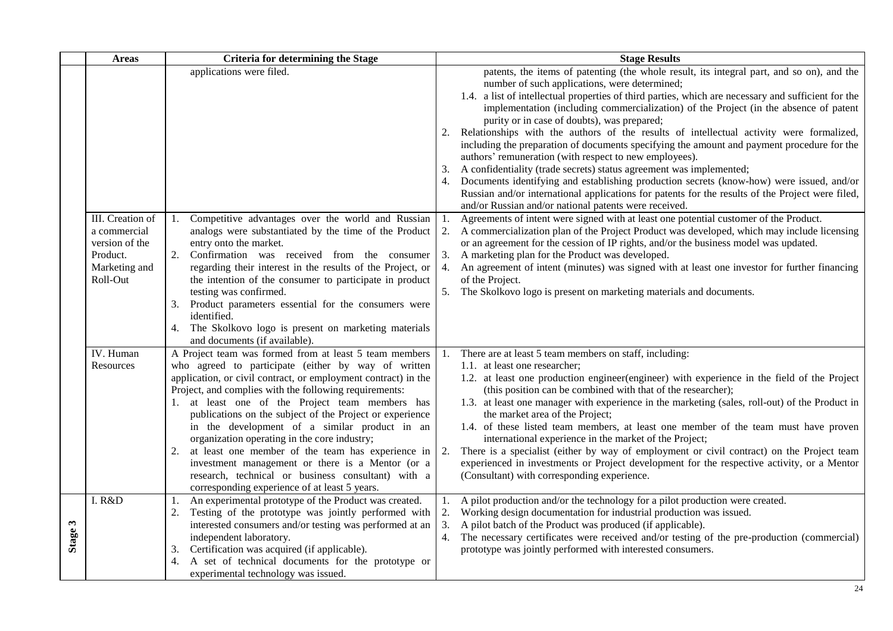|                        | <b>Areas</b>                                                                                | <b>Criteria for determining the Stage</b>                                                                                                                                                                                                                                                                                                                                                                                                                                                                                                                                                                                                                                       |                | <b>Stage Results</b>                                                                                                                                                                                                                                                                                                                                                                                                                                                                                                                                                                                                                                                                                                                                                                                                                                                                                                                                                               |
|------------------------|---------------------------------------------------------------------------------------------|---------------------------------------------------------------------------------------------------------------------------------------------------------------------------------------------------------------------------------------------------------------------------------------------------------------------------------------------------------------------------------------------------------------------------------------------------------------------------------------------------------------------------------------------------------------------------------------------------------------------------------------------------------------------------------|----------------|------------------------------------------------------------------------------------------------------------------------------------------------------------------------------------------------------------------------------------------------------------------------------------------------------------------------------------------------------------------------------------------------------------------------------------------------------------------------------------------------------------------------------------------------------------------------------------------------------------------------------------------------------------------------------------------------------------------------------------------------------------------------------------------------------------------------------------------------------------------------------------------------------------------------------------------------------------------------------------|
|                        |                                                                                             | applications were filed.                                                                                                                                                                                                                                                                                                                                                                                                                                                                                                                                                                                                                                                        | 3.             | patents, the items of patenting (the whole result, its integral part, and so on), and the<br>number of such applications, were determined;<br>1.4. a list of intellectual properties of third parties, which are necessary and sufficient for the<br>implementation (including commercialization) of the Project (in the absence of patent<br>purity or in case of doubts), was prepared;<br>2. Relationships with the authors of the results of intellectual activity were formalized,<br>including the preparation of documents specifying the amount and payment procedure for the<br>authors' remuneration (with respect to new employees).<br>A confidentiality (trade secrets) status agreement was implemented;<br>4. Documents identifying and establishing production secrets (know-how) were issued, and/or<br>Russian and/or international applications for patents for the results of the Project were filed,<br>and/or Russian and/or national patents were received. |
|                        | III. Creation of<br>a commercial<br>version of the<br>Product.<br>Marketing and<br>Roll-Out | Competitive advantages over the world and Russian<br>analogs were substantiated by the time of the Product<br>entry onto the market.<br>2.<br>Confirmation was received from the consumer<br>regarding their interest in the results of the Project, or<br>the intention of the consumer to participate in product<br>testing was confirmed.<br>3. Product parameters essential for the consumers were<br>identified.<br>4. The Skolkovo logo is present on marketing materials<br>and documents (if available).                                                                                                                                                                | 1.<br>3.       | Agreements of intent were signed with at least one potential customer of the Product.<br>2. A commercialization plan of the Project Product was developed, which may include licensing<br>or an agreement for the cession of IP rights, and/or the business model was updated.<br>A marketing plan for the Product was developed.<br>4. An agreement of intent (minutes) was signed with at least one investor for further financing<br>of the Project.<br>5. The Skolkovo logo is present on marketing materials and documents.                                                                                                                                                                                                                                                                                                                                                                                                                                                   |
|                        | IV. Human<br>Resources                                                                      | A Project team was formed from at least 5 team members<br>who agreed to participate (either by way of written<br>application, or civil contract, or employment contract) in the<br>Project, and complies with the following requirements:<br>1. at least one of the Project team members has<br>publications on the subject of the Project or experience<br>in the development of a similar product in an<br>organization operating in the core industry;<br>at least one member of the team has experience in<br>2.<br>investment management or there is a Mentor (or a<br>research, technical or business consultant) with a<br>corresponding experience of at least 5 years. | 2.             | There are at least 5 team members on staff, including:<br>1.1. at least one researcher;<br>1.2. at least one production engineer (engineer) with experience in the field of the Project<br>(this position can be combined with that of the researcher);<br>1.3. at least one manager with experience in the marketing (sales, roll-out) of the Product in<br>the market area of the Project;<br>1.4. of these listed team members, at least one member of the team must have proven<br>international experience in the market of the Project;<br>There is a specialist (either by way of employment or civil contract) on the Project team<br>experienced in investments or Project development for the respective activity, or a Mentor<br>(Consultant) with corresponding experience.                                                                                                                                                                                            |
| $\mathbf{c}$<br>Stage: | I. R&D                                                                                      | An experimental prototype of the Product was created.<br>Testing of the prototype was jointly performed with<br>2.<br>interested consumers and/or testing was performed at an<br>independent laboratory.<br>Certification was acquired (if applicable).<br>3.<br>A set of technical documents for the prototype or<br>experimental technology was issued.                                                                                                                                                                                                                                                                                                                       | 2.<br>3.<br>4. | A pilot production and/or the technology for a pilot production were created.<br>Working design documentation for industrial production was issued.<br>A pilot batch of the Product was produced (if applicable).<br>The necessary certificates were received and/or testing of the pre-production (commercial)<br>prototype was jointly performed with interested consumers.                                                                                                                                                                                                                                                                                                                                                                                                                                                                                                                                                                                                      |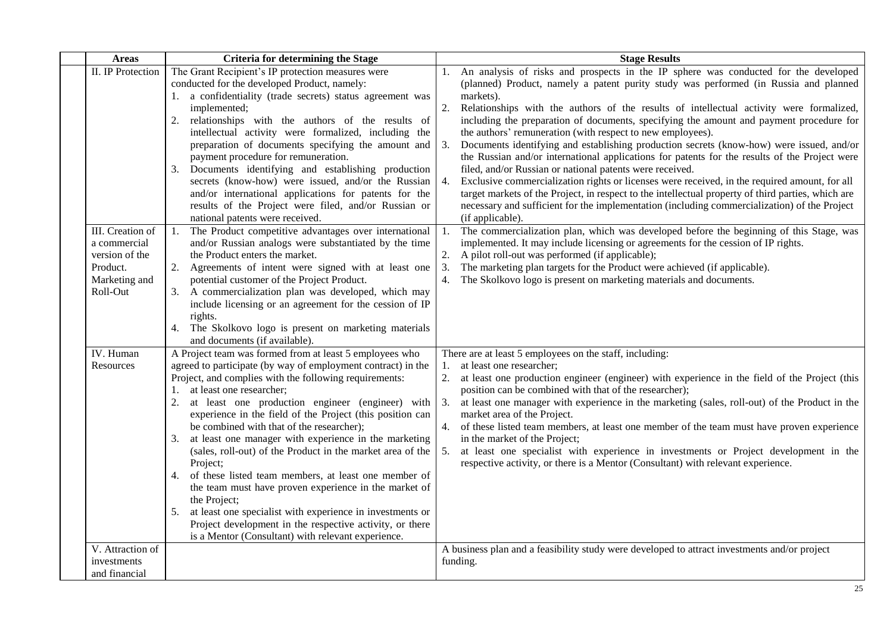| <b>Areas</b>                                                                                | <b>Criteria for determining the Stage</b>                                                                                                                                                                                                                                                                                                                                                                                                                                                                                                                                                                                                                                                                                                                                                                                                                    | <b>Stage Results</b>                                                                                                                                                                                                                                                                                                                                                                                                                                                                                                                                                                                                                                                                                                                                                                                                                                                                                                                                                                                                                         |
|---------------------------------------------------------------------------------------------|--------------------------------------------------------------------------------------------------------------------------------------------------------------------------------------------------------------------------------------------------------------------------------------------------------------------------------------------------------------------------------------------------------------------------------------------------------------------------------------------------------------------------------------------------------------------------------------------------------------------------------------------------------------------------------------------------------------------------------------------------------------------------------------------------------------------------------------------------------------|----------------------------------------------------------------------------------------------------------------------------------------------------------------------------------------------------------------------------------------------------------------------------------------------------------------------------------------------------------------------------------------------------------------------------------------------------------------------------------------------------------------------------------------------------------------------------------------------------------------------------------------------------------------------------------------------------------------------------------------------------------------------------------------------------------------------------------------------------------------------------------------------------------------------------------------------------------------------------------------------------------------------------------------------|
| <b>II.</b> IP Protection                                                                    | The Grant Recipient's IP protection measures were<br>conducted for the developed Product, namely:<br>1. a confidentiality (trade secrets) status agreement was<br>implemented;<br>relationships with the authors of the results of<br>2.<br>intellectual activity were formalized, including the<br>preparation of documents specifying the amount and<br>payment procedure for remuneration.<br>3.<br>Documents identifying and establishing production<br>secrets (know-how) were issued, and/or the Russian<br>and/or international applications for patents for the<br>results of the Project were filed, and/or Russian or<br>national patents were received.                                                                                                                                                                                           | An analysis of risks and prospects in the IP sphere was conducted for the developed<br>(planned) Product, namely a patent purity study was performed (in Russia and planned<br>markets).<br>2. Relationships with the authors of the results of intellectual activity were formalized,<br>including the preparation of documents, specifying the amount and payment procedure for<br>the authors' remuneration (with respect to new employees).<br>3.<br>Documents identifying and establishing production secrets (know-how) were issued, and/or<br>the Russian and/or international applications for patents for the results of the Project were<br>filed, and/or Russian or national patents were received.<br>4. Exclusive commercialization rights or licenses were received, in the required amount, for all<br>target markets of the Project, in respect to the intellectual property of third parties, which are<br>necessary and sufficient for the implementation (including commercialization) of the Project<br>(if applicable). |
| III. Creation of<br>a commercial<br>version of the<br>Product.<br>Marketing and<br>Roll-Out | The Product competitive advantages over international<br>1.<br>and/or Russian analogs were substantiated by the time<br>the Product enters the market.<br>2. Agreements of intent were signed with at least one<br>potential customer of the Project Product.<br>3. A commercialization plan was developed, which may<br>include licensing or an agreement for the cession of IP<br>rights.<br>The Skolkovo logo is present on marketing materials<br>4.<br>and documents (if available).                                                                                                                                                                                                                                                                                                                                                                    | The commercialization plan, which was developed before the beginning of this Stage, was<br>1.<br>implemented. It may include licensing or agreements for the cession of IP rights.<br>2.<br>A pilot roll-out was performed (if applicable);<br>3. The marketing plan targets for the Product were achieved (if applicable).<br>4. The Skolkovo logo is present on marketing materials and documents.                                                                                                                                                                                                                                                                                                                                                                                                                                                                                                                                                                                                                                         |
| IV. Human<br>Resources                                                                      | A Project team was formed from at least 5 employees who<br>agreed to participate (by way of employment contract) in the<br>Project, and complies with the following requirements:<br>at least one researcher;<br>1.<br>at least one production engineer (engineer) with<br>2.<br>experience in the field of the Project (this position can<br>be combined with that of the researcher);<br>at least one manager with experience in the marketing<br>3.<br>(sales, roll-out) of the Product in the market area of the<br>Project;<br>of these listed team members, at least one member of<br>4.<br>the team must have proven experience in the market of<br>the Project;<br>at least one specialist with experience in investments or<br>5.<br>Project development in the respective activity, or there<br>is a Mentor (Consultant) with relevant experience. | There are at least 5 employees on the staff, including:<br>at least one researcher;<br>1.<br>at least one production engineer (engineer) with experience in the field of the Project (this<br>2.<br>position can be combined with that of the researcher);<br>3.<br>at least one manager with experience in the marketing (sales, roll-out) of the Product in the<br>market area of the Project.<br>4. of these listed team members, at least one member of the team must have proven experience<br>in the market of the Project;<br>5. at least one specialist with experience in investments or Project development in the<br>respective activity, or there is a Mentor (Consultant) with relevant experience.                                                                                                                                                                                                                                                                                                                             |
| V. Attraction of<br>investments<br>and financial                                            |                                                                                                                                                                                                                                                                                                                                                                                                                                                                                                                                                                                                                                                                                                                                                                                                                                                              | A business plan and a feasibility study were developed to attract investments and/or project<br>funding.                                                                                                                                                                                                                                                                                                                                                                                                                                                                                                                                                                                                                                                                                                                                                                                                                                                                                                                                     |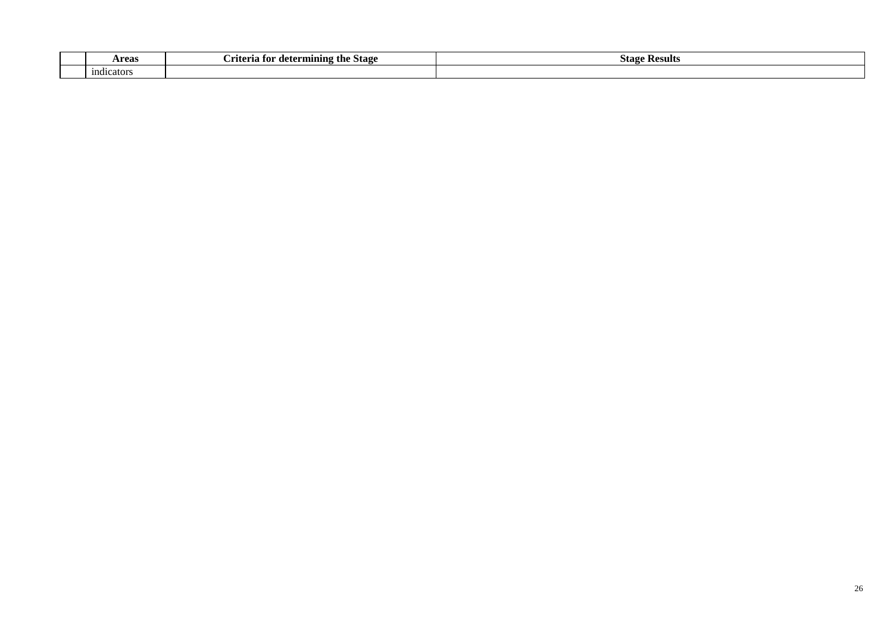| <b>Areas</b> | <b>। for determining the Stage</b><br>.riteria | $\tilde{\phantom{a}}$<br>Stas<br>: Results |
|--------------|------------------------------------------------|--------------------------------------------|
| indicators   |                                                |                                            |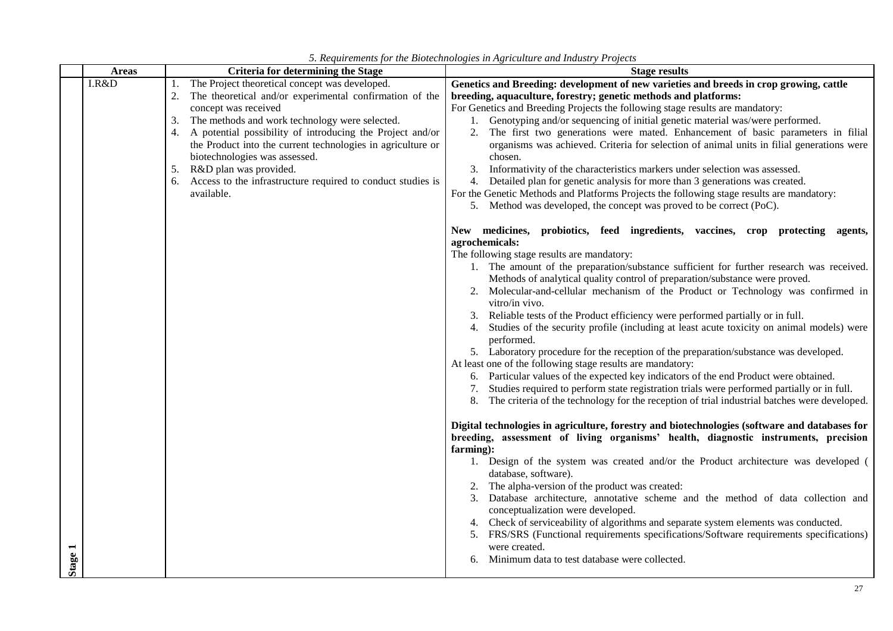| <b>Areas</b> | <b>Criteria for determining the Stage</b>                                                                                                                                                                                                                                                                                                                                                                                                                                             | <b>Stage results</b>                                                                                                                                                                                                                                                                                                                                                                                                                                                                                                                                                                                                                                                                                                                                                                                                                                                                                                                                                                              |
|--------------|---------------------------------------------------------------------------------------------------------------------------------------------------------------------------------------------------------------------------------------------------------------------------------------------------------------------------------------------------------------------------------------------------------------------------------------------------------------------------------------|---------------------------------------------------------------------------------------------------------------------------------------------------------------------------------------------------------------------------------------------------------------------------------------------------------------------------------------------------------------------------------------------------------------------------------------------------------------------------------------------------------------------------------------------------------------------------------------------------------------------------------------------------------------------------------------------------------------------------------------------------------------------------------------------------------------------------------------------------------------------------------------------------------------------------------------------------------------------------------------------------|
| I.R&D        | The Project theoretical concept was developed.<br>1.<br>The theoretical and/or experimental confirmation of the<br>concept was received<br>The methods and work technology were selected.<br>3.<br>A potential possibility of introducing the Project and/or<br>4.<br>the Product into the current technologies in agriculture or<br>biotechnologies was assessed.<br>R&D plan was provided.<br>5.<br>Access to the infrastructure required to conduct studies is<br>6.<br>available. | Genetics and Breeding: development of new varieties and breeds in crop growing, cattle<br>breeding, aquaculture, forestry; genetic methods and platforms:<br>For Genetics and Breeding Projects the following stage results are mandatory:<br>1. Genotyping and/or sequencing of initial genetic material was/were performed.<br>2. The first two generations were mated. Enhancement of basic parameters in filial<br>organisms was achieved. Criteria for selection of animal units in filial generations were<br>chosen.<br>3. Informativity of the characteristics markers under selection was assessed.<br>4. Detailed plan for genetic analysis for more than 3 generations was created.<br>For the Genetic Methods and Platforms Projects the following stage results are mandatory:<br>5. Method was developed, the concept was proved to be correct (PoC).<br>New medicines, probiotics, feed ingredients, vaccines, crop protecting agents,                                             |
|              |                                                                                                                                                                                                                                                                                                                                                                                                                                                                                       | agrochemicals:<br>The following stage results are mandatory:<br>1. The amount of the preparation/substance sufficient for further research was received.<br>Methods of analytical quality control of preparation/substance were proved.<br>2. Molecular-and-cellular mechanism of the Product or Technology was confirmed in<br>vitro/in vivo.<br>Reliable tests of the Product efficiency were performed partially or in full.<br>3.<br>Studies of the security profile (including at least acute toxicity on animal models) were<br>performed.<br>5. Laboratory procedure for the reception of the preparation/substance was developed.<br>At least one of the following stage results are mandatory:<br>6. Particular values of the expected key indicators of the end Product were obtained.<br>Studies required to perform state registration trials were performed partially or in full.<br>8. The criteria of the technology for the reception of trial industrial batches were developed. |
| Stage 1      |                                                                                                                                                                                                                                                                                                                                                                                                                                                                                       | Digital technologies in agriculture, forestry and biotechnologies (software and databases for<br>breeding, assessment of living organisms' health, diagnostic instruments, precision<br>farming):<br>1. Design of the system was created and/or the Product architecture was developed (<br>database, software).<br>The alpha-version of the product was created:<br>Database architecture, annotative scheme and the method of data collection and<br>conceptualization were developed.<br>Check of serviceability of algorithms and separate system elements was conducted.<br>4.<br>FRS/SRS (Functional requirements specifications/Software requirements specifications)<br>were created.<br>Minimum data to test database were collected.                                                                                                                                                                                                                                                    |

*5. Requirements for the Biotechnologies in Agriculture and Industry Projects*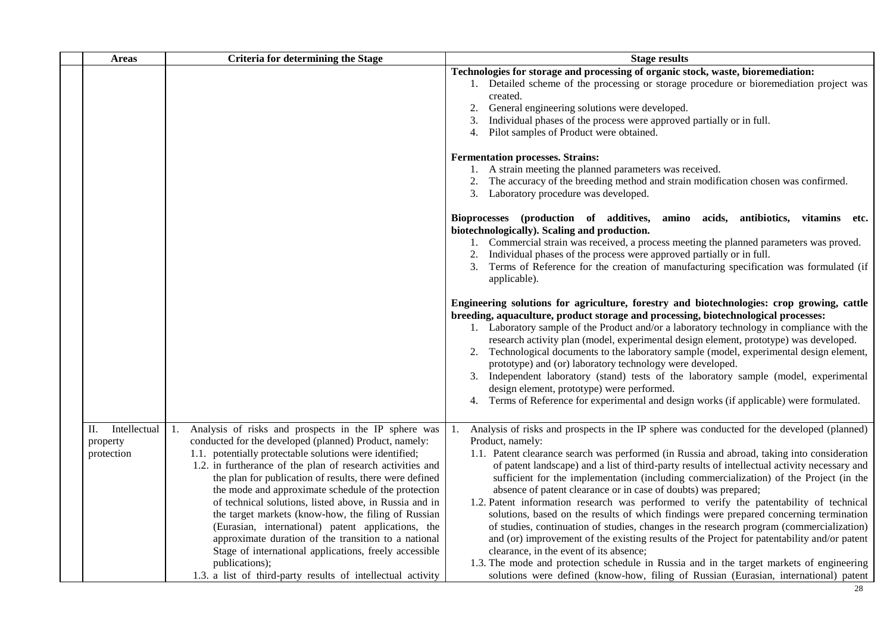| <b>Areas</b>                                 | Criteria for determining the Stage                                                                                                                                                                                                                                                                                                                                                                                                                                                                                                                                                                                                                                                                                                     | <b>Stage results</b>                                                                                                                                                                                                                                                                                                                                                                                                                                                                                                                                                                                                                                                                                                                                                                                                                                                                                                                                                                                                                                                                                                                                                                              |
|----------------------------------------------|----------------------------------------------------------------------------------------------------------------------------------------------------------------------------------------------------------------------------------------------------------------------------------------------------------------------------------------------------------------------------------------------------------------------------------------------------------------------------------------------------------------------------------------------------------------------------------------------------------------------------------------------------------------------------------------------------------------------------------------|---------------------------------------------------------------------------------------------------------------------------------------------------------------------------------------------------------------------------------------------------------------------------------------------------------------------------------------------------------------------------------------------------------------------------------------------------------------------------------------------------------------------------------------------------------------------------------------------------------------------------------------------------------------------------------------------------------------------------------------------------------------------------------------------------------------------------------------------------------------------------------------------------------------------------------------------------------------------------------------------------------------------------------------------------------------------------------------------------------------------------------------------------------------------------------------------------|
|                                              |                                                                                                                                                                                                                                                                                                                                                                                                                                                                                                                                                                                                                                                                                                                                        | Technologies for storage and processing of organic stock, waste, bioremediation:<br>1. Detailed scheme of the processing or storage procedure or bioremediation project was<br>created.<br>General engineering solutions were developed.<br>Individual phases of the process were approved partially or in full.<br>3.<br>Pilot samples of Product were obtained.<br>4.                                                                                                                                                                                                                                                                                                                                                                                                                                                                                                                                                                                                                                                                                                                                                                                                                           |
|                                              |                                                                                                                                                                                                                                                                                                                                                                                                                                                                                                                                                                                                                                                                                                                                        | <b>Fermentation processes. Strains:</b><br>1. A strain meeting the planned parameters was received.<br>2. The accuracy of the breeding method and strain modification chosen was confirmed.<br>3. Laboratory procedure was developed.                                                                                                                                                                                                                                                                                                                                                                                                                                                                                                                                                                                                                                                                                                                                                                                                                                                                                                                                                             |
|                                              |                                                                                                                                                                                                                                                                                                                                                                                                                                                                                                                                                                                                                                                                                                                                        | Bioprocesses (production of additives, amino acids, antibiotics, vitamins etc.<br>biotechnologically). Scaling and production.<br>1. Commercial strain was received, a process meeting the planned parameters was proved.<br>Individual phases of the process were approved partially or in full.<br>2.<br>Terms of Reference for the creation of manufacturing specification was formulated (if<br>3.<br>applicable).<br>Engineering solutions for agriculture, forestry and biotechnologies: crop growing, cattle<br>breeding, aquaculture, product storage and processing, biotechnological processes:<br>1. Laboratory sample of the Product and/or a laboratory technology in compliance with the<br>research activity plan (model, experimental design element, prototype) was developed.<br>Technological documents to the laboratory sample (model, experimental design element,<br>2.<br>prototype) and (or) laboratory technology were developed.<br>3. Independent laboratory (stand) tests of the laboratory sample (model, experimental<br>design element, prototype) were performed.<br>Terms of Reference for experimental and design works (if applicable) were formulated.<br>4. |
| Intellectual<br>П.<br>property<br>protection | 1. Analysis of risks and prospects in the IP sphere was<br>conducted for the developed (planned) Product, namely:<br>1.1. potentially protectable solutions were identified;<br>1.2. in furtherance of the plan of research activities and<br>the plan for publication of results, there were defined<br>the mode and approximate schedule of the protection<br>of technical solutions, listed above, in Russia and in<br>the target markets (know-how, the filing of Russian<br>(Eurasian, international) patent applications, the<br>approximate duration of the transition to a national<br>Stage of international applications, freely accessible<br>publications);<br>1.3. a list of third-party results of intellectual activity | Analysis of risks and prospects in the IP sphere was conducted for the developed (planned)<br>1.<br>Product, namely:<br>1.1. Patent clearance search was performed (in Russia and abroad, taking into consideration<br>of patent landscape) and a list of third-party results of intellectual activity necessary and<br>sufficient for the implementation (including commercialization) of the Project (in the<br>absence of patent clearance or in case of doubts) was prepared;<br>1.2. Patent information research was performed to verify the patentability of technical<br>solutions, based on the results of which findings were prepared concerning termination<br>of studies, continuation of studies, changes in the research program (commercialization)<br>and (or) improvement of the existing results of the Project for patentability and/or patent<br>clearance, in the event of its absence;<br>1.3. The mode and protection schedule in Russia and in the target markets of engineering<br>solutions were defined (know-how, filing of Russian (Eurasian, international) patent                                                                                                  |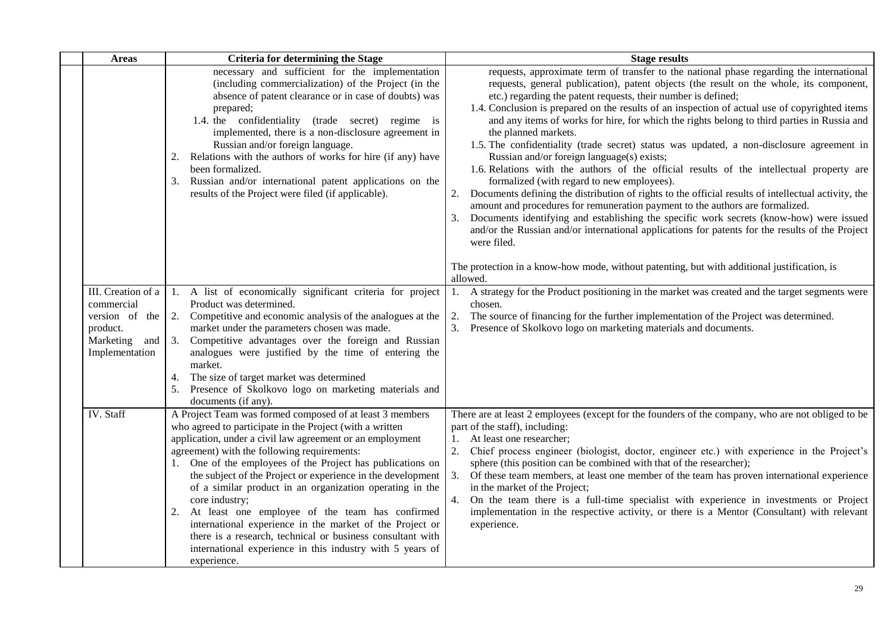| <b>Areas</b>                                                                                         | <b>Criteria for determining the Stage</b>                                                                                                                                                                                                                                                                                                                                                                                                                                                                                                                                                                                                                                                                  | <b>Stage results</b>                                                                                                                                                                                                                                                                                                                                                                                                                                                                                                                                                                                                                                                                                                                                                                                                                                                                                                                                                                                                                                                                                                                                                                                                                                                                           |
|------------------------------------------------------------------------------------------------------|------------------------------------------------------------------------------------------------------------------------------------------------------------------------------------------------------------------------------------------------------------------------------------------------------------------------------------------------------------------------------------------------------------------------------------------------------------------------------------------------------------------------------------------------------------------------------------------------------------------------------------------------------------------------------------------------------------|------------------------------------------------------------------------------------------------------------------------------------------------------------------------------------------------------------------------------------------------------------------------------------------------------------------------------------------------------------------------------------------------------------------------------------------------------------------------------------------------------------------------------------------------------------------------------------------------------------------------------------------------------------------------------------------------------------------------------------------------------------------------------------------------------------------------------------------------------------------------------------------------------------------------------------------------------------------------------------------------------------------------------------------------------------------------------------------------------------------------------------------------------------------------------------------------------------------------------------------------------------------------------------------------|
|                                                                                                      | necessary and sufficient for the implementation<br>(including commercialization) of the Project (in the<br>absence of patent clearance or in case of doubts) was<br>prepared;<br>1.4. the confidentiality (trade secret) regime is<br>implemented, there is a non-disclosure agreement in<br>Russian and/or foreign language.<br>Relations with the authors of works for hire (if any) have<br>2.<br>been formalized.<br>Russian and/or international patent applications on the<br>3.<br>results of the Project were filed (if applicable).                                                                                                                                                               | requests, approximate term of transfer to the national phase regarding the international<br>requests, general publication), patent objects (the result on the whole, its component,<br>etc.) regarding the patent requests, their number is defined;<br>1.4. Conclusion is prepared on the results of an inspection of actual use of copyrighted items<br>and any items of works for hire, for which the rights belong to third parties in Russia and<br>the planned markets.<br>1.5. The confidentiality (trade secret) status was updated, a non-disclosure agreement in<br>Russian and/or foreign language(s) exists;<br>1.6. Relations with the authors of the official results of the intellectual property are<br>formalized (with regard to new employees).<br>Documents defining the distribution of rights to the official results of intellectual activity, the<br>2.<br>amount and procedures for remuneration payment to the authors are formalized.<br>Documents identifying and establishing the specific work secrets (know-how) were issued<br>3.<br>and/or the Russian and/or international applications for patents for the results of the Project<br>were filed.<br>The protection in a know-how mode, without patenting, but with additional justification, is<br>allowed. |
| III. Creation of a<br>commercial<br>version of the<br>product.<br>Marketing<br>and<br>Implementation | 1. A list of economically significant criteria for project<br>Product was determined.<br>2. Competitive and economic analysis of the analogues at the<br>market under the parameters chosen was made.<br>Competitive advantages over the foreign and Russian<br>3.<br>analogues were justified by the time of entering the<br>market.<br>The size of target market was determined<br>4.<br>Presence of Skolkovo logo on marketing materials and<br>documents (if any).                                                                                                                                                                                                                                     | 1. A strategy for the Product positioning in the market was created and the target segments were<br>chosen.<br>The source of financing for the further implementation of the Project was determined.<br>2.<br>Presence of Skolkovo logo on marketing materials and documents.<br>3.                                                                                                                                                                                                                                                                                                                                                                                                                                                                                                                                                                                                                                                                                                                                                                                                                                                                                                                                                                                                            |
| IV. Staff                                                                                            | A Project Team was formed composed of at least 3 members<br>who agreed to participate in the Project (with a written<br>application, under a civil law agreement or an employment<br>agreement) with the following requirements:<br>1. One of the employees of the Project has publications on<br>the subject of the Project or experience in the development<br>of a similar product in an organization operating in the<br>core industry;<br>At least one employee of the team has confirmed<br>2.<br>international experience in the market of the Project or<br>there is a research, technical or business consultant with<br>international experience in this industry with 5 years of<br>experience. | There are at least 2 employees (except for the founders of the company, who are not obliged to be<br>part of the staff), including:<br>At least one researcher;<br>1.<br>2.<br>Chief process engineer (biologist, doctor, engineer etc.) with experience in the Project's<br>sphere (this position can be combined with that of the researcher);<br>3.<br>Of these team members, at least one member of the team has proven international experience<br>in the market of the Project;<br>4.<br>On the team there is a full-time specialist with experience in investments or Project<br>implementation in the respective activity, or there is a Mentor (Consultant) with relevant<br>experience.                                                                                                                                                                                                                                                                                                                                                                                                                                                                                                                                                                                              |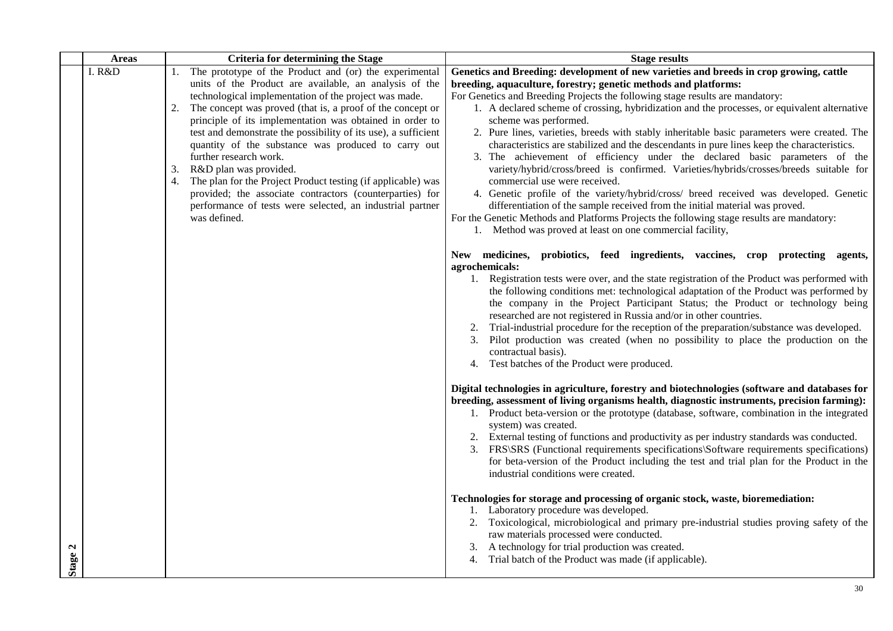| <b>Areas</b> | <b>Criteria for determining the Stage</b>                                                                                                                                                                                                                                                                                                                                                                                                                                                                                                                                                                                                                                                                   | <b>Stage results</b>                                                                                                                                                                                                                                                                                                                                                                                                                                                                                                                                                                                                                                                                                                                                                                                                                                                                                                                                                                                                                                                                                                                                                                                                                                                                                                                                                                                                                                                 |
|--------------|-------------------------------------------------------------------------------------------------------------------------------------------------------------------------------------------------------------------------------------------------------------------------------------------------------------------------------------------------------------------------------------------------------------------------------------------------------------------------------------------------------------------------------------------------------------------------------------------------------------------------------------------------------------------------------------------------------------|----------------------------------------------------------------------------------------------------------------------------------------------------------------------------------------------------------------------------------------------------------------------------------------------------------------------------------------------------------------------------------------------------------------------------------------------------------------------------------------------------------------------------------------------------------------------------------------------------------------------------------------------------------------------------------------------------------------------------------------------------------------------------------------------------------------------------------------------------------------------------------------------------------------------------------------------------------------------------------------------------------------------------------------------------------------------------------------------------------------------------------------------------------------------------------------------------------------------------------------------------------------------------------------------------------------------------------------------------------------------------------------------------------------------------------------------------------------------|
| I. R&D       | 1. The prototype of the Product and (or) the experimental<br>units of the Product are available, an analysis of the<br>technological implementation of the project was made.<br>The concept was proved (that is, a proof of the concept or<br>2.<br>principle of its implementation was obtained in order to<br>test and demonstrate the possibility of its use), a sufficient<br>quantity of the substance was produced to carry out<br>further research work.<br>R&D plan was provided.<br>3.<br>4. The plan for the Project Product testing (if applicable) was<br>provided; the associate contractors (counterparties) for<br>performance of tests were selected, an industrial partner<br>was defined. | Genetics and Breeding: development of new varieties and breeds in crop growing, cattle<br>breeding, aquaculture, forestry; genetic methods and platforms:<br>For Genetics and Breeding Projects the following stage results are mandatory:<br>1. A declared scheme of crossing, hybridization and the processes, or equivalent alternative<br>scheme was performed.<br>2. Pure lines, varieties, breeds with stably inheritable basic parameters were created. The<br>characteristics are stabilized and the descendants in pure lines keep the characteristics.<br>3. The achievement of efficiency under the declared basic parameters of the<br>variety/hybrid/cross/breed is confirmed. Varieties/hybrids/crosses/breeds suitable for<br>commercial use were received.<br>4. Genetic profile of the variety/hybrid/cross/ breed received was developed. Genetic<br>differentiation of the sample received from the initial material was proved.<br>For the Genetic Methods and Platforms Projects the following stage results are mandatory:<br>1. Method was proved at least on one commercial facility,<br>New medicines, probiotics, feed ingredients, vaccines, crop protecting agents,<br>agrochemicals:<br>1. Registration tests were over, and the state registration of the Product was performed with<br>the following conditions met: technological adaptation of the Product was performed by                                                         |
| Stage 2      |                                                                                                                                                                                                                                                                                                                                                                                                                                                                                                                                                                                                                                                                                                             | the company in the Project Participant Status; the Product or technology being<br>researched are not registered in Russia and/or in other countries.<br>Trial-industrial procedure for the reception of the preparation/substance was developed.<br>Pilot production was created (when no possibility to place the production on the<br>3.<br>contractual basis).<br>Test batches of the Product were produced.<br>4.<br>Digital technologies in agriculture, forestry and biotechnologies (software and databases for<br>breeding, assessment of living organisms health, diagnostic instruments, precision farming):<br>1. Product beta-version or the prototype (database, software, combination in the integrated<br>system) was created.<br>2. External testing of functions and productivity as per industry standards was conducted.<br>FRS\SRS (Functional requirements specifications\Software requirements specifications)<br>3.<br>for beta-version of the Product including the test and trial plan for the Product in the<br>industrial conditions were created.<br>Technologies for storage and processing of organic stock, waste, bioremediation:<br>1. Laboratory procedure was developed.<br>2. Toxicological, microbiological and primary pre-industrial studies proving safety of the<br>raw materials processed were conducted.<br>3. A technology for trial production was created.<br>4. Trial batch of the Product was made (if applicable). |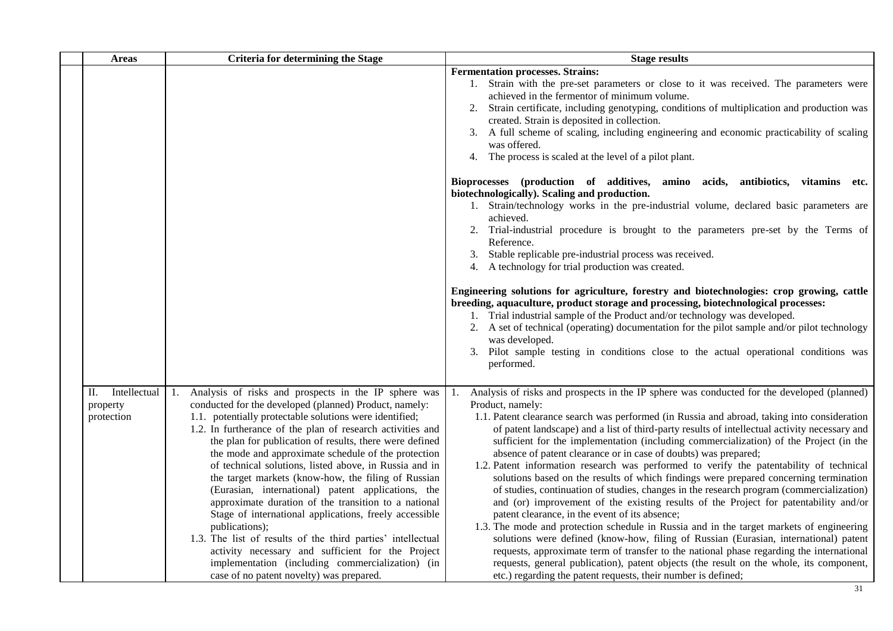| <b>Areas</b>                                 | <b>Criteria for determining the Stage</b>                                                                                                                                                                                                                                                                                                                                                                                                                                                                                                                                                                                                                                                                                                                                                                                                                                                   | <b>Stage results</b>                                                                                                                                                                                                                                                                                                                                                                                                                                                                                                                                                                                                                                                                                                                                                                                                                                                                                                                                                                                                                                                                                                                                                                                                                                                                                                                                    |
|----------------------------------------------|---------------------------------------------------------------------------------------------------------------------------------------------------------------------------------------------------------------------------------------------------------------------------------------------------------------------------------------------------------------------------------------------------------------------------------------------------------------------------------------------------------------------------------------------------------------------------------------------------------------------------------------------------------------------------------------------------------------------------------------------------------------------------------------------------------------------------------------------------------------------------------------------|---------------------------------------------------------------------------------------------------------------------------------------------------------------------------------------------------------------------------------------------------------------------------------------------------------------------------------------------------------------------------------------------------------------------------------------------------------------------------------------------------------------------------------------------------------------------------------------------------------------------------------------------------------------------------------------------------------------------------------------------------------------------------------------------------------------------------------------------------------------------------------------------------------------------------------------------------------------------------------------------------------------------------------------------------------------------------------------------------------------------------------------------------------------------------------------------------------------------------------------------------------------------------------------------------------------------------------------------------------|
|                                              |                                                                                                                                                                                                                                                                                                                                                                                                                                                                                                                                                                                                                                                                                                                                                                                                                                                                                             | <b>Fermentation processes. Strains:</b><br>1. Strain with the pre-set parameters or close to it was received. The parameters were<br>achieved in the fermentor of minimum volume.<br>Strain certificate, including genotyping, conditions of multiplication and production was<br>2.<br>created. Strain is deposited in collection.<br>3. A full scheme of scaling, including engineering and economic practicability of scaling<br>was offered.<br>4. The process is scaled at the level of a pilot plant.                                                                                                                                                                                                                                                                                                                                                                                                                                                                                                                                                                                                                                                                                                                                                                                                                                             |
|                                              |                                                                                                                                                                                                                                                                                                                                                                                                                                                                                                                                                                                                                                                                                                                                                                                                                                                                                             | Bioprocesses (production of additives, amino acids, antibiotics, vitamins etc.<br>biotechnologically). Scaling and production.<br>1. Strain/technology works in the pre-industrial volume, declared basic parameters are<br>achieved.<br>2. Trial-industrial procedure is brought to the parameters pre-set by the Terms of<br>Reference.<br>3. Stable replicable pre-industrial process was received.<br>4. A technology for trial production was created.                                                                                                                                                                                                                                                                                                                                                                                                                                                                                                                                                                                                                                                                                                                                                                                                                                                                                             |
|                                              |                                                                                                                                                                                                                                                                                                                                                                                                                                                                                                                                                                                                                                                                                                                                                                                                                                                                                             | Engineering solutions for agriculture, forestry and biotechnologies: crop growing, cattle<br>breeding, aquaculture, product storage and processing, biotechnological processes:<br>1. Trial industrial sample of the Product and/or technology was developed.<br>2. A set of technical (operating) documentation for the pilot sample and/or pilot technology<br>was developed.<br>Pilot sample testing in conditions close to the actual operational conditions was<br>3.<br>performed.                                                                                                                                                                                                                                                                                                                                                                                                                                                                                                                                                                                                                                                                                                                                                                                                                                                                |
| Intellectual<br>П.<br>property<br>protection | 1. Analysis of risks and prospects in the IP sphere was<br>conducted for the developed (planned) Product, namely:<br>1.1. potentially protectable solutions were identified;<br>1.2. In furtherance of the plan of research activities and<br>the plan for publication of results, there were defined<br>the mode and approximate schedule of the protection<br>of technical solutions, listed above, in Russia and in<br>the target markets (know-how, the filing of Russian<br>(Eurasian, international) patent applications, the<br>approximate duration of the transition to a national<br>Stage of international applications, freely accessible<br>publications);<br>1.3. The list of results of the third parties' intellectual<br>activity necessary and sufficient for the Project<br>implementation (including commercialization) (in<br>case of no patent novelty) was prepared. | Analysis of risks and prospects in the IP sphere was conducted for the developed (planned)<br>1.<br>Product, namely:<br>1.1. Patent clearance search was performed (in Russia and abroad, taking into consideration<br>of patent landscape) and a list of third-party results of intellectual activity necessary and<br>sufficient for the implementation (including commercialization) of the Project (in the<br>absence of patent clearance or in case of doubts) was prepared;<br>1.2. Patent information research was performed to verify the patentability of technical<br>solutions based on the results of which findings were prepared concerning termination<br>of studies, continuation of studies, changes in the research program (commercialization)<br>and (or) improvement of the existing results of the Project for patentability and/or<br>patent clearance, in the event of its absence;<br>1.3. The mode and protection schedule in Russia and in the target markets of engineering<br>solutions were defined (know-how, filing of Russian (Eurasian, international) patent<br>requests, approximate term of transfer to the national phase regarding the international<br>requests, general publication), patent objects (the result on the whole, its component,<br>etc.) regarding the patent requests, their number is defined; |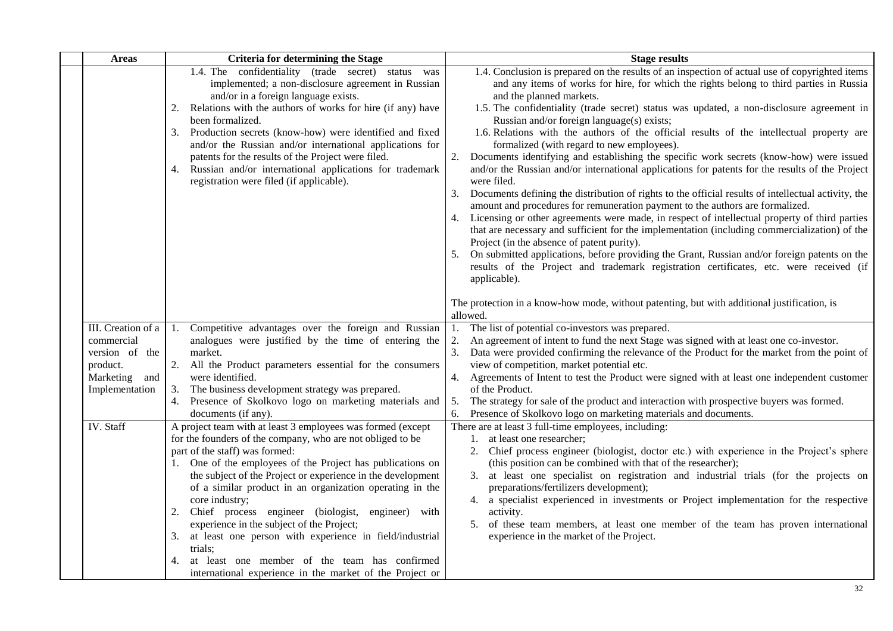| <b>Areas</b>                                                                                      | <b>Criteria for determining the Stage</b>                                                                                                                                                                                                                                                                                                                                                                                                                                                                                                                                                                                                                            | <b>Stage results</b>                                                                                                                                                                                                                                                                                                                                                                                                                                                                                                                                                                                                                                                                                                                                                                                                                                                                                                                                                                                                                                                                                                                                                                                                                                                                                                                                                            |
|---------------------------------------------------------------------------------------------------|----------------------------------------------------------------------------------------------------------------------------------------------------------------------------------------------------------------------------------------------------------------------------------------------------------------------------------------------------------------------------------------------------------------------------------------------------------------------------------------------------------------------------------------------------------------------------------------------------------------------------------------------------------------------|---------------------------------------------------------------------------------------------------------------------------------------------------------------------------------------------------------------------------------------------------------------------------------------------------------------------------------------------------------------------------------------------------------------------------------------------------------------------------------------------------------------------------------------------------------------------------------------------------------------------------------------------------------------------------------------------------------------------------------------------------------------------------------------------------------------------------------------------------------------------------------------------------------------------------------------------------------------------------------------------------------------------------------------------------------------------------------------------------------------------------------------------------------------------------------------------------------------------------------------------------------------------------------------------------------------------------------------------------------------------------------|
|                                                                                                   | 1.4. The confidentiality (trade secret) status was<br>implemented; a non-disclosure agreement in Russian<br>and/or in a foreign language exists.<br>Relations with the authors of works for hire (if any) have<br>2.<br>been formalized.<br>Production secrets (know-how) were identified and fixed<br>3.<br>and/or the Russian and/or international applications for<br>patents for the results of the Project were filed.<br>Russian and/or international applications for trademark<br>4.<br>registration were filed (if applicable).                                                                                                                             | 1.4. Conclusion is prepared on the results of an inspection of actual use of copyrighted items<br>and any items of works for hire, for which the rights belong to third parties in Russia<br>and the planned markets.<br>1.5. The confidentiality (trade secret) status was updated, a non-disclosure agreement in<br>Russian and/or foreign language(s) exists;<br>1.6. Relations with the authors of the official results of the intellectual property are<br>formalized (with regard to new employees).<br>2.<br>Documents identifying and establishing the specific work secrets (know-how) were issued<br>and/or the Russian and/or international applications for patents for the results of the Project<br>were filed.<br>Documents defining the distribution of rights to the official results of intellectual activity, the<br>amount and procedures for remuneration payment to the authors are formalized.<br>Licensing or other agreements were made, in respect of intellectual property of third parties<br>that are necessary and sufficient for the implementation (including commercialization) of the<br>Project (in the absence of patent purity).<br>On submitted applications, before providing the Grant, Russian and/or foreign patents on the<br>results of the Project and trademark registration certificates, etc. were received (if<br>applicable). |
|                                                                                                   |                                                                                                                                                                                                                                                                                                                                                                                                                                                                                                                                                                                                                                                                      | The protection in a know-how mode, without patenting, but with additional justification, is<br>allowed.                                                                                                                                                                                                                                                                                                                                                                                                                                                                                                                                                                                                                                                                                                                                                                                                                                                                                                                                                                                                                                                                                                                                                                                                                                                                         |
| III. Creation of a<br>commercial<br>version of the<br>product.<br>Marketing and<br>Implementation | 1. Competitive advantages over the foreign and Russian<br>analogues were justified by the time of entering the<br>market.<br>2. All the Product parameters essential for the consumers<br>were identified.<br>The business development strategy was prepared.<br>3.<br>Presence of Skolkovo logo on marketing materials and<br>4.<br>documents (if any).                                                                                                                                                                                                                                                                                                             | The list of potential co-investors was prepared.<br>1.<br>2.<br>An agreement of intent to fund the next Stage was signed with at least one co-investor.<br>3.<br>Data were provided confirming the relevance of the Product for the market from the point of<br>view of competition, market potential etc.<br>Agreements of Intent to test the Product were signed with at least one independent customer<br>4.<br>of the Product.<br>The strategy for sale of the product and interaction with prospective buyers was formed.<br>5.<br>Presence of Skolkovo logo on marketing materials and documents.<br>6.                                                                                                                                                                                                                                                                                                                                                                                                                                                                                                                                                                                                                                                                                                                                                                   |
| IV. Staff                                                                                         | A project team with at least 3 employees was formed (except<br>for the founders of the company, who are not obliged to be<br>part of the staff) was formed:<br>One of the employees of the Project has publications on<br>the subject of the Project or experience in the development<br>of a similar product in an organization operating in the<br>core industry;<br>2.<br>Chief process engineer (biologist, engineer) with<br>experience in the subject of the Project;<br>at least one person with experience in field/industrial<br>3.<br>trials;<br>at least one member of the team has confirmed<br>international experience in the market of the Project or | There are at least 3 full-time employees, including:<br>1. at least one researcher;<br>2.<br>Chief process engineer (biologist, doctor etc.) with experience in the Project's sphere<br>(this position can be combined with that of the researcher);<br>at least one specialist on registration and industrial trials (for the projects on<br>3.<br>preparations/fertilizers development);<br>4. a specialist experienced in investments or Project implementation for the respective<br>activity.<br>of these team members, at least one member of the team has proven international<br>5.<br>experience in the market of the Project.                                                                                                                                                                                                                                                                                                                                                                                                                                                                                                                                                                                                                                                                                                                                         |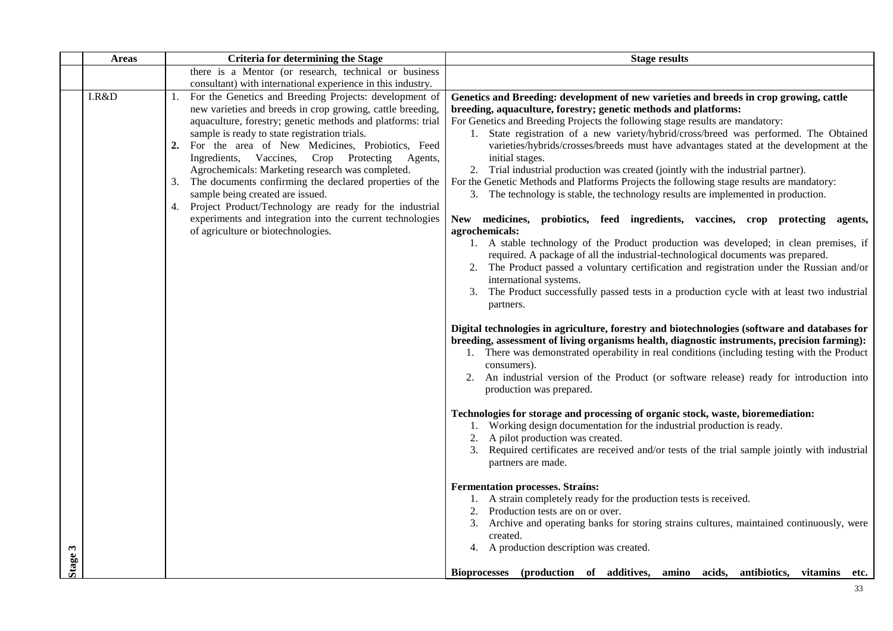|         | <b>Areas</b> | <b>Criteria for determining the Stage</b>                                                                                                                                                                                                                                                                                                                                                                                                                                                                                                                                                                                                                                          | <b>Stage results</b>                                                                                                                                                                                                                                                                                                                                                                                                                                                                                                                                                                                                                                                                                                                                                                                                                                                                                                                                                                                                                                                                                                                                                                                                                        |
|---------|--------------|------------------------------------------------------------------------------------------------------------------------------------------------------------------------------------------------------------------------------------------------------------------------------------------------------------------------------------------------------------------------------------------------------------------------------------------------------------------------------------------------------------------------------------------------------------------------------------------------------------------------------------------------------------------------------------|---------------------------------------------------------------------------------------------------------------------------------------------------------------------------------------------------------------------------------------------------------------------------------------------------------------------------------------------------------------------------------------------------------------------------------------------------------------------------------------------------------------------------------------------------------------------------------------------------------------------------------------------------------------------------------------------------------------------------------------------------------------------------------------------------------------------------------------------------------------------------------------------------------------------------------------------------------------------------------------------------------------------------------------------------------------------------------------------------------------------------------------------------------------------------------------------------------------------------------------------|
|         |              | there is a Mentor (or research, technical or business                                                                                                                                                                                                                                                                                                                                                                                                                                                                                                                                                                                                                              |                                                                                                                                                                                                                                                                                                                                                                                                                                                                                                                                                                                                                                                                                                                                                                                                                                                                                                                                                                                                                                                                                                                                                                                                                                             |
|         |              | consultant) with international experience in this industry.                                                                                                                                                                                                                                                                                                                                                                                                                                                                                                                                                                                                                        |                                                                                                                                                                                                                                                                                                                                                                                                                                                                                                                                                                                                                                                                                                                                                                                                                                                                                                                                                                                                                                                                                                                                                                                                                                             |
|         | I.R&D        | For the Genetics and Breeding Projects: development of<br>1.<br>new varieties and breeds in crop growing, cattle breeding,<br>aquaculture, forestry; genetic methods and platforms: trial<br>sample is ready to state registration trials.<br>For the area of New Medicines, Probiotics, Feed<br>2.<br>Ingredients, Vaccines,<br>Crop Protecting Agents,<br>Agrochemicals: Marketing research was completed.<br>The documents confirming the declared properties of the<br>3.<br>sample being created are issued.<br>4. Project Product/Technology are ready for the industrial<br>experiments and integration into the current technologies<br>of agriculture or biotechnologies. | Genetics and Breeding: development of new varieties and breeds in crop growing, cattle<br>breeding, aquaculture, forestry; genetic methods and platforms:<br>For Genetics and Breeding Projects the following stage results are mandatory:<br>1. State registration of a new variety/hybrid/cross/breed was performed. The Obtained<br>varieties/hybrids/crosses/breeds must have advantages stated at the development at the<br>initial stages.<br>2. Trial industrial production was created (jointly with the industrial partner).<br>For the Genetic Methods and Platforms Projects the following stage results are mandatory:<br>3. The technology is stable, the technology results are implemented in production.<br>New medicines, probiotics, feed ingredients, vaccines, crop protecting agents,<br>agrochemicals:<br>1. A stable technology of the Product production was developed; in clean premises, if<br>required. A package of all the industrial-technological documents was prepared.<br>2. The Product passed a voluntary certification and registration under the Russian and/or<br>international systems.<br>3. The Product successfully passed tests in a production cycle with at least two industrial<br>partners. |
|         |              |                                                                                                                                                                                                                                                                                                                                                                                                                                                                                                                                                                                                                                                                                    | Digital technologies in agriculture, forestry and biotechnologies (software and databases for<br>breeding, assessment of living organisms health, diagnostic instruments, precision farming):<br>1. There was demonstrated operability in real conditions (including testing with the Product<br>consumers).<br>2. An industrial version of the Product (or software release) ready for introduction into<br>production was prepared.<br>Technologies for storage and processing of organic stock, waste, bioremediation:<br>1. Working design documentation for the industrial production is ready.<br>A pilot production was created.<br>Required certificates are received and/or tests of the trial sample jointly with industrial<br>3.<br>partners are made.<br><b>Fermentation processes. Strains:</b><br>1. A strain completely ready for the production tests is received.<br>Production tests are on or over.                                                                                                                                                                                                                                                                                                                     |
| Stage 3 |              |                                                                                                                                                                                                                                                                                                                                                                                                                                                                                                                                                                                                                                                                                    | 3. Archive and operating banks for storing strains cultures, maintained continuously, were<br>created.<br>4. A production description was created.<br>Bioprocesses (production of additives, amino acids, antibiotics, vitamins<br>etc.                                                                                                                                                                                                                                                                                                                                                                                                                                                                                                                                                                                                                                                                                                                                                                                                                                                                                                                                                                                                     |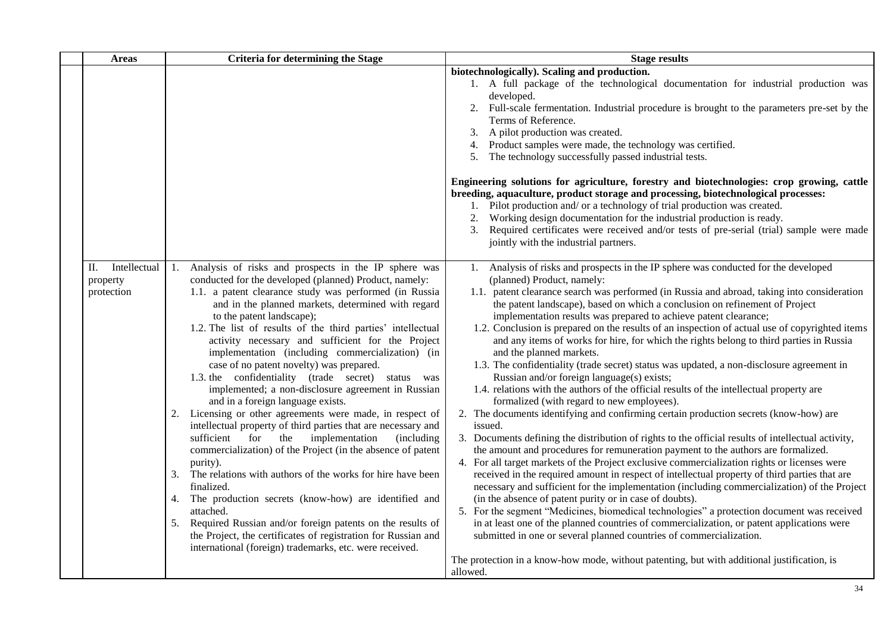| <b>Areas</b>                                 | <b>Criteria for determining the Stage</b>                                                                                                                                                                                                                                                                                                                                                                                                                                                                                                                                                                                                                                                                                                                                                                                                                                                                                                                                                                                                                                                                                                                                                                                                                          | <b>Stage results</b>                                                                                                                                                                                                                                                                                                                                                                                                                                                                                                                                                                                                                                                                                                                                                                                                                                                                                                                                                                                                                                                                                                                                                                                                                                                                                                                                                                                                                                                                                                                                                                                                                                                                                                                                                                                                                                                                                                       |
|----------------------------------------------|--------------------------------------------------------------------------------------------------------------------------------------------------------------------------------------------------------------------------------------------------------------------------------------------------------------------------------------------------------------------------------------------------------------------------------------------------------------------------------------------------------------------------------------------------------------------------------------------------------------------------------------------------------------------------------------------------------------------------------------------------------------------------------------------------------------------------------------------------------------------------------------------------------------------------------------------------------------------------------------------------------------------------------------------------------------------------------------------------------------------------------------------------------------------------------------------------------------------------------------------------------------------|----------------------------------------------------------------------------------------------------------------------------------------------------------------------------------------------------------------------------------------------------------------------------------------------------------------------------------------------------------------------------------------------------------------------------------------------------------------------------------------------------------------------------------------------------------------------------------------------------------------------------------------------------------------------------------------------------------------------------------------------------------------------------------------------------------------------------------------------------------------------------------------------------------------------------------------------------------------------------------------------------------------------------------------------------------------------------------------------------------------------------------------------------------------------------------------------------------------------------------------------------------------------------------------------------------------------------------------------------------------------------------------------------------------------------------------------------------------------------------------------------------------------------------------------------------------------------------------------------------------------------------------------------------------------------------------------------------------------------------------------------------------------------------------------------------------------------------------------------------------------------------------------------------------------------|
|                                              |                                                                                                                                                                                                                                                                                                                                                                                                                                                                                                                                                                                                                                                                                                                                                                                                                                                                                                                                                                                                                                                                                                                                                                                                                                                                    | biotechnologically). Scaling and production.<br>1. A full package of the technological documentation for industrial production was<br>developed.<br>2. Full-scale fermentation. Industrial procedure is brought to the parameters pre-set by the<br>Terms of Reference.<br>3. A pilot production was created.<br>4. Product samples were made, the technology was certified.<br>The technology successfully passed industrial tests.<br>5.<br>Engineering solutions for agriculture, forestry and biotechnologies: crop growing, cattle<br>breeding, aquaculture, product storage and processing, biotechnological processes:<br>1. Pilot production and/ or a technology of trial production was created.<br>Working design documentation for the industrial production is ready.<br>2.<br>Required certificates were received and/or tests of pre-serial (trial) sample were made<br>3.<br>jointly with the industrial partners.                                                                                                                                                                                                                                                                                                                                                                                                                                                                                                                                                                                                                                                                                                                                                                                                                                                                                                                                                                                         |
| Intellectual<br>П.<br>property<br>protection | Analysis of risks and prospects in the IP sphere was<br>1.<br>conducted for the developed (planned) Product, namely:<br>1.1. a patent clearance study was performed (in Russia<br>and in the planned markets, determined with regard<br>to the patent landscape);<br>1.2. The list of results of the third parties' intellectual<br>activity necessary and sufficient for the Project<br>implementation (including commercialization) (in<br>case of no patent novelty) was prepared.<br>1.3. the confidentiality (trade secret) status was<br>implemented; a non-disclosure agreement in Russian<br>and in a foreign language exists.<br>Licensing or other agreements were made, in respect of<br>intellectual property of third parties that are necessary and<br>for<br>the<br>implementation<br>sufficient<br>(including)<br>commercialization) of the Project (in the absence of patent<br>purity).<br>3. The relations with authors of the works for hire have been<br>finalized.<br>The production secrets (know-how) are identified and<br>4.<br>attached.<br>5.<br>Required Russian and/or foreign patents on the results of<br>the Project, the certificates of registration for Russian and<br>international (foreign) trademarks, etc. were received. | 1. Analysis of risks and prospects in the IP sphere was conducted for the developed<br>(planned) Product, namely:<br>1.1. patent clearance search was performed (in Russia and abroad, taking into consideration<br>the patent landscape), based on which a conclusion on refinement of Project<br>implementation results was prepared to achieve patent clearance;<br>1.2. Conclusion is prepared on the results of an inspection of actual use of copyrighted items<br>and any items of works for hire, for which the rights belong to third parties in Russia<br>and the planned markets.<br>1.3. The confidentiality (trade secret) status was updated, a non-disclosure agreement in<br>Russian and/or foreign language(s) exists;<br>1.4. relations with the authors of the official results of the intellectual property are<br>formalized (with regard to new employees).<br>2. The documents identifying and confirming certain production secrets (know-how) are<br>issued.<br>3. Documents defining the distribution of rights to the official results of intellectual activity,<br>the amount and procedures for remuneration payment to the authors are formalized.<br>4. For all target markets of the Project exclusive commercialization rights or licenses were<br>received in the required amount in respect of intellectual property of third parties that are<br>necessary and sufficient for the implementation (including commercialization) of the Project<br>(in the absence of patent purity or in case of doubts).<br>5. For the segment "Medicines, biomedical technologies" a protection document was received<br>in at least one of the planned countries of commercialization, or patent applications were<br>submitted in one or several planned countries of commercialization.<br>The protection in a know-how mode, without patenting, but with additional justification, is<br>allowed. |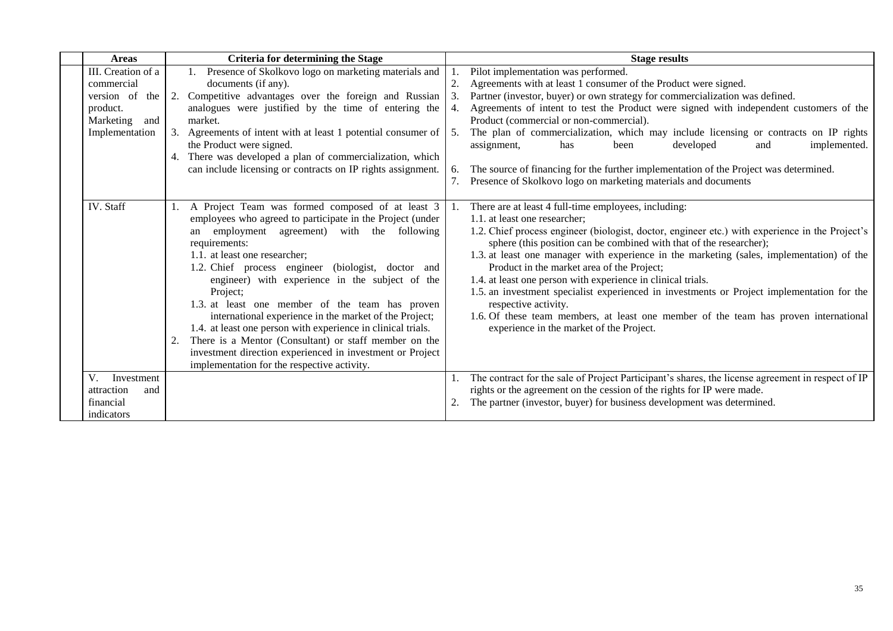| <b>Areas</b>       |    | <b>Criteria for determining the Stage</b>                     |    | <b>Stage results</b>                                                                                                                                                   |
|--------------------|----|---------------------------------------------------------------|----|------------------------------------------------------------------------------------------------------------------------------------------------------------------------|
| III. Creation of a |    | Presence of Skolkovo logo on marketing materials and          |    | Pilot implementation was performed.                                                                                                                                    |
| commercial         |    | documents (if any).                                           | 2. | Agreements with at least 1 consumer of the Product were signed.                                                                                                        |
| version of the     |    | 2. Competitive advantages over the foreign and Russian        | 3. | Partner (investor, buyer) or own strategy for commercialization was defined.                                                                                           |
| product.           |    | analogues were justified by the time of entering the          | 4. | Agreements of intent to test the Product were signed with independent customers of the                                                                                 |
| Marketing and      |    | market.                                                       |    | Product (commercial or non-commercial).                                                                                                                                |
| Implementation     |    | 3. Agreements of intent with at least 1 potential consumer of | 5. | The plan of commercialization, which may include licensing or contracts on IP rights                                                                                   |
|                    |    | the Product were signed.                                      |    | implemented.<br>developed<br>assignment,<br>has<br>and<br>been                                                                                                         |
|                    |    | 4. There was developed a plan of commercialization, which     |    |                                                                                                                                                                        |
|                    |    | can include licensing or contracts on IP rights assignment.   | 6. | The source of financing for the further implementation of the Project was determined.                                                                                  |
|                    |    |                                                               | 7. | Presence of Skolkovo logo on marketing materials and documents                                                                                                         |
|                    |    |                                                               |    |                                                                                                                                                                        |
| IV. Staff          |    | A Project Team was formed composed of at least 3              |    | There are at least 4 full-time employees, including:                                                                                                                   |
|                    |    | employees who agreed to participate in the Project (under     |    | 1.1. at least one researcher:                                                                                                                                          |
|                    |    | an employment agreement) with the following<br>requirements:  |    | 1.2. Chief process engineer (biologist, doctor, engineer etc.) with experience in the Project's<br>sphere (this position can be combined with that of the researcher); |
|                    |    | 1.1. at least one researcher;                                 |    | 1.3. at least one manager with experience in the marketing (sales, implementation) of the                                                                              |
|                    |    | 1.2. Chief process engineer (biologist, doctor and            |    | Product in the market area of the Project;                                                                                                                             |
|                    |    | engineer) with experience in the subject of the               |    | 1.4. at least one person with experience in clinical trials.                                                                                                           |
|                    |    | Project;                                                      |    | 1.5. an investment specialist experienced in investments or Project implementation for the                                                                             |
|                    |    | 1.3. at least one member of the team has proven               |    | respective activity.                                                                                                                                                   |
|                    |    | international experience in the market of the Project;        |    | 1.6. Of these team members, at least one member of the team has proven international                                                                                   |
|                    |    | 1.4. at least one person with experience in clinical trials.  |    | experience in the market of the Project.                                                                                                                               |
|                    | 2. | There is a Mentor (Consultant) or staff member on the         |    |                                                                                                                                                                        |
|                    |    | investment direction experienced in investment or Project     |    |                                                                                                                                                                        |
|                    |    | implementation for the respective activity.                   |    |                                                                                                                                                                        |
| V.<br>Investment   |    |                                                               |    | The contract for the sale of Project Participant's shares, the license agreement in respect of IP                                                                      |
| attraction<br>and  |    |                                                               |    | rights or the agreement on the cession of the rights for IP were made.                                                                                                 |
| financial          |    |                                                               |    | The partner (investor, buyer) for business development was determined.                                                                                                 |
| indicators         |    |                                                               |    |                                                                                                                                                                        |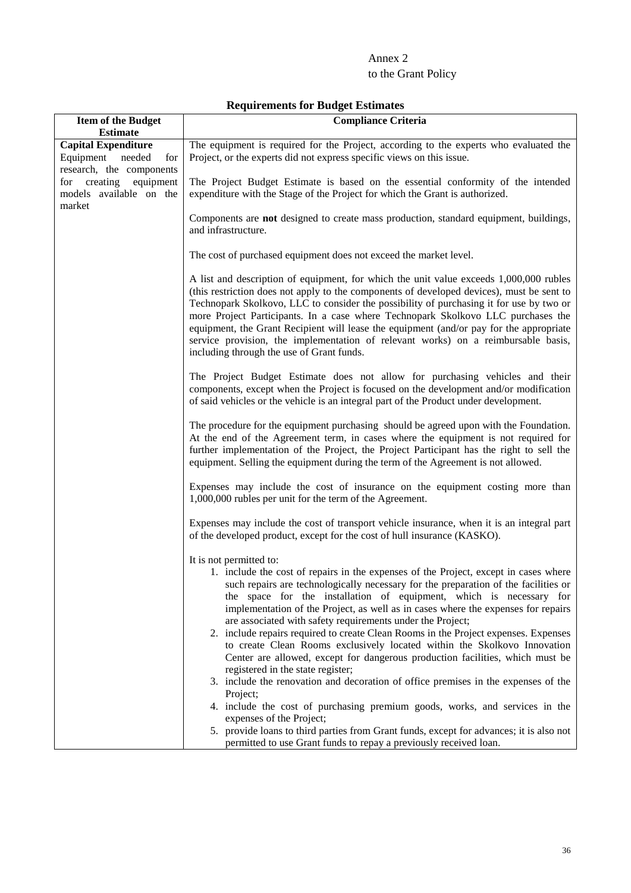### Annex 2

## to the Grant Policy

| <b>Item of the Budget</b>                                                         | <b>Compliance Criteria</b>                                                                                                                                                                                                                                                                                                                                                                                                                                                                                                                                                                                                                                                                                                                                                                                                                                                                                                                                                                                                                                                                             |
|-----------------------------------------------------------------------------------|--------------------------------------------------------------------------------------------------------------------------------------------------------------------------------------------------------------------------------------------------------------------------------------------------------------------------------------------------------------------------------------------------------------------------------------------------------------------------------------------------------------------------------------------------------------------------------------------------------------------------------------------------------------------------------------------------------------------------------------------------------------------------------------------------------------------------------------------------------------------------------------------------------------------------------------------------------------------------------------------------------------------------------------------------------------------------------------------------------|
| <b>Estimate</b>                                                                   |                                                                                                                                                                                                                                                                                                                                                                                                                                                                                                                                                                                                                                                                                                                                                                                                                                                                                                                                                                                                                                                                                                        |
| <b>Capital Expenditure</b><br>Equipment needed<br>for<br>research, the components | The equipment is required for the Project, according to the experts who evaluated the<br>Project, or the experts did not express specific views on this issue.                                                                                                                                                                                                                                                                                                                                                                                                                                                                                                                                                                                                                                                                                                                                                                                                                                                                                                                                         |
| for creating equipment<br>models available on the                                 | The Project Budget Estimate is based on the essential conformity of the intended<br>expenditure with the Stage of the Project for which the Grant is authorized.                                                                                                                                                                                                                                                                                                                                                                                                                                                                                                                                                                                                                                                                                                                                                                                                                                                                                                                                       |
| market                                                                            | Components are <b>not</b> designed to create mass production, standard equipment, buildings,<br>and infrastructure.                                                                                                                                                                                                                                                                                                                                                                                                                                                                                                                                                                                                                                                                                                                                                                                                                                                                                                                                                                                    |
|                                                                                   | The cost of purchased equipment does not exceed the market level.                                                                                                                                                                                                                                                                                                                                                                                                                                                                                                                                                                                                                                                                                                                                                                                                                                                                                                                                                                                                                                      |
|                                                                                   | A list and description of equipment, for which the unit value exceeds 1,000,000 rubles<br>(this restriction does not apply to the components of developed devices), must be sent to<br>Technopark Skolkovo, LLC to consider the possibility of purchasing it for use by two or<br>more Project Participants. In a case where Technopark Skolkovo LLC purchases the<br>equipment, the Grant Recipient will lease the equipment (and/or pay for the appropriate<br>service provision, the implementation of relevant works) on a reimbursable basis,<br>including through the use of Grant funds.                                                                                                                                                                                                                                                                                                                                                                                                                                                                                                        |
|                                                                                   | The Project Budget Estimate does not allow for purchasing vehicles and their<br>components, except when the Project is focused on the development and/or modification<br>of said vehicles or the vehicle is an integral part of the Product under development.                                                                                                                                                                                                                                                                                                                                                                                                                                                                                                                                                                                                                                                                                                                                                                                                                                         |
|                                                                                   | The procedure for the equipment purchasing should be agreed upon with the Foundation.<br>At the end of the Agreement term, in cases where the equipment is not required for<br>further implementation of the Project, the Project Participant has the right to sell the<br>equipment. Selling the equipment during the term of the Agreement is not allowed.                                                                                                                                                                                                                                                                                                                                                                                                                                                                                                                                                                                                                                                                                                                                           |
|                                                                                   | Expenses may include the cost of insurance on the equipment costing more than<br>1,000,000 rubles per unit for the term of the Agreement.                                                                                                                                                                                                                                                                                                                                                                                                                                                                                                                                                                                                                                                                                                                                                                                                                                                                                                                                                              |
|                                                                                   | Expenses may include the cost of transport vehicle insurance, when it is an integral part<br>of the developed product, except for the cost of hull insurance (KASKO).                                                                                                                                                                                                                                                                                                                                                                                                                                                                                                                                                                                                                                                                                                                                                                                                                                                                                                                                  |
|                                                                                   | It is not permitted to:<br>1. include the cost of repairs in the expenses of the Project, except in cases where<br>such repairs are technologically necessary for the preparation of the facilities or<br>the space for the installation of equipment, which is necessary for<br>implementation of the Project, as well as in cases where the expenses for repairs<br>are associated with safety requirements under the Project;<br>2. include repairs required to create Clean Rooms in the Project expenses. Expenses<br>to create Clean Rooms exclusively located within the Skolkovo Innovation<br>Center are allowed, except for dangerous production facilities, which must be<br>registered in the state register;<br>3. include the renovation and decoration of office premises in the expenses of the<br>Project;<br>4. include the cost of purchasing premium goods, works, and services in the<br>expenses of the Project;<br>5. provide loans to third parties from Grant funds, except for advances; it is also not<br>permitted to use Grant funds to repay a previously received loan. |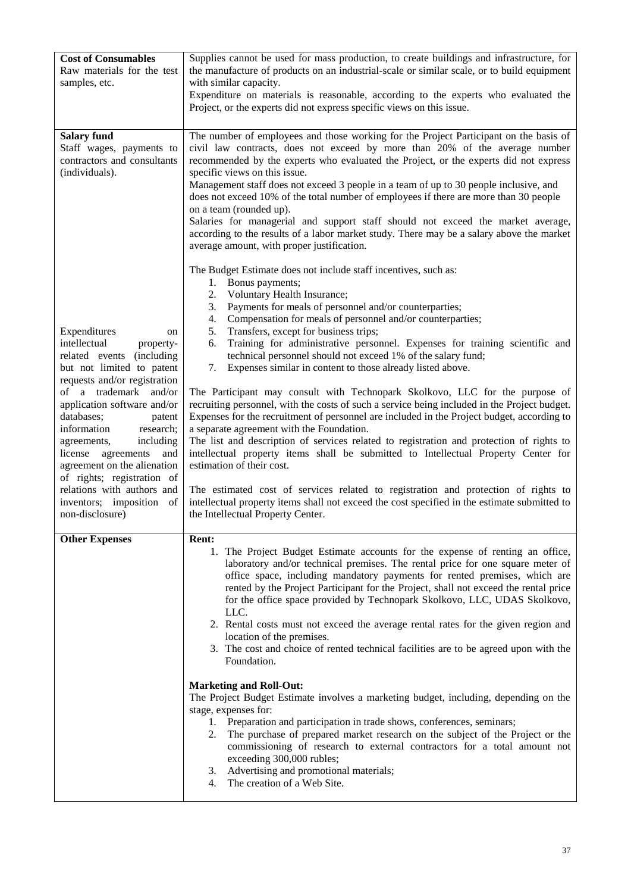| <b>Cost of Consumables</b><br>Raw materials for the test<br>samples, etc.                                                                                                                                                                                                                                                                                                                                                                                       | Supplies cannot be used for mass production, to create buildings and infrastructure, for<br>the manufacture of products on an industrial-scale or similar scale, or to build equipment<br>with similar capacity.<br>Expenditure on materials is reasonable, according to the experts who evaluated the<br>Project, or the experts did not express specific views on this issue.                                                                                                                                                                                                                                                                                                                                                                                                                                                                                                                                                                                                                                                                                                                                                                                                                                                             |
|-----------------------------------------------------------------------------------------------------------------------------------------------------------------------------------------------------------------------------------------------------------------------------------------------------------------------------------------------------------------------------------------------------------------------------------------------------------------|---------------------------------------------------------------------------------------------------------------------------------------------------------------------------------------------------------------------------------------------------------------------------------------------------------------------------------------------------------------------------------------------------------------------------------------------------------------------------------------------------------------------------------------------------------------------------------------------------------------------------------------------------------------------------------------------------------------------------------------------------------------------------------------------------------------------------------------------------------------------------------------------------------------------------------------------------------------------------------------------------------------------------------------------------------------------------------------------------------------------------------------------------------------------------------------------------------------------------------------------|
| <b>Salary fund</b><br>Staff wages, payments to<br>contractors and consultants<br>(individuals).                                                                                                                                                                                                                                                                                                                                                                 | The number of employees and those working for the Project Participant on the basis of<br>civil law contracts, does not exceed by more than 20% of the average number<br>recommended by the experts who evaluated the Project, or the experts did not express<br>specific views on this issue.<br>Management staff does not exceed 3 people in a team of up to 30 people inclusive, and<br>does not exceed 10% of the total number of employees if there are more than 30 people<br>on a team (rounded up).<br>Salaries for managerial and support staff should not exceed the market average,<br>according to the results of a labor market study. There may be a salary above the market<br>average amount, with proper justification.<br>The Budget Estimate does not include staff incentives, such as:                                                                                                                                                                                                                                                                                                                                                                                                                                  |
| Expenditures<br>on<br>intellectual<br>property-<br>related events<br>(including)<br>but not limited to patent<br>requests and/or registration<br>of a trademark<br>and/or<br>application software and/or<br>databases;<br>patent<br>information<br>research;<br>including<br>agreements,<br>license agreements<br>and<br>agreement on the alienation<br>of rights; registration of<br>relations with authors and<br>inventors; imposition of<br>non-disclosure) | Bonus payments;<br>1.<br>Voluntary Health Insurance;<br>2.<br>Payments for meals of personnel and/or counterparties;<br>3.<br>Compensation for meals of personnel and/or counterparties;<br>4.<br>Transfers, except for business trips;<br>5.<br>Training for administrative personnel. Expenses for training scientific and<br>6.<br>technical personnel should not exceed 1% of the salary fund;<br>7.<br>Expenses similar in content to those already listed above.<br>The Participant may consult with Technopark Skolkovo, LLC for the purpose of<br>recruiting personnel, with the costs of such a service being included in the Project budget.<br>Expenses for the recruitment of personnel are included in the Project budget, according to<br>a separate agreement with the Foundation.<br>The list and description of services related to registration and protection of rights to<br>intellectual property items shall be submitted to Intellectual Property Center for<br>estimation of their cost.<br>The estimated cost of services related to registration and protection of rights to<br>intellectual property items shall not exceed the cost specified in the estimate submitted to<br>the Intellectual Property Center. |
| <b>Other Expenses</b>                                                                                                                                                                                                                                                                                                                                                                                                                                           | <b>Rent:</b><br>1. The Project Budget Estimate accounts for the expense of renting an office,<br>laboratory and/or technical premises. The rental price for one square meter of<br>office space, including mandatory payments for rented premises, which are<br>rented by the Project Participant for the Project, shall not exceed the rental price<br>for the office space provided by Technopark Skolkovo, LLC, UDAS Skolkovo,<br>LLC.<br>2. Rental costs must not exceed the average rental rates for the given region and<br>location of the premises.<br>3. The cost and choice of rented technical facilities are to be agreed upon with the<br>Foundation.<br><b>Marketing and Roll-Out:</b><br>The Project Budget Estimate involves a marketing budget, including, depending on the<br>stage, expenses for:<br>1. Preparation and participation in trade shows, conferences, seminars;<br>2. The purchase of prepared market research on the subject of the Project or the<br>commissioning of research to external contractors for a total amount not<br>exceeding 300,000 rubles;<br>3. Advertising and promotional materials;<br>The creation of a Web Site.<br>4.                                                              |